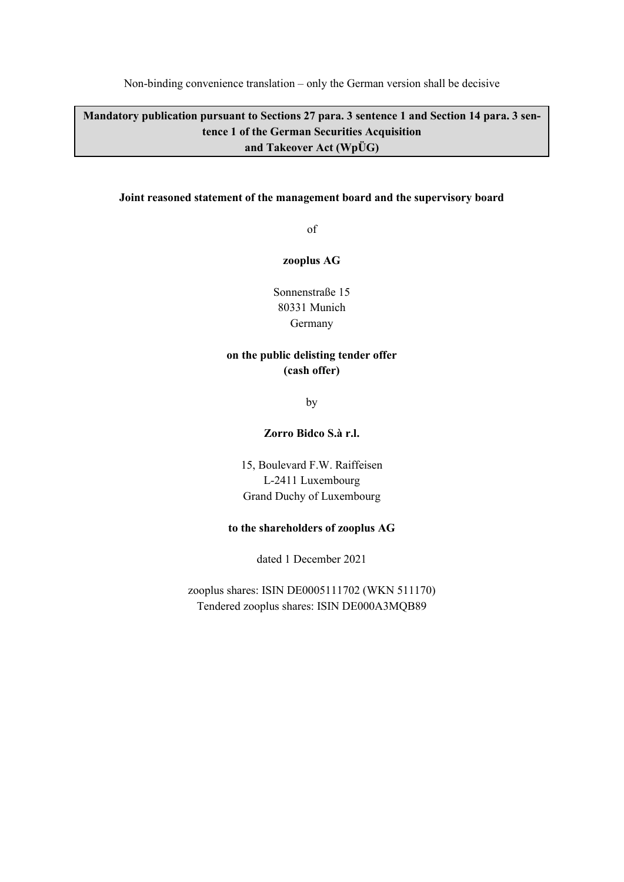Non-binding convenience translation – only the German version shall be decisive

**Mandatory publication pursuant to Sections 27 para. 3 sentence 1 and Section 14 para. 3 sentence 1 of the German Securities Acquisition and Takeover Act (WpÜG)** 

#### **Joint reasoned statement of the management board and the supervisory board**

of

#### **zooplus AG**

Sonnenstraße 15 80331 Munich Germany

# **on the public delisting tender offer (cash offer)**

by

#### **Zorro Bidco S.à r.l.**

15, Boulevard F.W. Raiffeisen L-2411 Luxembourg Grand Duchy of Luxembourg

#### **to the shareholders of zooplus AG**

dated 1 December 2021

zooplus shares: ISIN DE0005111702 (WKN 511170) Tendered zooplus shares: ISIN DE000A3MQB89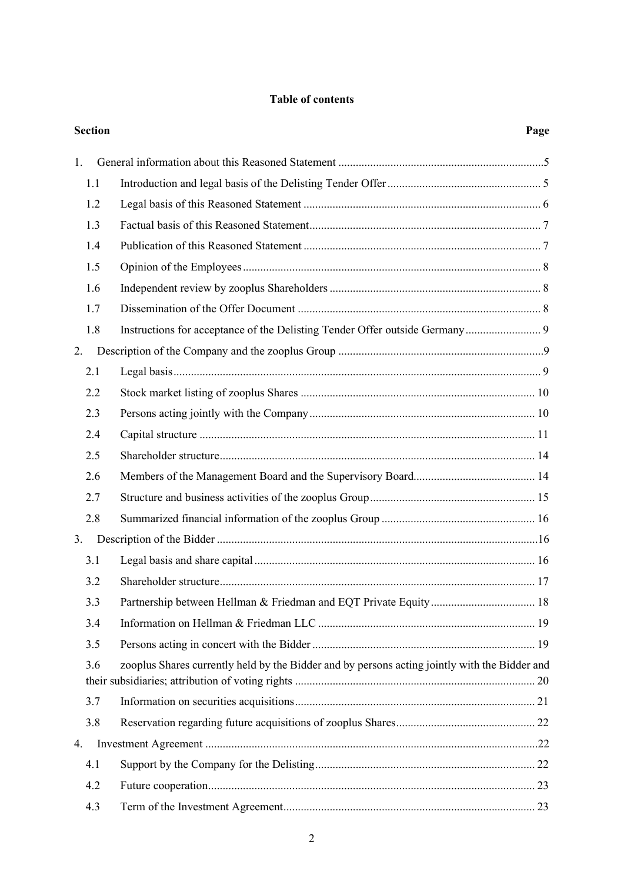## **Table of contents**

|    | <b>Section</b> |                                                                                               | Page |
|----|----------------|-----------------------------------------------------------------------------------------------|------|
| 1. |                |                                                                                               |      |
|    | 1.1            |                                                                                               |      |
|    | 1.2            |                                                                                               |      |
|    | 1.3            |                                                                                               |      |
|    | 1.4            |                                                                                               |      |
|    | 1.5            |                                                                                               |      |
|    | 1.6            |                                                                                               |      |
|    | 1.7            |                                                                                               |      |
|    | 1.8            | Instructions for acceptance of the Delisting Tender Offer outside Germany 9                   |      |
| 2. |                |                                                                                               |      |
|    | 2.1            |                                                                                               |      |
|    | 2.2            |                                                                                               |      |
|    | 2.3            |                                                                                               |      |
|    | 2.4            |                                                                                               |      |
|    | 2.5            |                                                                                               |      |
|    | 2.6            |                                                                                               |      |
|    | 2.7            |                                                                                               |      |
|    | 2.8            |                                                                                               |      |
| 3. |                |                                                                                               |      |
|    | 3.1            |                                                                                               |      |
|    | 3.2            |                                                                                               |      |
|    | 3.3            |                                                                                               |      |
|    | 3.4            |                                                                                               |      |
|    | 3.5            |                                                                                               |      |
|    | 3.6            | zooplus Shares currently held by the Bidder and by persons acting jointly with the Bidder and |      |
|    | 3.7            |                                                                                               |      |
|    | 3.8            |                                                                                               |      |
| 4. |                |                                                                                               |      |
|    | 4.1            |                                                                                               |      |
|    | 4.2            |                                                                                               |      |
|    | 4.3            |                                                                                               |      |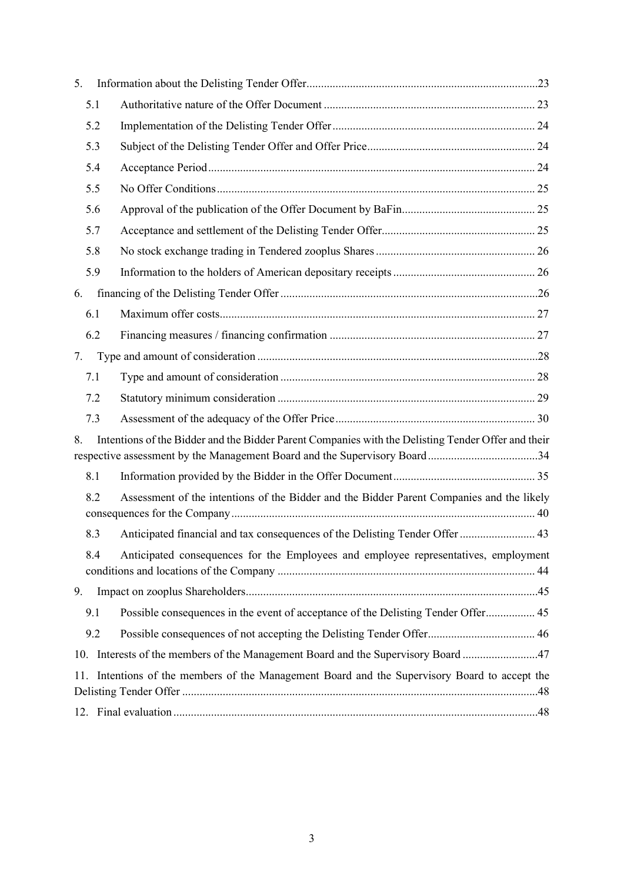| 5.                                                                                               |     |                                                                                                                                                                                 |  |  |
|--------------------------------------------------------------------------------------------------|-----|---------------------------------------------------------------------------------------------------------------------------------------------------------------------------------|--|--|
|                                                                                                  | 5.1 |                                                                                                                                                                                 |  |  |
|                                                                                                  | 5.2 |                                                                                                                                                                                 |  |  |
|                                                                                                  | 5.3 |                                                                                                                                                                                 |  |  |
|                                                                                                  | 5.4 |                                                                                                                                                                                 |  |  |
|                                                                                                  | 5.5 |                                                                                                                                                                                 |  |  |
|                                                                                                  | 5.6 |                                                                                                                                                                                 |  |  |
|                                                                                                  | 5.7 |                                                                                                                                                                                 |  |  |
|                                                                                                  | 5.8 |                                                                                                                                                                                 |  |  |
|                                                                                                  | 5.9 |                                                                                                                                                                                 |  |  |
| 6.                                                                                               |     |                                                                                                                                                                                 |  |  |
|                                                                                                  | 6.1 |                                                                                                                                                                                 |  |  |
|                                                                                                  | 6.2 |                                                                                                                                                                                 |  |  |
| 7.                                                                                               |     |                                                                                                                                                                                 |  |  |
|                                                                                                  | 7.1 |                                                                                                                                                                                 |  |  |
|                                                                                                  | 7.2 |                                                                                                                                                                                 |  |  |
|                                                                                                  | 7.3 |                                                                                                                                                                                 |  |  |
| 8.                                                                                               |     | Intentions of the Bidder and the Bidder Parent Companies with the Delisting Tender Offer and their<br>respective assessment by the Management Board and the Supervisory Board34 |  |  |
|                                                                                                  | 8.1 |                                                                                                                                                                                 |  |  |
|                                                                                                  | 8.2 | Assessment of the intentions of the Bidder and the Bidder Parent Companies and the likely                                                                                       |  |  |
|                                                                                                  | 8.3 | Anticipated financial and tax consequences of the Delisting Tender Offer  43                                                                                                    |  |  |
|                                                                                                  | 8.4 | Anticipated consequences for the Employees and employee representatives, employment                                                                                             |  |  |
| 9.                                                                                               |     |                                                                                                                                                                                 |  |  |
|                                                                                                  | 9.1 | Possible consequences in the event of acceptance of the Delisting Tender Offer 45                                                                                               |  |  |
|                                                                                                  | 9.2 |                                                                                                                                                                                 |  |  |
|                                                                                                  |     | 10. Interests of the members of the Management Board and the Supervisory Board 47                                                                                               |  |  |
| Intentions of the members of the Management Board and the Supervisory Board to accept the<br>11. |     |                                                                                                                                                                                 |  |  |
|                                                                                                  |     |                                                                                                                                                                                 |  |  |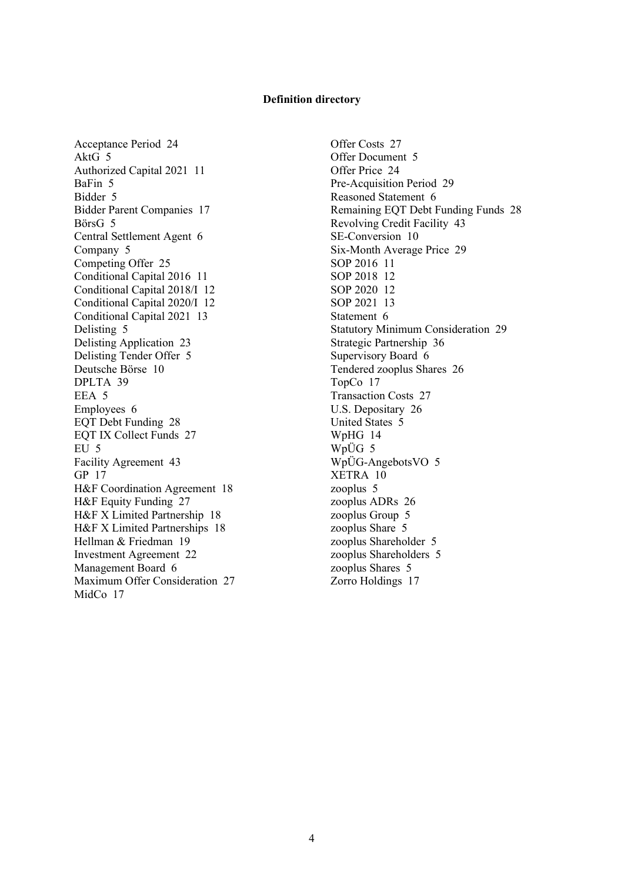#### **Definition directory**

Acceptance Period 24 AktG 5 Authorized Capital 2021 11 BaFin 5 Bidder 5 Bidder Parent Companies 17 BörsG 5 Central Settlement Agent 6 Company 5 Competing Offer 25 Conditional Capital 2016 11 Conditional Capital 2018/I 12 Conditional Capital 2020/I 12 Conditional Capital 2021 13 Delisting 5 Delisting Application 23 Delisting Tender Offer 5 Deutsche Börse 10 DPLTA 39 EEA 5 Employees 6 EQT Debt Funding 28 EQT IX Collect Funds 27 EU 5 Facility Agreement 43 GP 17 H&F Coordination Agreement 18 H&F Equity Funding 27 H&F X Limited Partnership 18 H&F X Limited Partnerships 18 Hellman & Friedman 19 Investment Agreement 22 Management Board 6 Maximum Offer Consideration 27 MidCo 17

Offer Costs 27 Offer Document 5 Offer Price 24 Pre-Acquisition Period 29 Reasoned Statement 6 Remaining EQT Debt Funding Funds 28 Revolving Credit Facility 43 SE-Conversion 10 Six-Month Average Price 29 SOP 2016 11 SOP 2018 12 SOP 2020 12 SOP 2021 13 Statement 6 Statutory Minimum Consideration 29 Strategic Partnership 36 Supervisory Board 6 Tendered zooplus Shares 26 TopCo 17 Transaction Costs 27 U.S. Depositary 26 United States 5 WpHG 14 WpÜG 5 WpÜG-AngebotsVO 5 XETRA 10 zooplus 5 zooplus ADRs 26 zooplus Group 5 zooplus Share 5 zooplus Shareholder 5 zooplus Shareholders 5 zooplus Shares 5 Zorro Holdings 17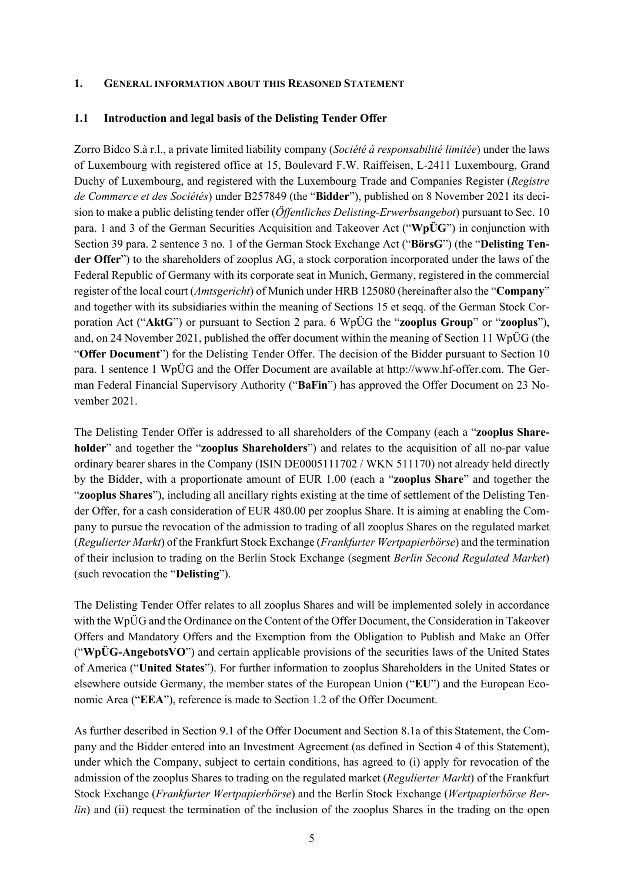#### **1. GENERAL INFORMATION ABOUT THIS REASONED STATEMENT**

#### **1.1 Introduction and legal basis of the Delisting Tender Offer**

Zorro Bidco S.à r.l., a private limited liability company (*Société à responsabilité limitée*) under the laws of Luxembourg with registered office at 15, Boulevard F.W. Raiffeisen, L-2411 Luxembourg, Grand Duchy of Luxembourg, and registered with the Luxembourg Trade and Companies Register (*Registre de Commerce et des Sociétés*) under B257849 (the "**Bidder**"), published on 8 November 2021 its decision to make a public delisting tender offer (*Öffentliches Delisting-Erwerbsangebot*) pursuant to Sec. 10 para. 1 and 3 of the German Securities Acquisition and Takeover Act ("**WpÜG**") in conjunction with Section 39 para. 2 sentence 3 no. 1 of the German Stock Exchange Act ("**BörsG**") (the "**Delisting Tender Offer**") to the shareholders of zooplus AG, a stock corporation incorporated under the laws of the Federal Republic of Germany with its corporate seat in Munich, Germany, registered in the commercial register of the local court (*Amtsgericht*) of Munich under HRB 125080 (hereinafter also the "**Company**" and together with its subsidiaries within the meaning of Sections 15 et seqq. of the German Stock Corporation Act ("**AktG**") or pursuant to Section 2 para. 6 WpÜG the "**zooplus Group**" or "**zooplus**"), and, on 24 November 2021, published the offer document within the meaning of Section 11 WpÜG (the "**Offer Document**") for the Delisting Tender Offer. The decision of the Bidder pursuant to Section 10 para. 1 sentence 1 WpÜG and the Offer Document are available at http://www.hf-offer.com. The German Federal Financial Supervisory Authority ("**BaFin**") has approved the Offer Document on 23 November 2021.

The Delisting Tender Offer is addressed to all shareholders of the Company (each a "**zooplus Shareholder**" and together the "**zooplus Shareholders**") and relates to the acquisition of all no-par value ordinary bearer shares in the Company (ISIN DE0005111702 / WKN 511170) not already held directly by the Bidder, with a proportionate amount of EUR 1.00 (each a "**zooplus Share**" and together the "**zooplus Shares**"), including all ancillary rights existing at the time of settlement of the Delisting Tender Offer, for a cash consideration of EUR 480.00 per zooplus Share. It is aiming at enabling the Company to pursue the revocation of the admission to trading of all zooplus Shares on the regulated market (*Regulierter Markt*) of the Frankfurt Stock Exchange (*Frankfurter Wertpapierbörse*) and the termination of their inclusion to trading on the Berlin Stock Exchange (segment *Berlin Second Regulated Market*) (such revocation the "**Delisting**").

The Delisting Tender Offer relates to all zooplus Shares and will be implemented solely in accordance with the WpÜG and the Ordinance on the Content of the Offer Document, the Consideration in Takeover Offers and Mandatory Offers and the Exemption from the Obligation to Publish and Make an Offer ("**WpÜG-AngebotsVO**") and certain applicable provisions of the securities laws of the United States of America ("**United States**"). For further information to zooplus Shareholders in the United States or elsewhere outside Germany, the member states of the European Union ("**EU**") and the European Economic Area ("**EEA**"), reference is made to Section 1.2 of the Offer Document.

As further described in Section 9.1 of the Offer Document and Section 8.1a of this Statement, the Company and the Bidder entered into an Investment Agreement (as defined in Section 4 of this Statement), under which the Company, subject to certain conditions, has agreed to (i) apply for revocation of the admission of the zooplus Shares to trading on the regulated market (*Regulierter Markt*) of the Frankfurt Stock Exchange (*Frankfurter Wertpapierbörse*) and the Berlin Stock Exchange (*Wertpapierbörse Berlin*) and (ii) request the termination of the inclusion of the zooplus Shares in the trading on the open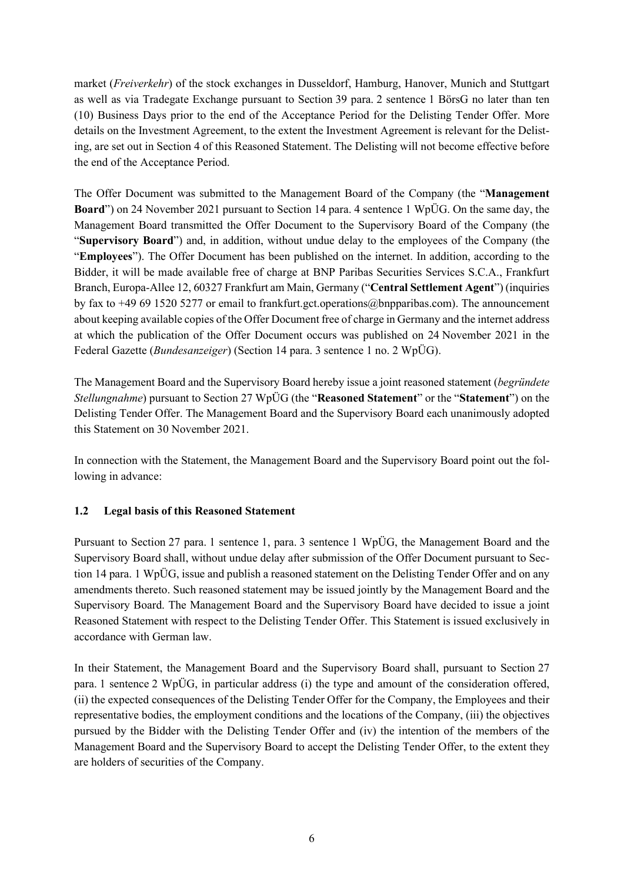market (*Freiverkehr*) of the stock exchanges in Dusseldorf, Hamburg, Hanover, Munich and Stuttgart as well as via Tradegate Exchange pursuant to Section 39 para. 2 sentence 1 BörsG no later than ten (10) Business Days prior to the end of the Acceptance Period for the Delisting Tender Offer. More details on the Investment Agreement, to the extent the Investment Agreement is relevant for the Delisting, are set out in Section 4 of this Reasoned Statement. The Delisting will not become effective before the end of the Acceptance Period.

The Offer Document was submitted to the Management Board of the Company (the "**Management Board**") on 24 November 2021 pursuant to Section 14 para. 4 sentence 1 WpÜG. On the same day, the Management Board transmitted the Offer Document to the Supervisory Board of the Company (the "**Supervisory Board**") and, in addition, without undue delay to the employees of the Company (the "**Employees**"). The Offer Document has been published on the internet. In addition, according to the Bidder, it will be made available free of charge at BNP Paribas Securities Services S.C.A., Frankfurt Branch, Europa-Allee 12, 60327 Frankfurt am Main, Germany ("**Central Settlement Agent**") (inquiries by fax to +49 69 1520 5277 or email to frankfurt.gct.operations@bnpparibas.com). The announcement about keeping available copies of the Offer Document free of charge in Germany and the internet address at which the publication of the Offer Document occurs was published on 24 November 2021 in the Federal Gazette (*Bundesanzeiger*) (Section 14 para. 3 sentence 1 no. 2 WpÜG).

The Management Board and the Supervisory Board hereby issue a joint reasoned statement (*begründete Stellungnahme*) pursuant to Section 27 WpÜG (the "**Reasoned Statement**" or the "**Statement**") on the Delisting Tender Offer. The Management Board and the Supervisory Board each unanimously adopted this Statement on 30 November 2021.

In connection with the Statement, the Management Board and the Supervisory Board point out the following in advance:

#### **1.2 Legal basis of this Reasoned Statement**

Pursuant to Section 27 para. 1 sentence 1, para. 3 sentence 1 WpÜG, the Management Board and the Supervisory Board shall, without undue delay after submission of the Offer Document pursuant to Section 14 para. 1 WpÜG, issue and publish a reasoned statement on the Delisting Tender Offer and on any amendments thereto. Such reasoned statement may be issued jointly by the Management Board and the Supervisory Board. The Management Board and the Supervisory Board have decided to issue a joint Reasoned Statement with respect to the Delisting Tender Offer. This Statement is issued exclusively in accordance with German law.

In their Statement, the Management Board and the Supervisory Board shall, pursuant to Section 27 para. 1 sentence 2 WpÜG, in particular address (i) the type and amount of the consideration offered, (ii) the expected consequences of the Delisting Tender Offer for the Company, the Employees and their representative bodies, the employment conditions and the locations of the Company, (iii) the objectives pursued by the Bidder with the Delisting Tender Offer and (iv) the intention of the members of the Management Board and the Supervisory Board to accept the Delisting Tender Offer, to the extent they are holders of securities of the Company.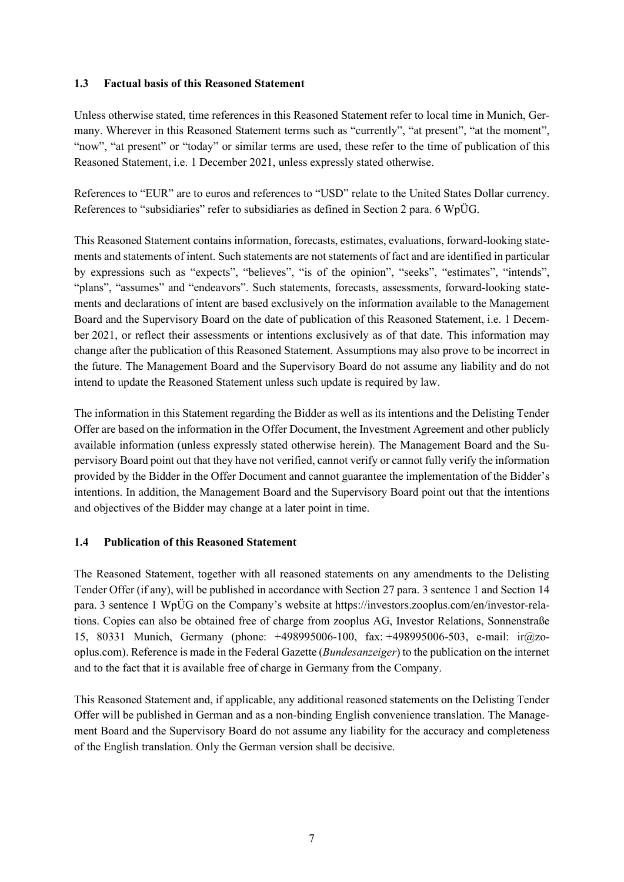#### **1.3 Factual basis of this Reasoned Statement**

Unless otherwise stated, time references in this Reasoned Statement refer to local time in Munich, Germany. Wherever in this Reasoned Statement terms such as "currently", "at present", "at the moment", "now", "at present" or "today" or similar terms are used, these refer to the time of publication of this Reasoned Statement, i.e. 1 December 2021, unless expressly stated otherwise.

References to "EUR" are to euros and references to "USD" relate to the United States Dollar currency. References to "subsidiaries" refer to subsidiaries as defined in Section 2 para. 6 WpÜG.

This Reasoned Statement contains information, forecasts, estimates, evaluations, forward-looking statements and statements of intent. Such statements are not statements of fact and are identified in particular by expressions such as "expects", "believes", "is of the opinion", "seeks", "estimates", "intends", "plans", "assumes" and "endeavors". Such statements, forecasts, assessments, forward-looking statements and declarations of intent are based exclusively on the information available to the Management Board and the Supervisory Board on the date of publication of this Reasoned Statement, i.e. 1 December 2021, or reflect their assessments or intentions exclusively as of that date. This information may change after the publication of this Reasoned Statement. Assumptions may also prove to be incorrect in the future. The Management Board and the Supervisory Board do not assume any liability and do not intend to update the Reasoned Statement unless such update is required by law.

The information in this Statement regarding the Bidder as well as its intentions and the Delisting Tender Offer are based on the information in the Offer Document, the Investment Agreement and other publicly available information (unless expressly stated otherwise herein). The Management Board and the Supervisory Board point out that they have not verified, cannot verify or cannot fully verify the information provided by the Bidder in the Offer Document and cannot guarantee the implementation of the Bidder's intentions. In addition, the Management Board and the Supervisory Board point out that the intentions and objectives of the Bidder may change at a later point in time.

#### **1.4 Publication of this Reasoned Statement**

The Reasoned Statement, together with all reasoned statements on any amendments to the Delisting Tender Offer (if any), will be published in accordance with Section 27 para. 3 sentence 1 and Section 14 para. 3 sentence 1 WpÜG on the Company's website at https://investors.zooplus.com/en/investor-relations. Copies can also be obtained free of charge from zooplus AG, Investor Relations, Sonnenstraße 15, 80331 Munich, Germany (phone: +498995006-100, fax: +498995006-503, e-mail: ir@zooplus.com). Reference is made in the Federal Gazette (*Bundesanzeiger*) to the publication on the internet and to the fact that it is available free of charge in Germany from the Company.

This Reasoned Statement and, if applicable, any additional reasoned statements on the Delisting Tender Offer will be published in German and as a non-binding English convenience translation. The Management Board and the Supervisory Board do not assume any liability for the accuracy and completeness of the English translation. Only the German version shall be decisive.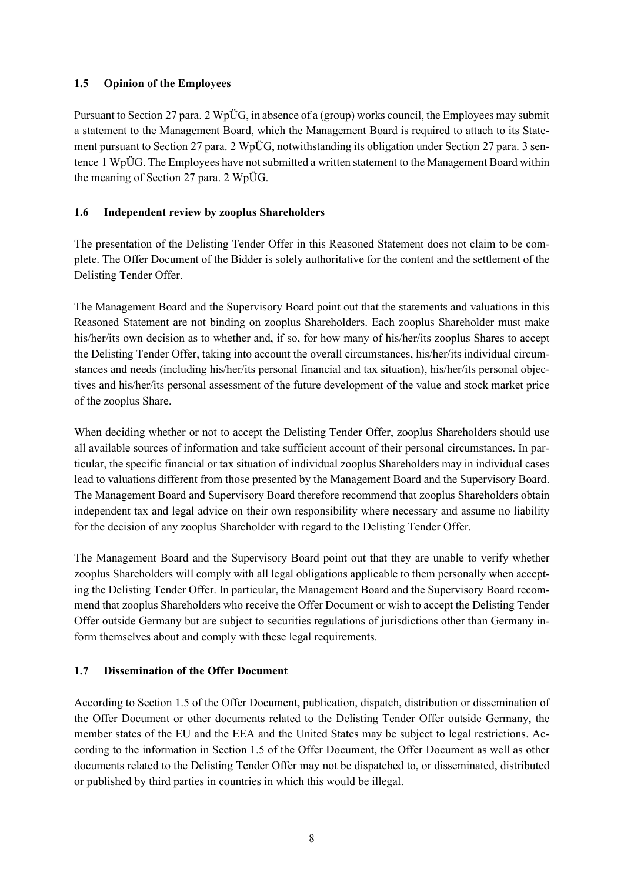## **1.5 Opinion of the Employees**

Pursuant to Section 27 para. 2 WpÜG, in absence of a (group) works council, the Employees may submit a statement to the Management Board, which the Management Board is required to attach to its Statement pursuant to Section 27 para. 2 WpÜG, notwithstanding its obligation under Section 27 para. 3 sentence 1 WpÜG. The Employees have not submitted a written statement to the Management Board within the meaning of Section 27 para. 2 WpÜG.

## **1.6 Independent review by zooplus Shareholders**

The presentation of the Delisting Tender Offer in this Reasoned Statement does not claim to be complete. The Offer Document of the Bidder is solely authoritative for the content and the settlement of the Delisting Tender Offer.

The Management Board and the Supervisory Board point out that the statements and valuations in this Reasoned Statement are not binding on zooplus Shareholders. Each zooplus Shareholder must make his/her/its own decision as to whether and, if so, for how many of his/her/its zooplus Shares to accept the Delisting Tender Offer, taking into account the overall circumstances, his/her/its individual circumstances and needs (including his/her/its personal financial and tax situation), his/her/its personal objectives and his/her/its personal assessment of the future development of the value and stock market price of the zooplus Share.

When deciding whether or not to accept the Delisting Tender Offer, zooplus Shareholders should use all available sources of information and take sufficient account of their personal circumstances. In particular, the specific financial or tax situation of individual zooplus Shareholders may in individual cases lead to valuations different from those presented by the Management Board and the Supervisory Board. The Management Board and Supervisory Board therefore recommend that zooplus Shareholders obtain independent tax and legal advice on their own responsibility where necessary and assume no liability for the decision of any zooplus Shareholder with regard to the Delisting Tender Offer.

The Management Board and the Supervisory Board point out that they are unable to verify whether zooplus Shareholders will comply with all legal obligations applicable to them personally when accepting the Delisting Tender Offer. In particular, the Management Board and the Supervisory Board recommend that zooplus Shareholders who receive the Offer Document or wish to accept the Delisting Tender Offer outside Germany but are subject to securities regulations of jurisdictions other than Germany inform themselves about and comply with these legal requirements.

#### **1.7 Dissemination of the Offer Document**

According to Section 1.5 of the Offer Document, publication, dispatch, distribution or dissemination of the Offer Document or other documents related to the Delisting Tender Offer outside Germany, the member states of the EU and the EEA and the United States may be subject to legal restrictions. According to the information in Section 1.5 of the Offer Document, the Offer Document as well as other documents related to the Delisting Tender Offer may not be dispatched to, or disseminated, distributed or published by third parties in countries in which this would be illegal.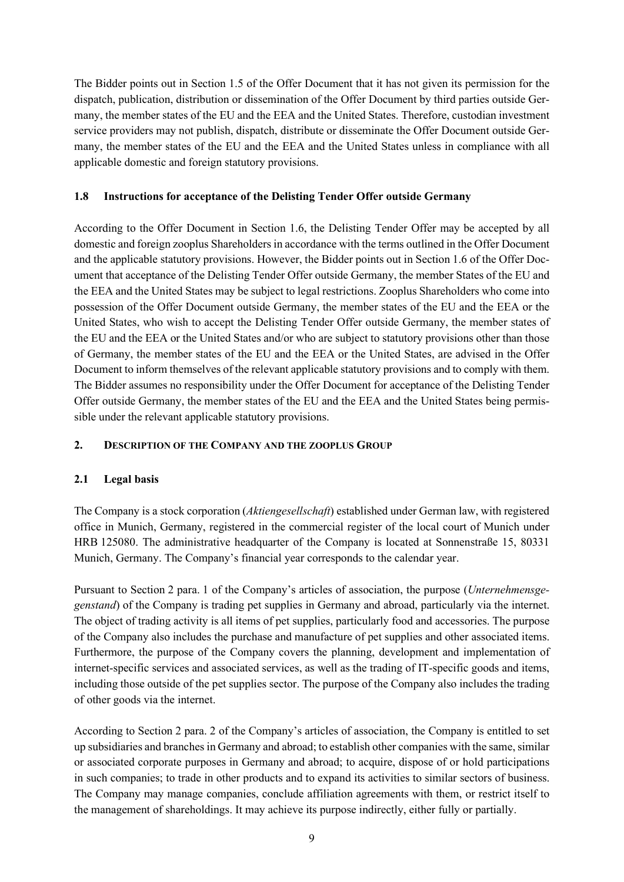The Bidder points out in Section 1.5 of the Offer Document that it has not given its permission for the dispatch, publication, distribution or dissemination of the Offer Document by third parties outside Germany, the member states of the EU and the EEA and the United States. Therefore, custodian investment service providers may not publish, dispatch, distribute or disseminate the Offer Document outside Germany, the member states of the EU and the EEA and the United States unless in compliance with all applicable domestic and foreign statutory provisions.

#### **1.8 Instructions for acceptance of the Delisting Tender Offer outside Germany**

According to the Offer Document in Section 1.6, the Delisting Tender Offer may be accepted by all domestic and foreign zooplus Shareholders in accordance with the terms outlined in the Offer Document and the applicable statutory provisions. However, the Bidder points out in Section 1.6 of the Offer Document that acceptance of the Delisting Tender Offer outside Germany, the member States of the EU and the EEA and the United States may be subject to legal restrictions. Zooplus Shareholders who come into possession of the Offer Document outside Germany, the member states of the EU and the EEA or the United States, who wish to accept the Delisting Tender Offer outside Germany, the member states of the EU and the EEA or the United States and/or who are subject to statutory provisions other than those of Germany, the member states of the EU and the EEA or the United States, are advised in the Offer Document to inform themselves of the relevant applicable statutory provisions and to comply with them. The Bidder assumes no responsibility under the Offer Document for acceptance of the Delisting Tender Offer outside Germany, the member states of the EU and the EEA and the United States being permissible under the relevant applicable statutory provisions.

## **2. DESCRIPTION OF THE COMPANY AND THE ZOOPLUS GROUP**

#### **2.1 Legal basis**

The Company is a stock corporation (*Aktiengesellschaft*) established under German law, with registered office in Munich, Germany, registered in the commercial register of the local court of Munich under HRB 125080. The administrative headquarter of the Company is located at Sonnenstraße 15, 80331 Munich, Germany. The Company's financial year corresponds to the calendar year.

Pursuant to Section 2 para. 1 of the Company's articles of association, the purpose (*Unternehmensgegenstand*) of the Company is trading pet supplies in Germany and abroad, particularly via the internet. The object of trading activity is all items of pet supplies, particularly food and accessories. The purpose of the Company also includes the purchase and manufacture of pet supplies and other associated items. Furthermore, the purpose of the Company covers the planning, development and implementation of internet-specific services and associated services, as well as the trading of IT-specific goods and items, including those outside of the pet supplies sector. The purpose of the Company also includes the trading of other goods via the internet.

According to Section 2 para. 2 of the Company's articles of association, the Company is entitled to set up subsidiaries and branches in Germany and abroad; to establish other companies with the same, similar or associated corporate purposes in Germany and abroad; to acquire, dispose of or hold participations in such companies; to trade in other products and to expand its activities to similar sectors of business. The Company may manage companies, conclude affiliation agreements with them, or restrict itself to the management of shareholdings. It may achieve its purpose indirectly, either fully or partially.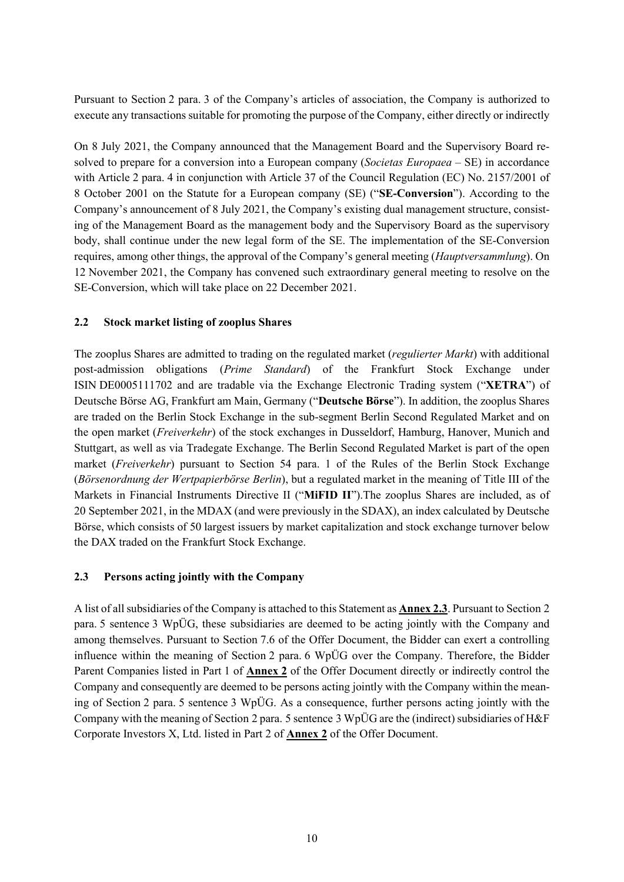Pursuant to Section 2 para. 3 of the Company's articles of association, the Company is authorized to execute any transactions suitable for promoting the purpose of the Company, either directly or indirectly

On 8 July 2021, the Company announced that the Management Board and the Supervisory Board resolved to prepare for a conversion into a European company (*Societas Europaea* – SE) in accordance with Article 2 para. 4 in conjunction with Article 37 of the Council Regulation (EC) No. 2157/2001 of 8 October 2001 on the Statute for a European company (SE) ("**SE-Conversion**"). According to the Company's announcement of 8 July 2021, the Company's existing dual management structure, consisting of the Management Board as the management body and the Supervisory Board as the supervisory body, shall continue under the new legal form of the SE. The implementation of the SE-Conversion requires, among other things, the approval of the Company's general meeting (*Hauptversammlung*). On 12 November 2021, the Company has convened such extraordinary general meeting to resolve on the SE-Conversion, which will take place on 22 December 2021.

#### **2.2 Stock market listing of zooplus Shares**

The zooplus Shares are admitted to trading on the regulated market (*regulierter Markt*) with additional post-admission obligations (*Prime Standard*) of the Frankfurt Stock Exchange under ISIN DE0005111702 and are tradable via the Exchange Electronic Trading system ("**XETRA**") of Deutsche Börse AG, Frankfurt am Main, Germany ("**Deutsche Börse**"). In addition, the zooplus Shares are traded on the Berlin Stock Exchange in the sub-segment Berlin Second Regulated Market and on the open market (*Freiverkehr*) of the stock exchanges in Dusseldorf, Hamburg, Hanover, Munich and Stuttgart, as well as via Tradegate Exchange. The Berlin Second Regulated Market is part of the open market (*Freiverkehr*) pursuant to Section 54 para. 1 of the Rules of the Berlin Stock Exchange (*Börsenordnung der Wertpapierbörse Berlin*), but a regulated market in the meaning of Title III of the Markets in Financial Instruments Directive II ("**MiFID II**").The zooplus Shares are included, as of 20 September 2021, in the MDAX (and were previously in the SDAX), an index calculated by Deutsche Börse, which consists of 50 largest issuers by market capitalization and stock exchange turnover below the DAX traded on the Frankfurt Stock Exchange.

#### **2.3 Persons acting jointly with the Company**

A list of all subsidiaries of the Company is attached to this Statement as **Annex 2.3**. Pursuant to Section 2 para. 5 sentence 3 WpÜG, these subsidiaries are deemed to be acting jointly with the Company and among themselves. Pursuant to Section 7.6 of the Offer Document, the Bidder can exert a controlling influence within the meaning of Section 2 para. 6 WpÜG over the Company. Therefore, the Bidder Parent Companies listed in Part 1 of **Annex 2** of the Offer Document directly or indirectly control the Company and consequently are deemed to be persons acting jointly with the Company within the meaning of Section 2 para. 5 sentence 3 WpÜG. As a consequence, further persons acting jointly with the Company with the meaning of Section 2 para. 5 sentence 3 WpÜG are the (indirect) subsidiaries of H&F Corporate Investors X, Ltd. listed in Part 2 of **Annex 2** of the Offer Document.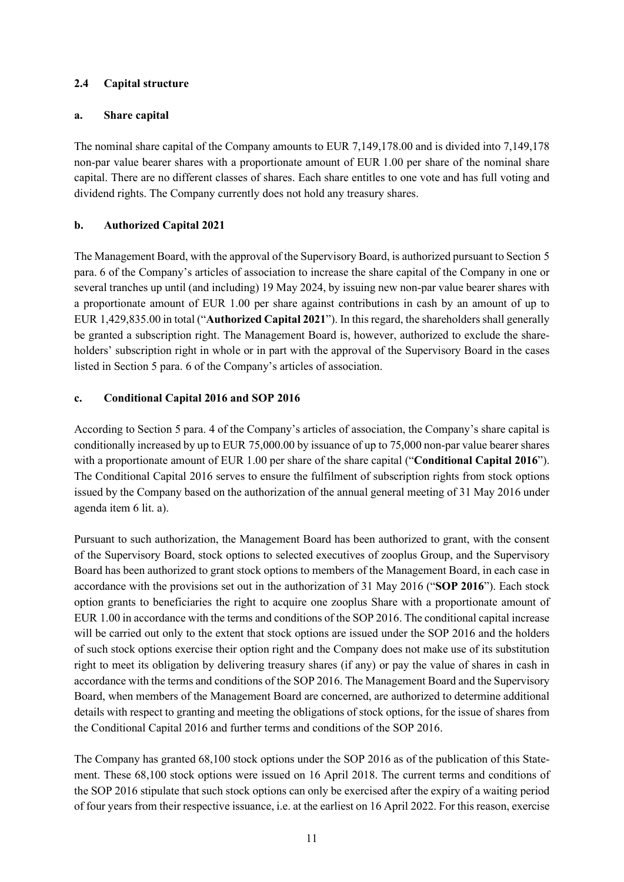## **2.4 Capital structure**

#### **a. Share capital**

The nominal share capital of the Company amounts to EUR 7,149,178.00 and is divided into 7,149,178 non-par value bearer shares with a proportionate amount of EUR 1.00 per share of the nominal share capital. There are no different classes of shares. Each share entitles to one vote and has full voting and dividend rights. The Company currently does not hold any treasury shares.

### **b. Authorized Capital 2021**

The Management Board, with the approval of the Supervisory Board, is authorized pursuant to Section 5 para. 6 of the Company's articles of association to increase the share capital of the Company in one or several tranches up until (and including) 19 May 2024, by issuing new non-par value bearer shares with a proportionate amount of EUR 1.00 per share against contributions in cash by an amount of up to EUR 1,429,835.00 in total ("**Authorized Capital 2021**"). In this regard, the shareholders shall generally be granted a subscription right. The Management Board is, however, authorized to exclude the shareholders' subscription right in whole or in part with the approval of the Supervisory Board in the cases listed in Section 5 para. 6 of the Company's articles of association.

## **c. Conditional Capital 2016 and SOP 2016**

According to Section 5 para. 4 of the Company's articles of association, the Company's share capital is conditionally increased by up to EUR 75,000.00 by issuance of up to 75,000 non-par value bearer shares with a proportionate amount of EUR 1.00 per share of the share capital ("**Conditional Capital 2016**"). The Conditional Capital 2016 serves to ensure the fulfilment of subscription rights from stock options issued by the Company based on the authorization of the annual general meeting of 31 May 2016 under agenda item 6 lit. a).

Pursuant to such authorization, the Management Board has been authorized to grant, with the consent of the Supervisory Board, stock options to selected executives of zooplus Group, and the Supervisory Board has been authorized to grant stock options to members of the Management Board, in each case in accordance with the provisions set out in the authorization of 31 May 2016 ("**SOP 2016**"). Each stock option grants to beneficiaries the right to acquire one zooplus Share with a proportionate amount of EUR 1.00 in accordance with the terms and conditions of the SOP 2016. The conditional capital increase will be carried out only to the extent that stock options are issued under the SOP 2016 and the holders of such stock options exercise their option right and the Company does not make use of its substitution right to meet its obligation by delivering treasury shares (if any) or pay the value of shares in cash in accordance with the terms and conditions of the SOP 2016. The Management Board and the Supervisory Board, when members of the Management Board are concerned, are authorized to determine additional details with respect to granting and meeting the obligations of stock options, for the issue of shares from the Conditional Capital 2016 and further terms and conditions of the SOP 2016.

The Company has granted 68,100 stock options under the SOP 2016 as of the publication of this Statement. These 68,100 stock options were issued on 16 April 2018. The current terms and conditions of the SOP 2016 stipulate that such stock options can only be exercised after the expiry of a waiting period of four years from their respective issuance, i.e. at the earliest on 16 April 2022. For this reason, exercise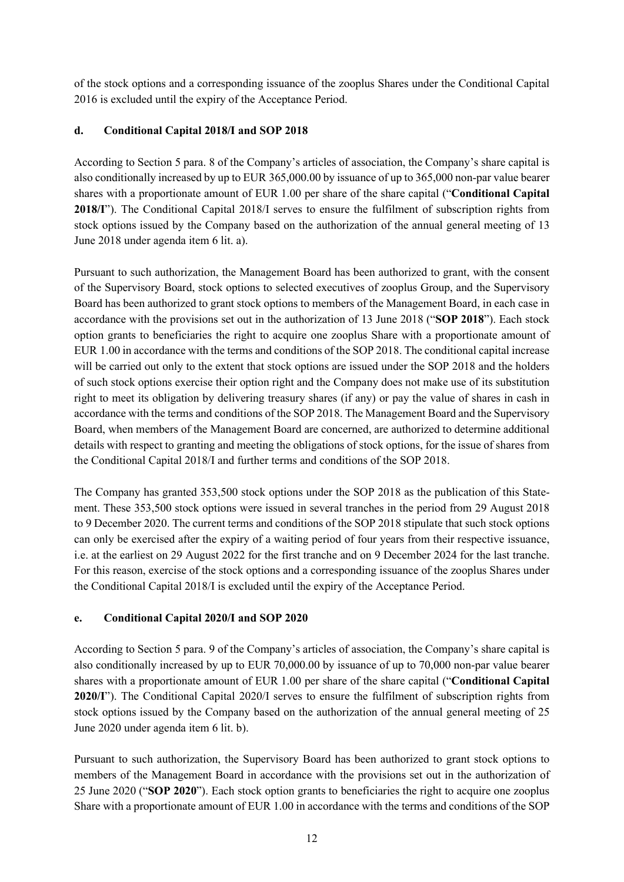of the stock options and a corresponding issuance of the zooplus Shares under the Conditional Capital 2016 is excluded until the expiry of the Acceptance Period.

## **d. Conditional Capital 2018/I and SOP 2018**

According to Section 5 para. 8 of the Company's articles of association, the Company's share capital is also conditionally increased by up to EUR 365,000.00 by issuance of up to 365,000 non-par value bearer shares with a proportionate amount of EUR 1.00 per share of the share capital ("**Conditional Capital 2018/I**"). The Conditional Capital 2018/I serves to ensure the fulfilment of subscription rights from stock options issued by the Company based on the authorization of the annual general meeting of 13 June 2018 under agenda item 6 lit. a).

Pursuant to such authorization, the Management Board has been authorized to grant, with the consent of the Supervisory Board, stock options to selected executives of zooplus Group, and the Supervisory Board has been authorized to grant stock options to members of the Management Board, in each case in accordance with the provisions set out in the authorization of 13 June 2018 ("**SOP 2018**"). Each stock option grants to beneficiaries the right to acquire one zooplus Share with a proportionate amount of EUR 1.00 in accordance with the terms and conditions of the SOP 2018. The conditional capital increase will be carried out only to the extent that stock options are issued under the SOP 2018 and the holders of such stock options exercise their option right and the Company does not make use of its substitution right to meet its obligation by delivering treasury shares (if any) or pay the value of shares in cash in accordance with the terms and conditions of the SOP 2018. The Management Board and the Supervisory Board, when members of the Management Board are concerned, are authorized to determine additional details with respect to granting and meeting the obligations of stock options, for the issue of shares from the Conditional Capital 2018/I and further terms and conditions of the SOP 2018.

The Company has granted 353,500 stock options under the SOP 2018 as the publication of this Statement. These 353,500 stock options were issued in several tranches in the period from 29 August 2018 to 9 December 2020. The current terms and conditions of the SOP 2018 stipulate that such stock options can only be exercised after the expiry of a waiting period of four years from their respective issuance, i.e. at the earliest on 29 August 2022 for the first tranche and on 9 December 2024 for the last tranche. For this reason, exercise of the stock options and a corresponding issuance of the zooplus Shares under the Conditional Capital 2018/I is excluded until the expiry of the Acceptance Period.

#### **e. Conditional Capital 2020/I and SOP 2020**

According to Section 5 para. 9 of the Company's articles of association, the Company's share capital is also conditionally increased by up to EUR 70,000.00 by issuance of up to 70,000 non-par value bearer shares with a proportionate amount of EUR 1.00 per share of the share capital ("**Conditional Capital 2020/I**"). The Conditional Capital 2020/I serves to ensure the fulfilment of subscription rights from stock options issued by the Company based on the authorization of the annual general meeting of 25 June 2020 under agenda item 6 lit. b).

Pursuant to such authorization, the Supervisory Board has been authorized to grant stock options to members of the Management Board in accordance with the provisions set out in the authorization of 25 June 2020 ("**SOP 2020**"). Each stock option grants to beneficiaries the right to acquire one zooplus Share with a proportionate amount of EUR 1.00 in accordance with the terms and conditions of the SOP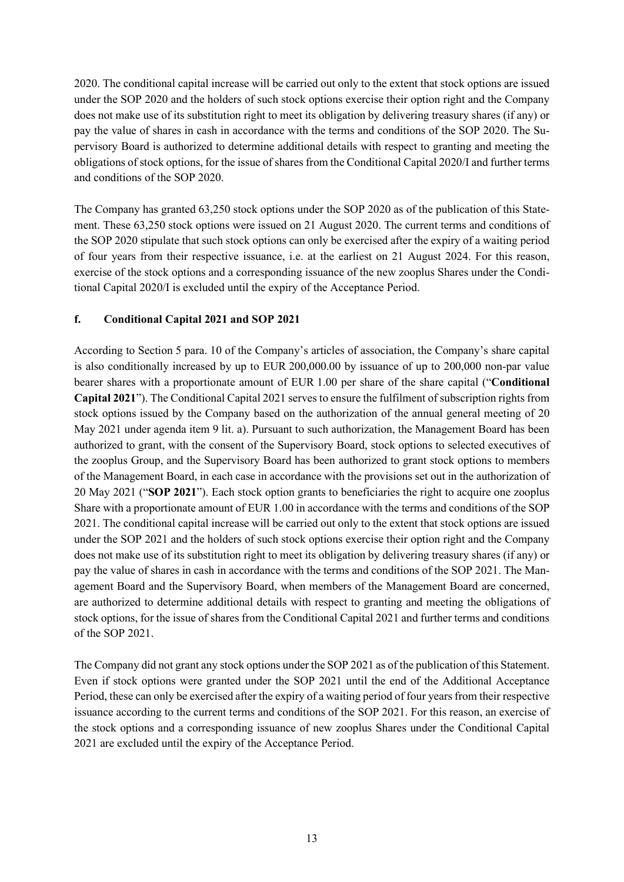2020. The conditional capital increase will be carried out only to the extent that stock options are issued under the SOP 2020 and the holders of such stock options exercise their option right and the Company does not make use of its substitution right to meet its obligation by delivering treasury shares (if any) or pay the value of shares in cash in accordance with the terms and conditions of the SOP 2020. The Supervisory Board is authorized to determine additional details with respect to granting and meeting the obligations of stock options, for the issue of shares from the Conditional Capital 2020/I and further terms and conditions of the SOP 2020.

The Company has granted 63,250 stock options under the SOP 2020 as of the publication of this Statement. These 63,250 stock options were issued on 21 August 2020. The current terms and conditions of the SOP 2020 stipulate that such stock options can only be exercised after the expiry of a waiting period of four years from their respective issuance, i.e. at the earliest on 21 August 2024. For this reason, exercise of the stock options and a corresponding issuance of the new zooplus Shares under the Conditional Capital 2020/I is excluded until the expiry of the Acceptance Period.

#### **f. Conditional Capital 2021 and SOP 2021**

According to Section 5 para. 10 of the Company's articles of association, the Company's share capital is also conditionally increased by up to EUR 200,000.00 by issuance of up to 200,000 non-par value bearer shares with a proportionate amount of EUR 1.00 per share of the share capital ("**Conditional Capital 2021**"). The Conditional Capital 2021 serves to ensure the fulfilment of subscription rights from stock options issued by the Company based on the authorization of the annual general meeting of 20 May 2021 under agenda item 9 lit. a). Pursuant to such authorization, the Management Board has been authorized to grant, with the consent of the Supervisory Board, stock options to selected executives of the zooplus Group, and the Supervisory Board has been authorized to grant stock options to members of the Management Board, in each case in accordance with the provisions set out in the authorization of 20 May 2021 ("**SOP 2021**"). Each stock option grants to beneficiaries the right to acquire one zooplus Share with a proportionate amount of EUR 1.00 in accordance with the terms and conditions of the SOP 2021. The conditional capital increase will be carried out only to the extent that stock options are issued under the SOP 2021 and the holders of such stock options exercise their option right and the Company does not make use of its substitution right to meet its obligation by delivering treasury shares (if any) or pay the value of shares in cash in accordance with the terms and conditions of the SOP 2021. The Management Board and the Supervisory Board, when members of the Management Board are concerned, are authorized to determine additional details with respect to granting and meeting the obligations of stock options, for the issue of shares from the Conditional Capital 2021 and further terms and conditions of the SOP 2021.

The Company did not grant any stock options under the SOP 2021 as of the publication of this Statement. Even if stock options were granted under the SOP 2021 until the end of the Additional Acceptance Period, these can only be exercised after the expiry of a waiting period of four years from their respective issuance according to the current terms and conditions of the SOP 2021. For this reason, an exercise of the stock options and a corresponding issuance of new zooplus Shares under the Conditional Capital 2021 are excluded until the expiry of the Acceptance Period.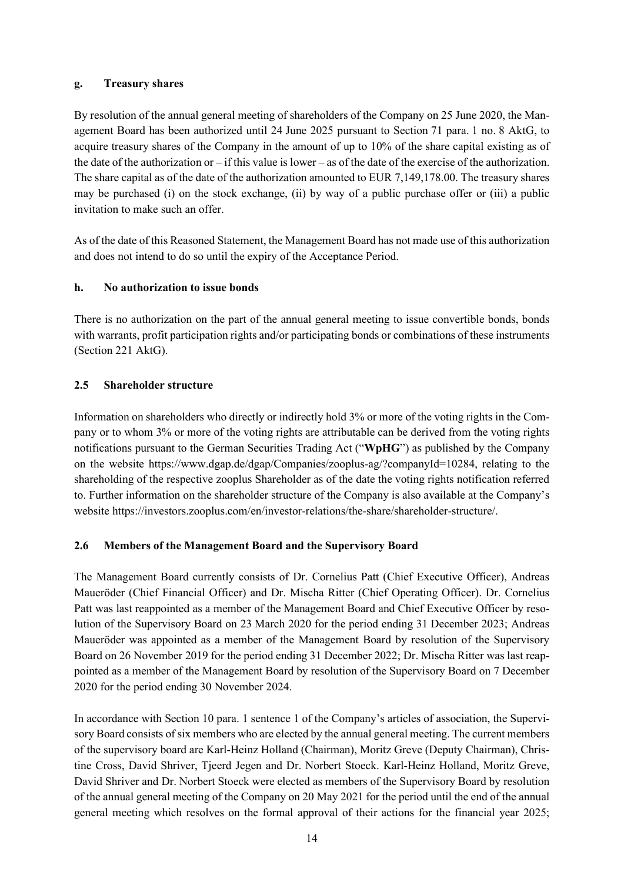#### **g. Treasury shares**

By resolution of the annual general meeting of shareholders of the Company on 25 June 2020, the Management Board has been authorized until 24 June 2025 pursuant to Section 71 para. 1 no. 8 AktG, to acquire treasury shares of the Company in the amount of up to 10% of the share capital existing as of the date of the authorization or – if this value is lower – as of the date of the exercise of the authorization. The share capital as of the date of the authorization amounted to EUR 7,149,178.00. The treasury shares may be purchased (i) on the stock exchange, (ii) by way of a public purchase offer or (iii) a public invitation to make such an offer.

As of the date of this Reasoned Statement, the Management Board has not made use of this authorization and does not intend to do so until the expiry of the Acceptance Period.

#### **h. No authorization to issue bonds**

There is no authorization on the part of the annual general meeting to issue convertible bonds, bonds with warrants, profit participation rights and/or participating bonds or combinations of these instruments (Section 221 AktG).

#### **2.5 Shareholder structure**

Information on shareholders who directly or indirectly hold 3% or more of the voting rights in the Company or to whom 3% or more of the voting rights are attributable can be derived from the voting rights notifications pursuant to the German Securities Trading Act ("**WpHG**") as published by the Company on the website https://www.dgap.de/dgap/Companies/zooplus-ag/?companyId=10284, relating to the shareholding of the respective zooplus Shareholder as of the date the voting rights notification referred to. Further information on the shareholder structure of the Company is also available at the Company's website https://investors.zooplus.com/en/investor-relations/the-share/shareholder-structure/.

#### **2.6 Members of the Management Board and the Supervisory Board**

The Management Board currently consists of Dr. Cornelius Patt (Chief Executive Officer), Andreas Maueröder (Chief Financial Officer) and Dr. Mischa Ritter (Chief Operating Officer). Dr. Cornelius Patt was last reappointed as a member of the Management Board and Chief Executive Officer by resolution of the Supervisory Board on 23 March 2020 for the period ending 31 December 2023; Andreas Maueröder was appointed as a member of the Management Board by resolution of the Supervisory Board on 26 November 2019 for the period ending 31 December 2022; Dr. Mischa Ritter was last reappointed as a member of the Management Board by resolution of the Supervisory Board on 7 December 2020 for the period ending 30 November 2024.

In accordance with Section 10 para. 1 sentence 1 of the Company's articles of association, the Supervisory Board consists of six members who are elected by the annual general meeting. The current members of the supervisory board are Karl-Heinz Holland (Chairman), Moritz Greve (Deputy Chairman), Christine Cross, David Shriver, Tjeerd Jegen and Dr. Norbert Stoeck. Karl-Heinz Holland, Moritz Greve, David Shriver and Dr. Norbert Stoeck were elected as members of the Supervisory Board by resolution of the annual general meeting of the Company on 20 May 2021 for the period until the end of the annual general meeting which resolves on the formal approval of their actions for the financial year 2025;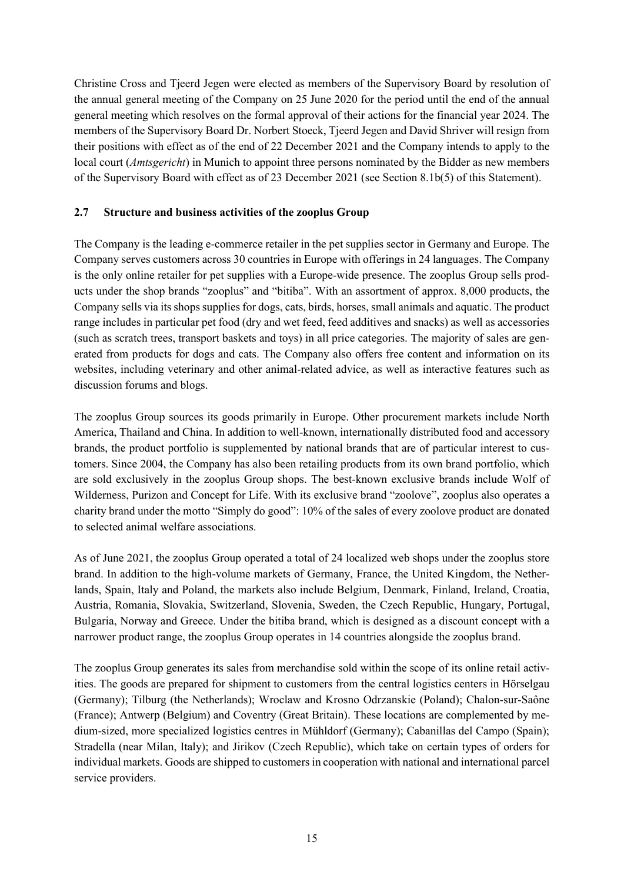Christine Cross and Tjeerd Jegen were elected as members of the Supervisory Board by resolution of the annual general meeting of the Company on 25 June 2020 for the period until the end of the annual general meeting which resolves on the formal approval of their actions for the financial year 2024. The members of the Supervisory Board Dr. Norbert Stoeck, Tjeerd Jegen and David Shriver will resign from their positions with effect as of the end of 22 December 2021 and the Company intends to apply to the local court (*Amtsgericht*) in Munich to appoint three persons nominated by the Bidder as new members of the Supervisory Board with effect as of 23 December 2021 (see Section 8.1b(5) of this Statement).

## **2.7 Structure and business activities of the zooplus Group**

The Company is the leading e-commerce retailer in the pet supplies sector in Germany and Europe. The Company serves customers across 30 countries in Europe with offerings in 24 languages. The Company is the only online retailer for pet supplies with a Europe-wide presence. The zooplus Group sells products under the shop brands "zooplus" and "bitiba". With an assortment of approx. 8,000 products, the Company sells via its shops supplies for dogs, cats, birds, horses, small animals and aquatic. The product range includes in particular pet food (dry and wet feed, feed additives and snacks) as well as accessories (such as scratch trees, transport baskets and toys) in all price categories. The majority of sales are generated from products for dogs and cats. The Company also offers free content and information on its websites, including veterinary and other animal-related advice, as well as interactive features such as discussion forums and blogs.

The zooplus Group sources its goods primarily in Europe. Other procurement markets include North America, Thailand and China. In addition to well-known, internationally distributed food and accessory brands, the product portfolio is supplemented by national brands that are of particular interest to customers. Since 2004, the Company has also been retailing products from its own brand portfolio, which are sold exclusively in the zooplus Group shops. The best-known exclusive brands include Wolf of Wilderness, Purizon and Concept for Life. With its exclusive brand "zoolove", zooplus also operates a charity brand under the motto "Simply do good": 10% of the sales of every zoolove product are donated to selected animal welfare associations.

As of June 2021, the zooplus Group operated a total of 24 localized web shops under the zooplus store brand. In addition to the high-volume markets of Germany, France, the United Kingdom, the Netherlands, Spain, Italy and Poland, the markets also include Belgium, Denmark, Finland, Ireland, Croatia, Austria, Romania, Slovakia, Switzerland, Slovenia, Sweden, the Czech Republic, Hungary, Portugal, Bulgaria, Norway and Greece. Under the bitiba brand, which is designed as a discount concept with a narrower product range, the zooplus Group operates in 14 countries alongside the zooplus brand.

The zooplus Group generates its sales from merchandise sold within the scope of its online retail activities. The goods are prepared for shipment to customers from the central logistics centers in Hörselgau (Germany); Tilburg (the Netherlands); Wroclaw and Krosno Odrzanskie (Poland); Chalon-sur-Saône (France); Antwerp (Belgium) and Coventry (Great Britain). These locations are complemented by medium-sized, more specialized logistics centres in Mühldorf (Germany); Cabanillas del Campo (Spain); Stradella (near Milan, Italy); and Jirikov (Czech Republic), which take on certain types of orders for individual markets. Goods are shipped to customers in cooperation with national and international parcel service providers.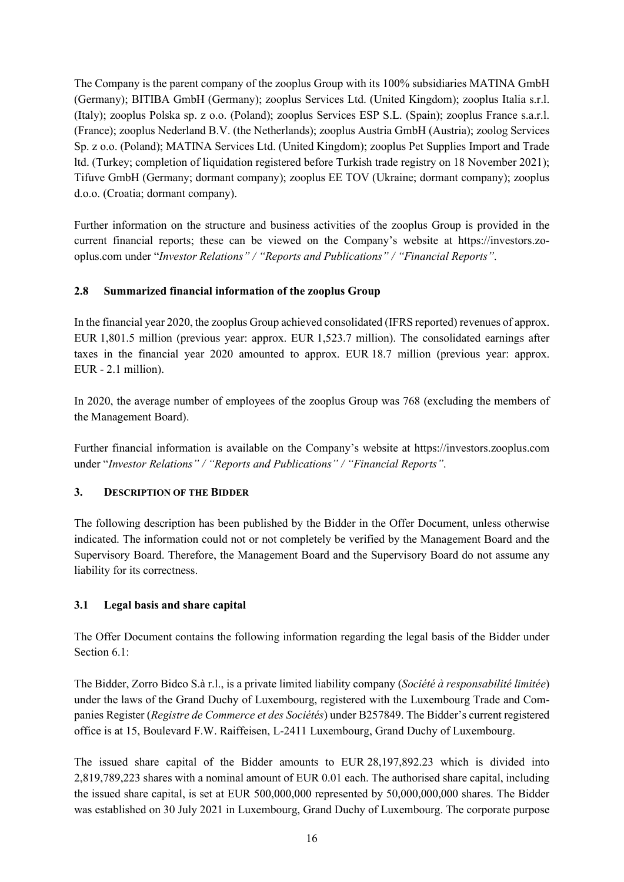The Company is the parent company of the zooplus Group with its 100% subsidiaries MATINA GmbH (Germany); BITIBA GmbH (Germany); zooplus Services Ltd. (United Kingdom); zooplus Italia s.r.l. (Italy); zooplus Polska sp. z o.o. (Poland); zooplus Services ESP S.L. (Spain); zooplus France s.a.r.l. (France); zooplus Nederland B.V. (the Netherlands); zooplus Austria GmbH (Austria); zoolog Services Sp. z o.o. (Poland); MATINA Services Ltd. (United Kingdom); zooplus Pet Supplies Import and Trade ltd. (Turkey; completion of liquidation registered before Turkish trade registry on 18 November 2021); Tifuve GmbH (Germany; dormant company); zooplus EE TOV (Ukraine; dormant company); zooplus d.o.o. (Croatia; dormant company).

Further information on the structure and business activities of the zooplus Group is provided in the current financial reports; these can be viewed on the Company's website at https://investors.zooplus.com under "*Investor Relations" / "Reports and Publications" / "Financial Reports"*.

# **2.8 Summarized financial information of the zooplus Group**

In the financial year 2020, the zooplus Group achieved consolidated (IFRS reported) revenues of approx. EUR 1,801.5 million (previous year: approx. EUR 1,523.7 million). The consolidated earnings after taxes in the financial year 2020 amounted to approx. EUR 18.7 million (previous year: approx. EUR - 2.1 million).

In 2020, the average number of employees of the zooplus Group was 768 (excluding the members of the Management Board).

Further financial information is available on the Company's website at https://investors.zooplus.com under "*Investor Relations" / "Reports and Publications" / "Financial Reports"*.

#### **3. DESCRIPTION OF THE BIDDER**

The following description has been published by the Bidder in the Offer Document, unless otherwise indicated. The information could not or not completely be verified by the Management Board and the Supervisory Board. Therefore, the Management Board and the Supervisory Board do not assume any liability for its correctness.

#### **3.1 Legal basis and share capital**

The Offer Document contains the following information regarding the legal basis of the Bidder under Section 6.1:

The Bidder, Zorro Bidco S.à r.l., is a private limited liability company (*Société à responsabilité limitée*) under the laws of the Grand Duchy of Luxembourg, registered with the Luxembourg Trade and Companies Register (*Registre de Commerce et des Sociétés*) under B257849. The Bidder's current registered office is at 15, Boulevard F.W. Raiffeisen, L-2411 Luxembourg, Grand Duchy of Luxembourg.

The issued share capital of the Bidder amounts to EUR 28,197,892.23 which is divided into 2,819,789,223 shares with a nominal amount of EUR 0.01 each. The authorised share capital, including the issued share capital, is set at EUR 500,000,000 represented by 50,000,000,000 shares. The Bidder was established on 30 July 2021 in Luxembourg, Grand Duchy of Luxembourg. The corporate purpose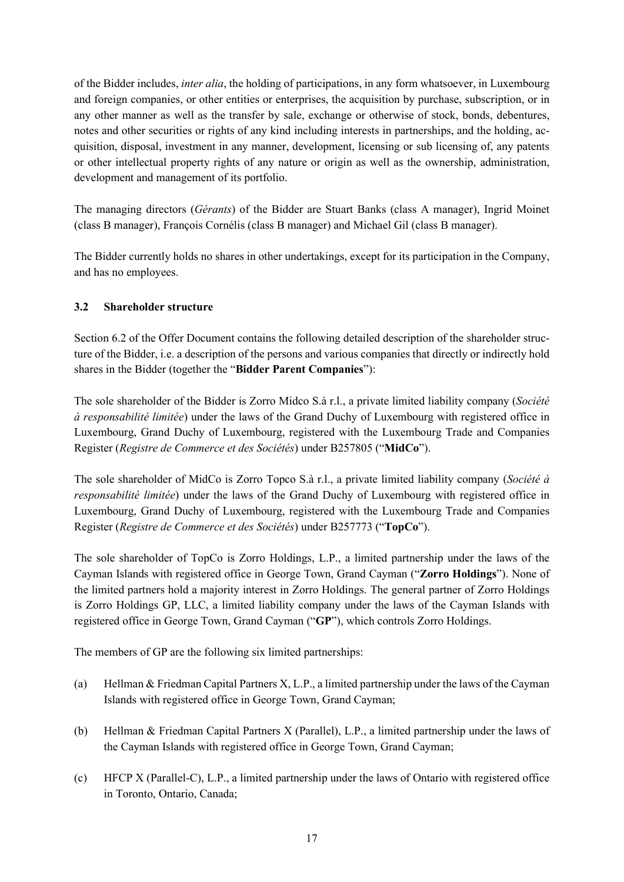of the Bidder includes, *inter alia*, the holding of participations, in any form whatsoever, in Luxembourg and foreign companies, or other entities or enterprises, the acquisition by purchase, subscription, or in any other manner as well as the transfer by sale, exchange or otherwise of stock, bonds, debentures, notes and other securities or rights of any kind including interests in partnerships, and the holding, acquisition, disposal, investment in any manner, development, licensing or sub licensing of, any patents or other intellectual property rights of any nature or origin as well as the ownership, administration, development and management of its portfolio.

The managing directors (*Gérants*) of the Bidder are Stuart Banks (class A manager), Ingrid Moinet (class B manager), François Cornélis (class B manager) and Michael Gil (class B manager).

The Bidder currently holds no shares in other undertakings, except for its participation in the Company, and has no employees.

# **3.2 Shareholder structure**

Section 6.2 of the Offer Document contains the following detailed description of the shareholder structure of the Bidder, i.e. a description of the persons and various companies that directly or indirectly hold shares in the Bidder (together the "**Bidder Parent Companies**"):

The sole shareholder of the Bidder is Zorro Midco S.à r.l., a private limited liability company (*Société à responsabilité limitée*) under the laws of the Grand Duchy of Luxembourg with registered office in Luxembourg, Grand Duchy of Luxembourg, registered with the Luxembourg Trade and Companies Register (*Registre de Commerce et des Sociétés*) under B257805 ("**MidCo**").

The sole shareholder of MidCo is Zorro Topco S.à r.l., a private limited liability company (*Société à responsabilité limitée*) under the laws of the Grand Duchy of Luxembourg with registered office in Luxembourg, Grand Duchy of Luxembourg, registered with the Luxembourg Trade and Companies Register (*Registre de Commerce et des Sociétés*) under B257773 ("**TopCo**").

The sole shareholder of TopCo is Zorro Holdings, L.P., a limited partnership under the laws of the Cayman Islands with registered office in George Town, Grand Cayman ("**Zorro Holdings**"). None of the limited partners hold a majority interest in Zorro Holdings. The general partner of Zorro Holdings is Zorro Holdings GP, LLC, a limited liability company under the laws of the Cayman Islands with registered office in George Town, Grand Cayman ("**GP**"), which controls Zorro Holdings.

The members of GP are the following six limited partnerships:

- (a) Hellman & Friedman Capital Partners X, L.P., a limited partnership under the laws of the Cayman Islands with registered office in George Town, Grand Cayman;
- (b) Hellman & Friedman Capital Partners X (Parallel), L.P., a limited partnership under the laws of the Cayman Islands with registered office in George Town, Grand Cayman;
- (c) HFCP X (Parallel-C), L.P., a limited partnership under the laws of Ontario with registered office in Toronto, Ontario, Canada;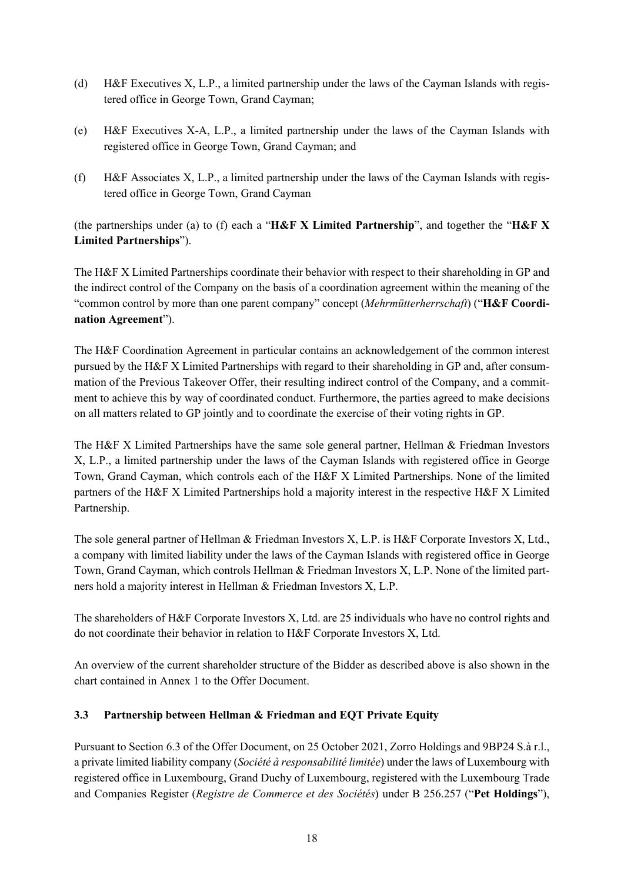- (d) H&F Executives X, L.P., a limited partnership under the laws of the Cayman Islands with registered office in George Town, Grand Cayman;
- (e) H&F Executives X-A, L.P., a limited partnership under the laws of the Cayman Islands with registered office in George Town, Grand Cayman; and
- (f) H&F Associates X, L.P., a limited partnership under the laws of the Cayman Islands with registered office in George Town, Grand Cayman

(the partnerships under (a) to (f) each a "**H&F X Limited Partnership**", and together the "**H&F X Limited Partnerships**").

The H&F X Limited Partnerships coordinate their behavior with respect to their shareholding in GP and the indirect control of the Company on the basis of a coordination agreement within the meaning of the "common control by more than one parent company" concept (*Mehrmütterherrschaft*) ("**H&F Coordination Agreement**").

The H&F Coordination Agreement in particular contains an acknowledgement of the common interest pursued by the H&F X Limited Partnerships with regard to their shareholding in GP and, after consummation of the Previous Takeover Offer, their resulting indirect control of the Company, and a commitment to achieve this by way of coordinated conduct. Furthermore, the parties agreed to make decisions on all matters related to GP jointly and to coordinate the exercise of their voting rights in GP.

The H&F X Limited Partnerships have the same sole general partner, Hellman & Friedman Investors X, L.P., a limited partnership under the laws of the Cayman Islands with registered office in George Town, Grand Cayman, which controls each of the H&F X Limited Partnerships. None of the limited partners of the H&F X Limited Partnerships hold a majority interest in the respective H&F X Limited Partnership.

The sole general partner of Hellman & Friedman Investors X, L.P. is H&F Corporate Investors X, Ltd., a company with limited liability under the laws of the Cayman Islands with registered office in George Town, Grand Cayman, which controls Hellman & Friedman Investors X, L.P. None of the limited partners hold a majority interest in Hellman & Friedman Investors X, L.P.

The shareholders of H&F Corporate Investors X, Ltd. are 25 individuals who have no control rights and do not coordinate their behavior in relation to H&F Corporate Investors X, Ltd.

An overview of the current shareholder structure of the Bidder as described above is also shown in the chart contained in Annex 1 to the Offer Document.

# **3.3 Partnership between Hellman & Friedman and EQT Private Equity**

Pursuant to Section 6.3 of the Offer Document, on 25 October 2021, Zorro Holdings and 9BP24 S.à r.l., a private limited liability company (*Société à responsabilité limitée*) under the laws of Luxembourg with registered office in Luxembourg, Grand Duchy of Luxembourg, registered with the Luxembourg Trade and Companies Register (*Registre de Commerce et des Sociétés*) under B 256.257 ("**Pet Holdings**"),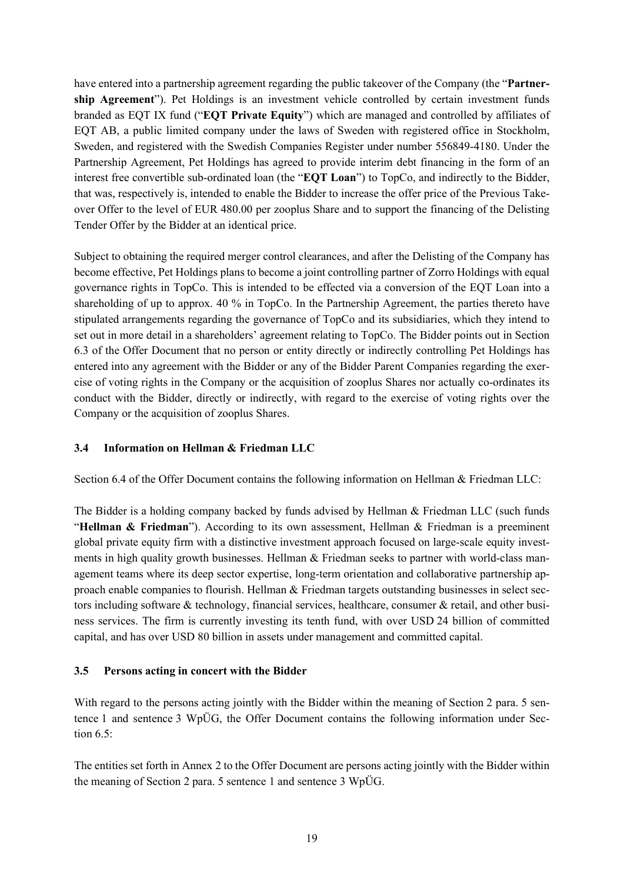have entered into a partnership agreement regarding the public takeover of the Company (the "**Partnership Agreement**"). Pet Holdings is an investment vehicle controlled by certain investment funds branded as EQT IX fund ("**EQT Private Equity**") which are managed and controlled by affiliates of EQT AB, a public limited company under the laws of Sweden with registered office in Stockholm, Sweden, and registered with the Swedish Companies Register under number 556849-4180. Under the Partnership Agreement, Pet Holdings has agreed to provide interim debt financing in the form of an interest free convertible sub-ordinated loan (the "**EQT Loan**") to TopCo, and indirectly to the Bidder, that was, respectively is, intended to enable the Bidder to increase the offer price of the Previous Takeover Offer to the level of EUR 480.00 per zooplus Share and to support the financing of the Delisting Tender Offer by the Bidder at an identical price.

Subject to obtaining the required merger control clearances, and after the Delisting of the Company has become effective, Pet Holdings plans to become a joint controlling partner of Zorro Holdings with equal governance rights in TopCo. This is intended to be effected via a conversion of the EQT Loan into a shareholding of up to approx. 40 % in TopCo. In the Partnership Agreement, the parties thereto have stipulated arrangements regarding the governance of TopCo and its subsidiaries, which they intend to set out in more detail in a shareholders' agreement relating to TopCo. The Bidder points out in Section 6.3 of the Offer Document that no person or entity directly or indirectly controlling Pet Holdings has entered into any agreement with the Bidder or any of the Bidder Parent Companies regarding the exercise of voting rights in the Company or the acquisition of zooplus Shares nor actually co-ordinates its conduct with the Bidder, directly or indirectly, with regard to the exercise of voting rights over the Company or the acquisition of zooplus Shares.

#### **3.4 Information on Hellman & Friedman LLC**

Section 6.4 of the Offer Document contains the following information on Hellman & Friedman LLC:

The Bidder is a holding company backed by funds advised by Hellman & Friedman LLC (such funds "**Hellman & Friedman**"). According to its own assessment, Hellman & Friedman is a preeminent global private equity firm with a distinctive investment approach focused on large-scale equity investments in high quality growth businesses. Hellman & Friedman seeks to partner with world-class management teams where its deep sector expertise, long-term orientation and collaborative partnership approach enable companies to flourish. Hellman & Friedman targets outstanding businesses in select sectors including software & technology, financial services, healthcare, consumer & retail, and other business services. The firm is currently investing its tenth fund, with over USD 24 billion of committed capital, and has over USD 80 billion in assets under management and committed capital.

#### **3.5 Persons acting in concert with the Bidder**

With regard to the persons acting jointly with the Bidder within the meaning of Section 2 para. 5 sentence 1 and sentence 3 WpÜG, the Offer Document contains the following information under Section 6.5:

The entities set forth in Annex 2 to the Offer Document are persons acting jointly with the Bidder within the meaning of Section 2 para. 5 sentence 1 and sentence 3 WpÜG.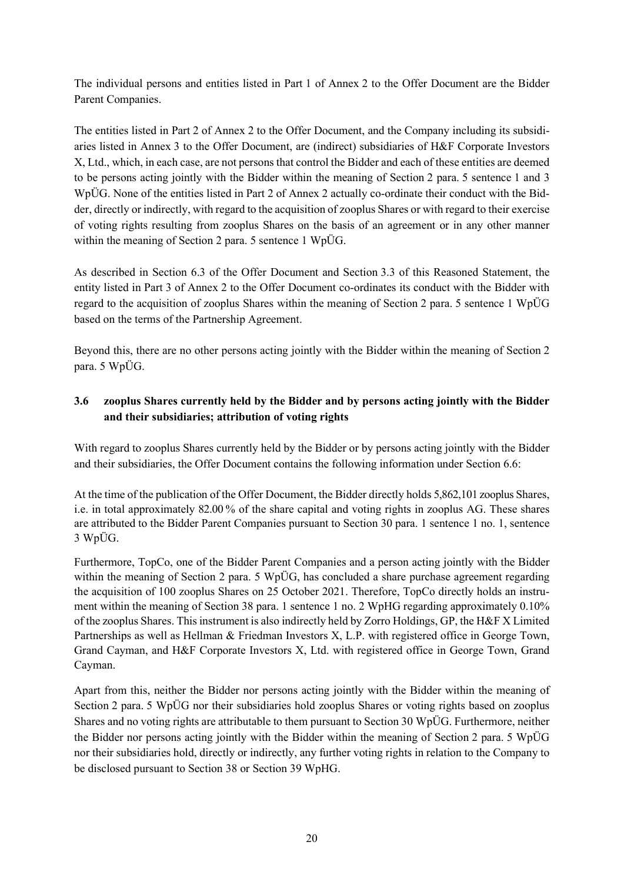The individual persons and entities listed in Part 1 of Annex 2 to the Offer Document are the Bidder Parent Companies.

The entities listed in Part 2 of Annex 2 to the Offer Document, and the Company including its subsidiaries listed in Annex 3 to the Offer Document, are (indirect) subsidiaries of H&F Corporate Investors X, Ltd., which, in each case, are not persons that control the Bidder and each of these entities are deemed to be persons acting jointly with the Bidder within the meaning of Section 2 para. 5 sentence 1 and 3 WpÜG. None of the entities listed in Part 2 of Annex 2 actually co-ordinate their conduct with the Bidder, directly or indirectly, with regard to the acquisition of zooplus Shares or with regard to their exercise of voting rights resulting from zooplus Shares on the basis of an agreement or in any other manner within the meaning of Section 2 para. 5 sentence 1 WpÜG.

As described in Section 6.3 of the Offer Document and Section 3.3 of this Reasoned Statement, the entity listed in Part 3 of Annex 2 to the Offer Document co-ordinates its conduct with the Bidder with regard to the acquisition of zooplus Shares within the meaning of Section 2 para. 5 sentence 1 WpÜG based on the terms of the Partnership Agreement.

Beyond this, there are no other persons acting jointly with the Bidder within the meaning of Section 2 para. 5 WpÜG.

# **3.6 zooplus Shares currently held by the Bidder and by persons acting jointly with the Bidder and their subsidiaries; attribution of voting rights**

With regard to zooplus Shares currently held by the Bidder or by persons acting jointly with the Bidder and their subsidiaries, the Offer Document contains the following information under Section 6.6:

At the time of the publication of the Offer Document, the Bidder directly holds 5,862,101 zooplus Shares, i.e. in total approximately 82.00% of the share capital and voting rights in zooplus AG. These shares are attributed to the Bidder Parent Companies pursuant to Section 30 para. 1 sentence 1 no. 1, sentence 3 WpÜG.

Furthermore, TopCo, one of the Bidder Parent Companies and a person acting jointly with the Bidder within the meaning of Section 2 para. 5 WpÜG, has concluded a share purchase agreement regarding the acquisition of 100 zooplus Shares on 25 October 2021. Therefore, TopCo directly holds an instrument within the meaning of Section 38 para. 1 sentence 1 no. 2 WpHG regarding approximately 0.10% of the zooplus Shares. This instrument is also indirectly held by Zorro Holdings, GP, the H&F X Limited Partnerships as well as Hellman & Friedman Investors X, L.P. with registered office in George Town, Grand Cayman, and H&F Corporate Investors X, Ltd. with registered office in George Town, Grand Cayman.

Apart from this, neither the Bidder nor persons acting jointly with the Bidder within the meaning of Section 2 para. 5 WpÜG nor their subsidiaries hold zooplus Shares or voting rights based on zooplus Shares and no voting rights are attributable to them pursuant to Section 30 WpÜG. Furthermore, neither the Bidder nor persons acting jointly with the Bidder within the meaning of Section 2 para. 5 WpÜG nor their subsidiaries hold, directly or indirectly, any further voting rights in relation to the Company to be disclosed pursuant to Section 38 or Section 39 WpHG.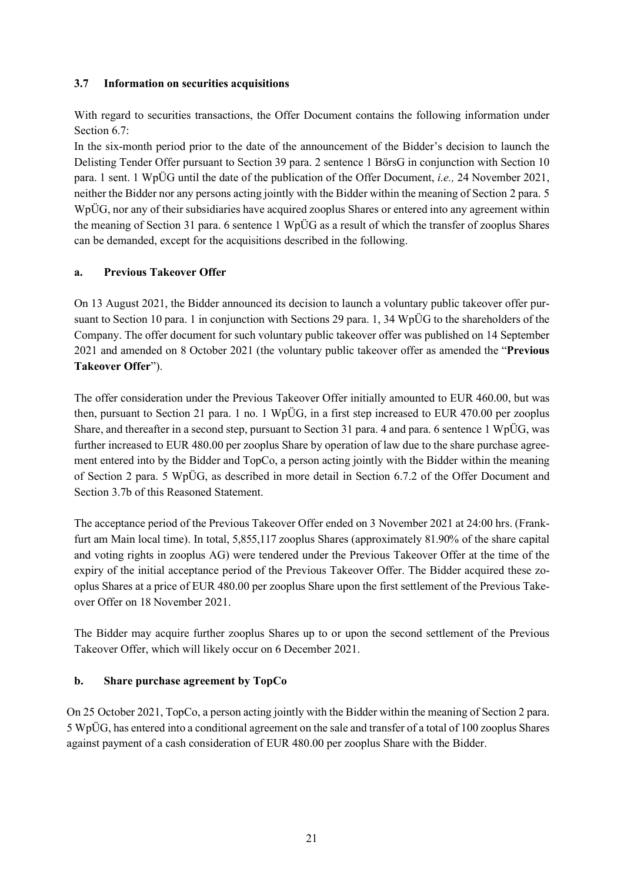#### **3.7 Information on securities acquisitions**

With regard to securities transactions, the Offer Document contains the following information under Section 6.7:

In the six-month period prior to the date of the announcement of the Bidder's decision to launch the Delisting Tender Offer pursuant to Section 39 para. 2 sentence 1 BörsG in conjunction with Section 10 para. 1 sent. 1 WpÜG until the date of the publication of the Offer Document, *i.e.,* 24 November 2021, neither the Bidder nor any persons acting jointly with the Bidder within the meaning of Section 2 para. 5 WpÜG, nor any of their subsidiaries have acquired zooplus Shares or entered into any agreement within the meaning of Section 31 para. 6 sentence 1 WpÜG as a result of which the transfer of zooplus Shares can be demanded, except for the acquisitions described in the following.

#### **a. Previous Takeover Offer**

On 13 August 2021, the Bidder announced its decision to launch a voluntary public takeover offer pursuant to Section 10 para. 1 in conjunction with Sections 29 para. 1, 34 WpÜG to the shareholders of the Company. The offer document for such voluntary public takeover offer was published on 14 September 2021 and amended on 8 October 2021 (the voluntary public takeover offer as amended the "**Previous Takeover Offer**").

The offer consideration under the Previous Takeover Offer initially amounted to EUR 460.00, but was then, pursuant to Section 21 para. 1 no. 1 WpÜG, in a first step increased to EUR 470.00 per zooplus Share, and thereafter in a second step, pursuant to Section 31 para. 4 and para. 6 sentence 1 WpÜG, was further increased to EUR 480.00 per zooplus Share by operation of law due to the share purchase agreement entered into by the Bidder and TopCo, a person acting jointly with the Bidder within the meaning of Section 2 para. 5 WpÜG, as described in more detail in Section 6.7.2 of the Offer Document and Section 3.7b of this Reasoned Statement.

The acceptance period of the Previous Takeover Offer ended on 3 November 2021 at 24:00 hrs. (Frankfurt am Main local time). In total, 5,855,117 zooplus Shares (approximately 81.90% of the share capital and voting rights in zooplus AG) were tendered under the Previous Takeover Offer at the time of the expiry of the initial acceptance period of the Previous Takeover Offer. The Bidder acquired these zooplus Shares at a price of EUR 480.00 per zooplus Share upon the first settlement of the Previous Takeover Offer on 18 November 2021.

The Bidder may acquire further zooplus Shares up to or upon the second settlement of the Previous Takeover Offer, which will likely occur on 6 December 2021.

#### **b. Share purchase agreement by TopCo**

On 25 October 2021, TopCo, a person acting jointly with the Bidder within the meaning of Section 2 para. 5 WpÜG, has entered into a conditional agreement on the sale and transfer of a total of 100 zooplus Shares against payment of a cash consideration of EUR 480.00 per zooplus Share with the Bidder.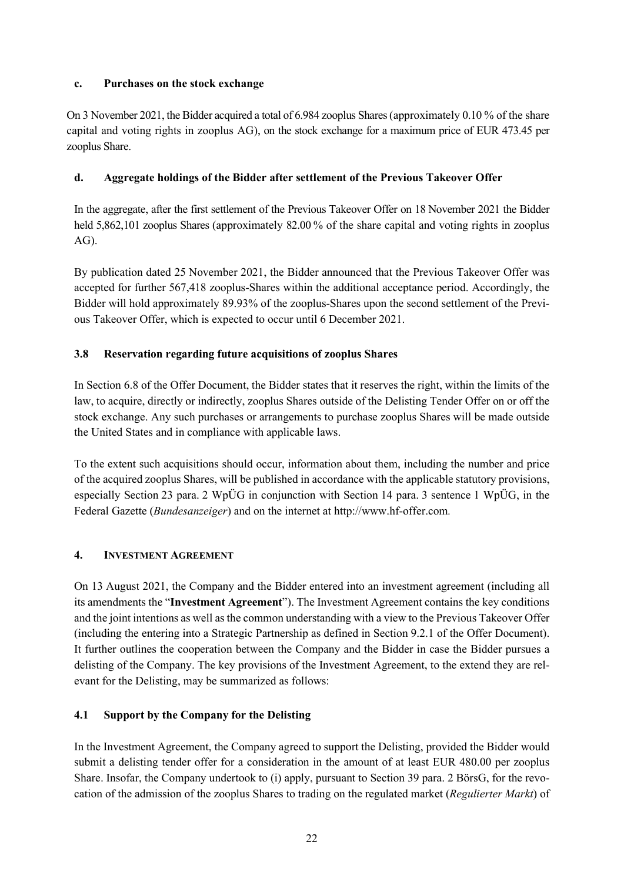### **c. Purchases on the stock exchange**

On 3 November 2021, the Bidder acquired a total of 6.984 zooplus Shares (approximately 0.10 % of the share capital and voting rights in zooplus AG), on the stock exchange for a maximum price of EUR 473.45 per zooplus Share.

# **d. Aggregate holdings of the Bidder after settlement of the Previous Takeover Offer**

In the aggregate, after the first settlement of the Previous Takeover Offer on 18 November 2021 the Bidder held  $5.862.101$  zooplus Shares (approximately  $82.00\%$  of the share capital and voting rights in zooplus AG).

By publication dated 25 November 2021, the Bidder announced that the Previous Takeover Offer was accepted for further 567,418 zooplus-Shares within the additional acceptance period. Accordingly, the Bidder will hold approximately 89.93% of the zooplus-Shares upon the second settlement of the Previous Takeover Offer, which is expected to occur until 6 December 2021.

# **3.8 Reservation regarding future acquisitions of zooplus Shares**

In Section 6.8 of the Offer Document, the Bidder states that it reserves the right, within the limits of the law, to acquire, directly or indirectly, zooplus Shares outside of the Delisting Tender Offer on or off the stock exchange. Any such purchases or arrangements to purchase zooplus Shares will be made outside the United States and in compliance with applicable laws.

To the extent such acquisitions should occur, information about them, including the number and price of the acquired zooplus Shares, will be published in accordance with the applicable statutory provisions, especially Section 23 para. 2 WpÜG in conjunction with Section 14 para. 3 sentence 1 WpÜG, in the Federal Gazette (*Bundesanzeiger*) and on the internet at http://www.hf-offer.com*.* 

# **4. INVESTMENT AGREEMENT**

On 13 August 2021, the Company and the Bidder entered into an investment agreement (including all its amendments the "**Investment Agreement**"). The Investment Agreement contains the key conditions and the joint intentions as well as the common understanding with a view to the Previous Takeover Offer (including the entering into a Strategic Partnership as defined in Section 9.2.1 of the Offer Document). It further outlines the cooperation between the Company and the Bidder in case the Bidder pursues a delisting of the Company. The key provisions of the Investment Agreement, to the extend they are relevant for the Delisting, may be summarized as follows:

# **4.1 Support by the Company for the Delisting**

In the Investment Agreement, the Company agreed to support the Delisting, provided the Bidder would submit a delisting tender offer for a consideration in the amount of at least EUR 480.00 per zooplus Share. Insofar, the Company undertook to (i) apply, pursuant to Section 39 para. 2 BörsG, for the revocation of the admission of the zooplus Shares to trading on the regulated market (*Regulierter Markt*) of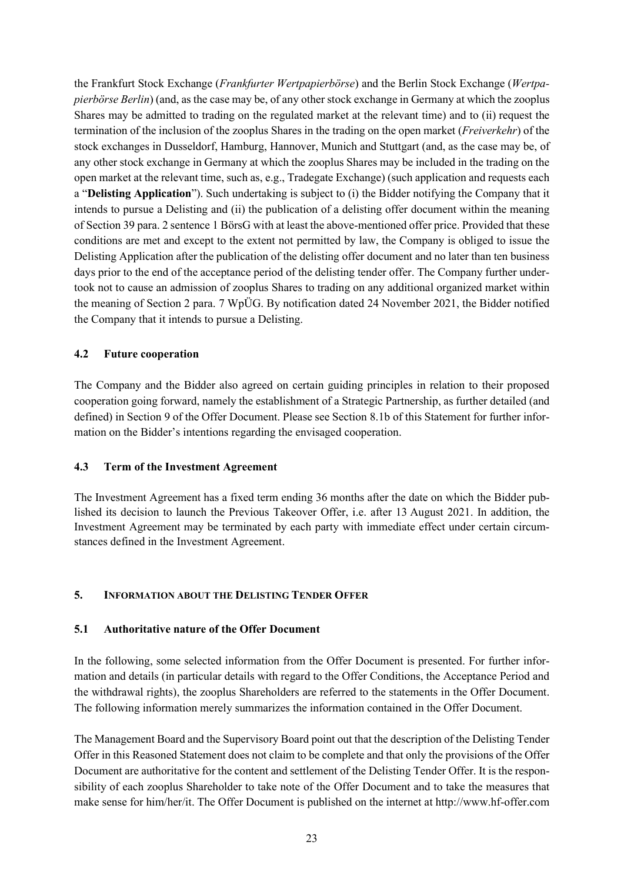the Frankfurt Stock Exchange (*Frankfurter Wertpapierbörse*) and the Berlin Stock Exchange (*Wertpapierbörse Berlin*) (and, as the case may be, of any other stock exchange in Germany at which the zooplus Shares may be admitted to trading on the regulated market at the relevant time) and to (ii) request the termination of the inclusion of the zooplus Shares in the trading on the open market (*Freiverkehr*) of the stock exchanges in Dusseldorf, Hamburg, Hannover, Munich and Stuttgart (and, as the case may be, of any other stock exchange in Germany at which the zooplus Shares may be included in the trading on the open market at the relevant time, such as, e.g., Tradegate Exchange) (such application and requests each a "**Delisting Application**"). Such undertaking is subject to (i) the Bidder notifying the Company that it intends to pursue a Delisting and (ii) the publication of a delisting offer document within the meaning of Section 39 para. 2 sentence 1 BörsG with at least the above-mentioned offer price. Provided that these conditions are met and except to the extent not permitted by law, the Company is obliged to issue the Delisting Application after the publication of the delisting offer document and no later than ten business days prior to the end of the acceptance period of the delisting tender offer. The Company further undertook not to cause an admission of zooplus Shares to trading on any additional organized market within the meaning of Section 2 para. 7 WpÜG. By notification dated 24 November 2021, the Bidder notified the Company that it intends to pursue a Delisting.

#### **4.2 Future cooperation**

The Company and the Bidder also agreed on certain guiding principles in relation to their proposed cooperation going forward, namely the establishment of a Strategic Partnership, as further detailed (and defined) in Section 9 of the Offer Document. Please see Section 8.1b of this Statement for further information on the Bidder's intentions regarding the envisaged cooperation.

#### **4.3 Term of the Investment Agreement**

The Investment Agreement has a fixed term ending 36 months after the date on which the Bidder published its decision to launch the Previous Takeover Offer, i.e. after 13 August 2021. In addition, the Investment Agreement may be terminated by each party with immediate effect under certain circumstances defined in the Investment Agreement.

#### **5. INFORMATION ABOUT THE DELISTING TENDER OFFER**

#### **5.1 Authoritative nature of the Offer Document**

In the following, some selected information from the Offer Document is presented. For further information and details (in particular details with regard to the Offer Conditions, the Acceptance Period and the withdrawal rights), the zooplus Shareholders are referred to the statements in the Offer Document. The following information merely summarizes the information contained in the Offer Document.

The Management Board and the Supervisory Board point out that the description of the Delisting Tender Offer in this Reasoned Statement does not claim to be complete and that only the provisions of the Offer Document are authoritative for the content and settlement of the Delisting Tender Offer. It is the responsibility of each zooplus Shareholder to take note of the Offer Document and to take the measures that make sense for him/her/it. The Offer Document is published on the internet at http://www.hf-offer.com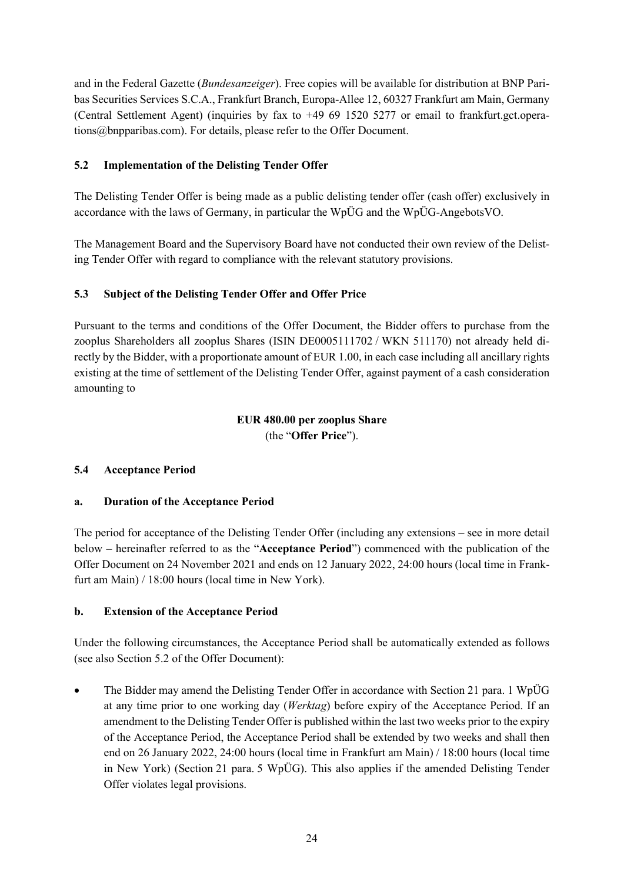and in the Federal Gazette (*Bundesanzeiger*). Free copies will be available for distribution at BNP Paribas Securities Services S.C.A., Frankfurt Branch, Europa-Allee 12, 60327 Frankfurt am Main, Germany (Central Settlement Agent) (inquiries by fax to +49 69 1520 5277 or email to frankfurt.gct.operations@bnpparibas.com). For details, please refer to the Offer Document.

## **5.2 Implementation of the Delisting Tender Offer**

The Delisting Tender Offer is being made as a public delisting tender offer (cash offer) exclusively in accordance with the laws of Germany, in particular the WpÜG and the WpÜG-AngebotsVO.

The Management Board and the Supervisory Board have not conducted their own review of the Delisting Tender Offer with regard to compliance with the relevant statutory provisions.

## **5.3 Subject of the Delisting Tender Offer and Offer Price**

Pursuant to the terms and conditions of the Offer Document, the Bidder offers to purchase from the zooplus Shareholders all zooplus Shares (ISIN DE0005111702 / WKN 511170) not already held directly by the Bidder, with a proportionate amount of EUR 1.00, in each case including all ancillary rights existing at the time of settlement of the Delisting Tender Offer, against payment of a cash consideration amounting to

# **EUR 480.00 per zooplus Share**

(the "**Offer Price**").

# **5.4 Acceptance Period**

#### **a. Duration of the Acceptance Period**

The period for acceptance of the Delisting Tender Offer (including any extensions – see in more detail below – hereinafter referred to as the "**Acceptance Period**") commenced with the publication of the Offer Document on 24 November 2021 and ends on 12 January 2022, 24:00 hours (local time in Frankfurt am Main) / 18:00 hours (local time in New York).

#### **b. Extension of the Acceptance Period**

Under the following circumstances, the Acceptance Period shall be automatically extended as follows (see also Section 5.2 of the Offer Document):

• The Bidder may amend the Delisting Tender Offer in accordance with Section 21 para. 1 WpÜG at any time prior to one working day (*Werktag*) before expiry of the Acceptance Period. If an amendment to the Delisting Tender Offer is published within the last two weeks prior to the expiry of the Acceptance Period, the Acceptance Period shall be extended by two weeks and shall then end on 26 January 2022, 24:00 hours (local time in Frankfurt am Main) / 18:00 hours (local time in New York) (Section 21 para. 5 WpÜG). This also applies if the amended Delisting Tender Offer violates legal provisions.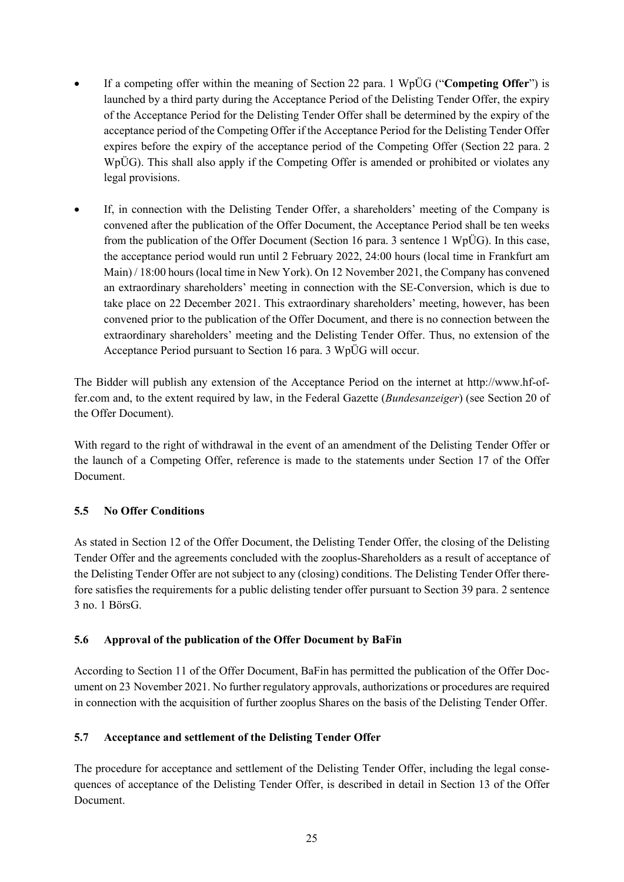- If a competing offer within the meaning of Section 22 para. 1 WpÜG ("**Competing Offer**") is launched by a third party during the Acceptance Period of the Delisting Tender Offer, the expiry of the Acceptance Period for the Delisting Tender Offer shall be determined by the expiry of the acceptance period of the Competing Offer if the Acceptance Period for the Delisting Tender Offer expires before the expiry of the acceptance period of the Competing Offer (Section 22 para. 2 WpÜG). This shall also apply if the Competing Offer is amended or prohibited or violates any legal provisions.
- If, in connection with the Delisting Tender Offer, a shareholders' meeting of the Company is convened after the publication of the Offer Document, the Acceptance Period shall be ten weeks from the publication of the Offer Document (Section 16 para. 3 sentence 1 WpÜG). In this case, the acceptance period would run until 2 February 2022, 24:00 hours (local time in Frankfurt am Main) / 18:00 hours (local time in New York). On 12 November 2021, the Company has convened an extraordinary shareholders' meeting in connection with the SE-Conversion, which is due to take place on 22 December 2021. This extraordinary shareholders' meeting, however, has been convened prior to the publication of the Offer Document, and there is no connection between the extraordinary shareholders' meeting and the Delisting Tender Offer. Thus, no extension of the Acceptance Period pursuant to Section 16 para. 3 WpÜG will occur.

The Bidder will publish any extension of the Acceptance Period on the internet at http://www.hf-offer.com and, to the extent required by law, in the Federal Gazette (*Bundesanzeiger*) (see Section 20 of the Offer Document).

With regard to the right of withdrawal in the event of an amendment of the Delisting Tender Offer or the launch of a Competing Offer, reference is made to the statements under Section 17 of the Offer Document.

# **5.5 No Offer Conditions**

As stated in Section 12 of the Offer Document, the Delisting Tender Offer, the closing of the Delisting Tender Offer and the agreements concluded with the zooplus-Shareholders as a result of acceptance of the Delisting Tender Offer are not subject to any (closing) conditions. The Delisting Tender Offer therefore satisfies the requirements for a public delisting tender offer pursuant to Section 39 para. 2 sentence 3 no. 1 BörsG.

#### **5.6 Approval of the publication of the Offer Document by BaFin**

According to Section 11 of the Offer Document, BaFin has permitted the publication of the Offer Document on 23 November 2021. No further regulatory approvals, authorizations or procedures are required in connection with the acquisition of further zooplus Shares on the basis of the Delisting Tender Offer.

#### **5.7 Acceptance and settlement of the Delisting Tender Offer**

The procedure for acceptance and settlement of the Delisting Tender Offer, including the legal consequences of acceptance of the Delisting Tender Offer, is described in detail in Section 13 of the Offer Document.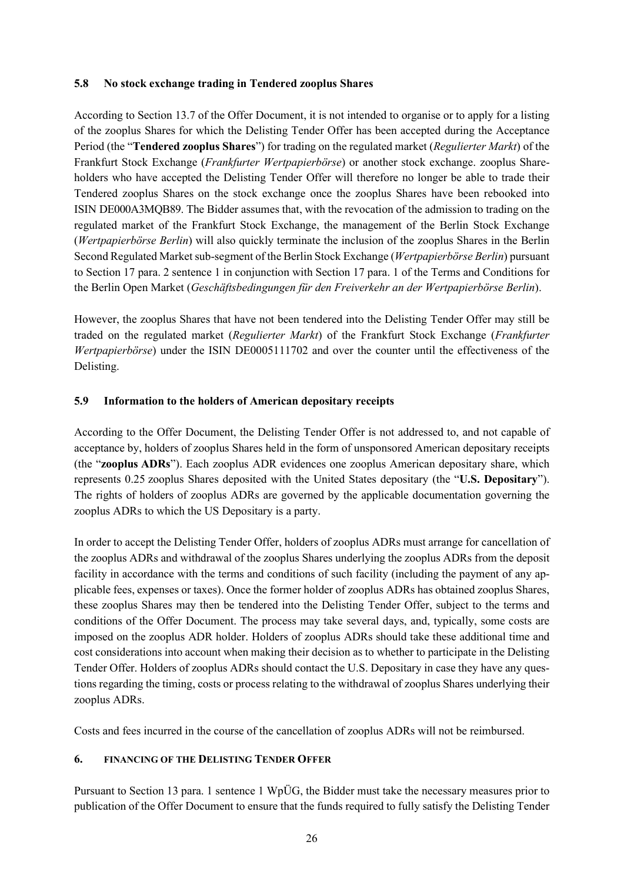#### **5.8 No stock exchange trading in Tendered zooplus Shares**

According to Section 13.7 of the Offer Document, it is not intended to organise or to apply for a listing of the zooplus Shares for which the Delisting Tender Offer has been accepted during the Acceptance Period (the "**Tendered zooplus Shares**") for trading on the regulated market (*Regulierter Markt*) of the Frankfurt Stock Exchange (*Frankfurter Wertpapierbörse*) or another stock exchange. zooplus Shareholders who have accepted the Delisting Tender Offer will therefore no longer be able to trade their Tendered zooplus Shares on the stock exchange once the zooplus Shares have been rebooked into ISIN DE000A3MQB89. The Bidder assumes that, with the revocation of the admission to trading on the regulated market of the Frankfurt Stock Exchange, the management of the Berlin Stock Exchange (*Wertpapierbörse Berlin*) will also quickly terminate the inclusion of the zooplus Shares in the Berlin Second Regulated Market sub-segment of the Berlin Stock Exchange (*Wertpapierbörse Berlin*) pursuant to Section 17 para. 2 sentence 1 in conjunction with Section 17 para. 1 of the Terms and Conditions for the Berlin Open Market (*Geschäftsbedingungen für den Freiverkehr an der Wertpapierbörse Berlin*).

However, the zooplus Shares that have not been tendered into the Delisting Tender Offer may still be traded on the regulated market (*Regulierter Markt*) of the Frankfurt Stock Exchange (*Frankfurter Wertpapierbörse*) under the ISIN DE0005111702 and over the counter until the effectiveness of the Delisting.

#### **5.9 Information to the holders of American depositary receipts**

According to the Offer Document, the Delisting Tender Offer is not addressed to, and not capable of acceptance by, holders of zooplus Shares held in the form of unsponsored American depositary receipts (the "**zooplus ADRs**"). Each zooplus ADR evidences one zooplus American depositary share, which represents 0.25 zooplus Shares deposited with the United States depositary (the "**U.S. Depositary**"). The rights of holders of zooplus ADRs are governed by the applicable documentation governing the zooplus ADRs to which the US Depositary is a party.

In order to accept the Delisting Tender Offer, holders of zooplus ADRs must arrange for cancellation of the zooplus ADRs and withdrawal of the zooplus Shares underlying the zooplus ADRs from the deposit facility in accordance with the terms and conditions of such facility (including the payment of any applicable fees, expenses or taxes). Once the former holder of zooplus ADRs has obtained zooplus Shares, these zooplus Shares may then be tendered into the Delisting Tender Offer, subject to the terms and conditions of the Offer Document. The process may take several days, and, typically, some costs are imposed on the zooplus ADR holder. Holders of zooplus ADRs should take these additional time and cost considerations into account when making their decision as to whether to participate in the Delisting Tender Offer. Holders of zooplus ADRs should contact the U.S. Depositary in case they have any questions regarding the timing, costs or process relating to the withdrawal of zooplus Shares underlying their zooplus ADRs.

Costs and fees incurred in the course of the cancellation of zooplus ADRs will not be reimbursed.

#### **6. FINANCING OF THE DELISTING TENDER OFFER**

Pursuant to Section 13 para. 1 sentence 1 WpÜG, the Bidder must take the necessary measures prior to publication of the Offer Document to ensure that the funds required to fully satisfy the Delisting Tender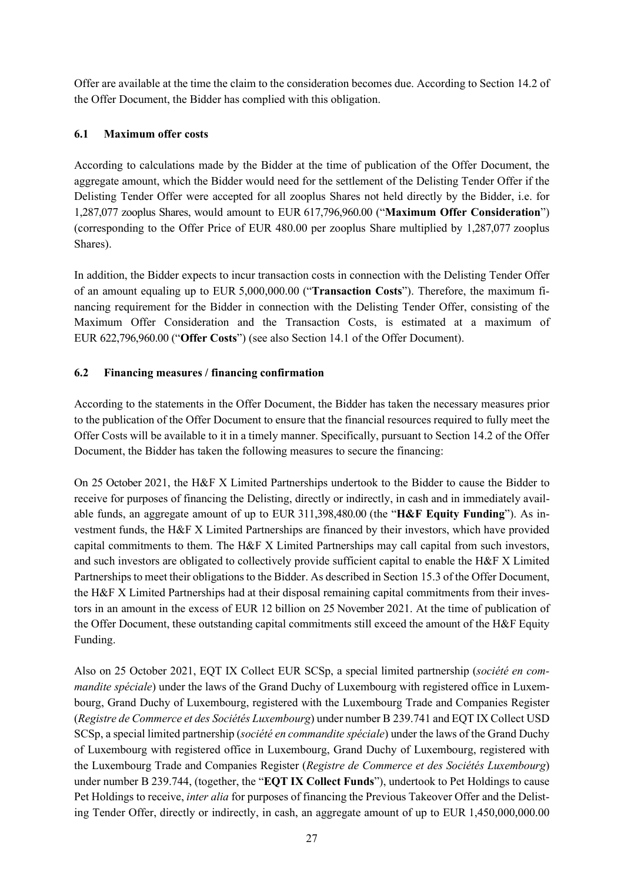Offer are available at the time the claim to the consideration becomes due. According to Section 14.2 of the Offer Document, the Bidder has complied with this obligation.

# **6.1 Maximum offer costs**

According to calculations made by the Bidder at the time of publication of the Offer Document, the aggregate amount, which the Bidder would need for the settlement of the Delisting Tender Offer if the Delisting Tender Offer were accepted for all zooplus Shares not held directly by the Bidder, i.e. for 1,287,077 zooplus Shares, would amount to EUR 617,796,960.00 ("Maximum Offer Consideration") (corresponding to the Offer Price of EUR  $480.00$  per zooplus Share multiplied by 1,287,077 zooplus Shares).

In addition, the Bidder expects to incur transaction costs in connection with the Delisting Tender Offer of an amount equaling up to EUR 5,000,000.00 ("**Transaction Costs**"). Therefore, the maximum financing requirement for the Bidder in connection with the Delisting Tender Offer, consisting of the Maximum Offer Consideration and the Transaction Costs, is estimated at a maximum of EUR 622,796,960.00 ("Offer Costs") (see also Section 14.1 of the Offer Document).

## **6.2 Financing measures / financing confirmation**

According to the statements in the Offer Document, the Bidder has taken the necessary measures prior to the publication of the Offer Document to ensure that the financial resources required to fully meet the Offer Costs will be available to it in a timely manner. Specifically, pursuant to Section 14.2 of the Offer Document, the Bidder has taken the following measures to secure the financing:

On 25 October 2021, the H&F X Limited Partnerships undertook to the Bidder to cause the Bidder to receive for purposes of financing the Delisting, directly or indirectly, in cash and in immediately available funds, an aggregate amount of up to EUR 311,398,480.00 (the "**H&F Equity Funding**"). As investment funds, the H&F X Limited Partnerships are financed by their investors, which have provided capital commitments to them. The H&F X Limited Partnerships may call capital from such investors, and such investors are obligated to collectively provide sufficient capital to enable the H&F X Limited Partnerships to meet their obligations to the Bidder. As described in Section 15.3 of the Offer Document, the H&F X Limited Partnerships had at their disposal remaining capital commitments from their investors in an amount in the excess of EUR 12 billion on 25 November 2021. At the time of publication of the Offer Document, these outstanding capital commitments still exceed the amount of the H&F Equity Funding.

Also on 25 October 2021, EQT IX Collect EUR SCSp, a special limited partnership (*société en commandite spéciale*) under the laws of the Grand Duchy of Luxembourg with registered office in Luxembourg, Grand Duchy of Luxembourg, registered with the Luxembourg Trade and Companies Register (*Registre de Commerce et des Sociétés Luxembourg*) under number B 239.741 and EQT IX Collect USD SCSp, a special limited partnership (*société en commandite spéciale*) under the laws of the Grand Duchy of Luxembourg with registered office in Luxembourg, Grand Duchy of Luxembourg, registered with the Luxembourg Trade and Companies Register (*Registre de Commerce et des Sociétés Luxembourg*) under number B 239.744, (together, the "**EQT IX Collect Funds**"), undertook to Pet Holdings to cause Pet Holdings to receive, *inter alia* for purposes of financing the Previous Takeover Offer and the Delisting Tender Offer, directly or indirectly, in cash, an aggregate amount of up to EUR 1,450,000,000.00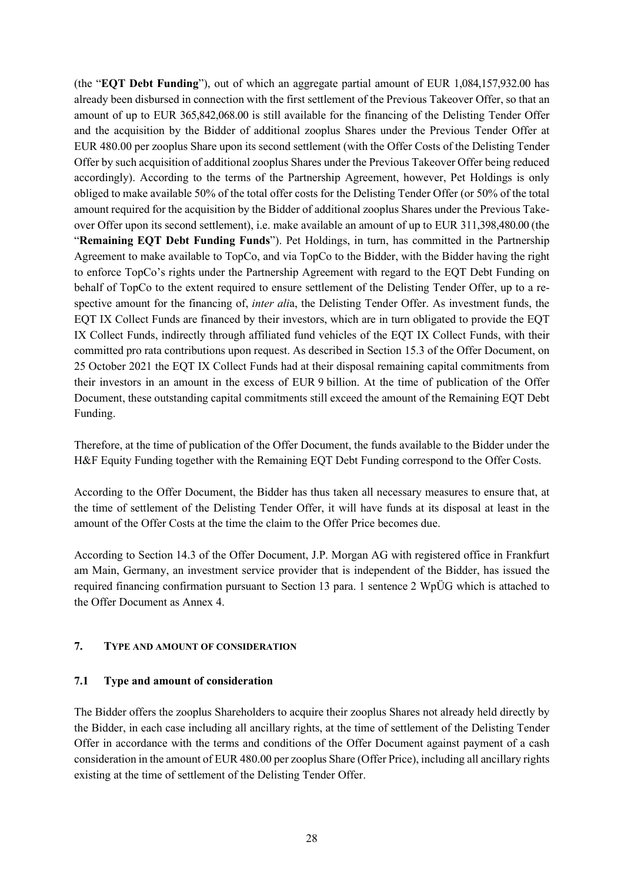(the "**EQT Debt Funding**"), out of which an aggregate partial amount of EUR 1,084,157,932.00 has already been disbursed in connection with the first settlement of the Previous Takeover Offer, so that an amount of up to EUR 365,842,068.00 is still available for the financing of the Delisting Tender Offer and the acquisition by the Bidder of additional zooplus Shares under the Previous Tender Offer at EUR 480.00 per zooplus Share upon its second settlement (with the Offer Costs of the Delisting Tender Offer by such acquisition of additional zooplus Shares under the Previous Takeover Offer being reduced accordingly). According to the terms of the Partnership Agreement, however, Pet Holdings is only obliged to make available 50% of the total offer costs for the Delisting Tender Offer (or 50% of the total amount required for the acquisition by the Bidder of additional zooplus Shares under the Previous Takeover Offer upon its second settlement), i.e. make available an amount of up to EUR 311,398,480.00 (the "**Remaining EQT Debt Funding Funds**"). Pet Holdings, in turn, has committed in the Partnership Agreement to make available to TopCo, and via TopCo to the Bidder, with the Bidder having the right to enforce TopCo's rights under the Partnership Agreement with regard to the EQT Debt Funding on behalf of TopCo to the extent required to ensure settlement of the Delisting Tender Offer, up to a respective amount for the financing of, *inter ali*a, the Delisting Tender Offer. As investment funds, the EQT IX Collect Funds are financed by their investors, which are in turn obligated to provide the EQT IX Collect Funds, indirectly through affiliated fund vehicles of the EQT IX Collect Funds, with their committed pro rata contributions upon request. As described in Section 15.3 of the Offer Document, on 25 October 2021 the EQT IX Collect Funds had at their disposal remaining capital commitments from their investors in an amount in the excess of EUR 9 billion. At the time of publication of the Offer Document, these outstanding capital commitments still exceed the amount of the Remaining EQT Debt Funding.

Therefore, at the time of publication of the Offer Document, the funds available to the Bidder under the H&F Equity Funding together with the Remaining EQT Debt Funding correspond to the Offer Costs.

According to the Offer Document, the Bidder has thus taken all necessary measures to ensure that, at the time of settlement of the Delisting Tender Offer, it will have funds at its disposal at least in the amount of the Offer Costs at the time the claim to the Offer Price becomes due.

According to Section 14.3 of the Offer Document, J.P. Morgan AG with registered office in Frankfurt am Main, Germany, an investment service provider that is independent of the Bidder, has issued the required financing confirmation pursuant to Section 13 para. 1 sentence 2 WpÜG which is attached to the Offer Document as Annex 4.

#### **7. TYPE AND AMOUNT OF CONSIDERATION**

#### **7.1 Type and amount of consideration**

The Bidder offers the zooplus Shareholders to acquire their zooplus Shares not already held directly by the Bidder, in each case including all ancillary rights, at the time of settlement of the Delisting Tender Offer in accordance with the terms and conditions of the Offer Document against payment of a cash consideration in the amount of EUR 480.00 per zooplus Share (Offer Price), including all ancillary rights existing at the time of settlement of the Delisting Tender Offer.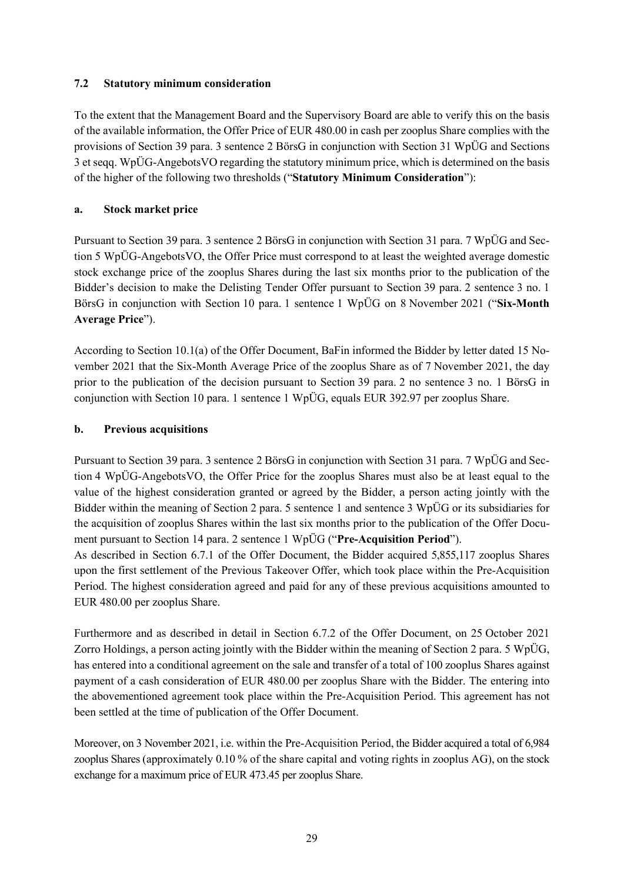### **7.2 Statutory minimum consideration**

To the extent that the Management Board and the Supervisory Board are able to verify this on the basis of the available information, the Offer Price of EUR 480.00 in cash per zooplus Share complies with the provisions of Section 39 para. 3 sentence 2 BörsG in conjunction with Section 31 WpÜG and Sections 3 et seqq. WpÜG-AngebotsVO regarding the statutory minimum price, which is determined on the basis of the higher of the following two thresholds ("**Statutory Minimum Consideration**"):

## **a. Stock market price**

Pursuant to Section 39 para. 3 sentence 2 BörsG in conjunction with Section 31 para. 7 WpÜG and Section 5 WpÜG-AngebotsVO, the Offer Price must correspond to at least the weighted average domestic stock exchange price of the zooplus Shares during the last six months prior to the publication of the Bidder's decision to make the Delisting Tender Offer pursuant to Section 39 para. 2 sentence 3 no. 1 BörsG in conjunction with Section 10 para. 1 sentence 1 WpÜG on 8 November 2021 ("**Six-Month Average Price**").

According to Section 10.1(a) of the Offer Document, BaFin informed the Bidder by letter dated 15 November 2021 that the Six-Month Average Price of the zooplus Share as of 7 November 2021, the day prior to the publication of the decision pursuant to Section 39 para. 2 no sentence 3 no. 1 BörsG in conjunction with Section 10 para. 1 sentence 1 WpÜG, equals EUR 392.97 per zooplus Share.

## **b. Previous acquisitions**

Pursuant to Section 39 para. 3 sentence 2 BörsG in conjunction with Section 31 para. 7 WpÜG and Section 4 WpÜG-AngebotsVO, the Offer Price for the zooplus Shares must also be at least equal to the value of the highest consideration granted or agreed by the Bidder, a person acting jointly with the Bidder within the meaning of Section 2 para. 5 sentence 1 and sentence 3 WpÜG or its subsidiaries for the acquisition of zooplus Shares within the last six months prior to the publication of the Offer Document pursuant to Section 14 para. 2 sentence 1 WpÜG ("**Pre-Acquisition Period**"). As described in Section 6.7.1 of the Offer Document, the Bidder acquired 5,855,117 zooplus Shares

upon the first settlement of the Previous Takeover Offer, which took place within the Pre-Acquisition Period. The highest consideration agreed and paid for any of these previous acquisitions amounted to EUR 480.00 per zooplus Share.

Furthermore and as described in detail in Section 6.7.2 of the Offer Document, on 25 October 2021 Zorro Holdings, a person acting jointly with the Bidder within the meaning of Section 2 para. 5 WpÜG, has entered into a conditional agreement on the sale and transfer of a total of 100 zooplus Shares against payment of a cash consideration of EUR 480.00 per zooplus Share with the Bidder. The entering into the abovementioned agreement took place within the Pre-Acquisition Period. This agreement has not been settled at the time of publication of the Offer Document.

Moreover, on 3 November 2021, i.e. within the Pre-Acquisition Period, the Bidder acquired a total of 6,984 zooplus Shares (approximately 0.10 % of the share capital and voting rights in zooplus AG), on the stock exchange for a maximum price of EUR 473.45 per zooplus Share.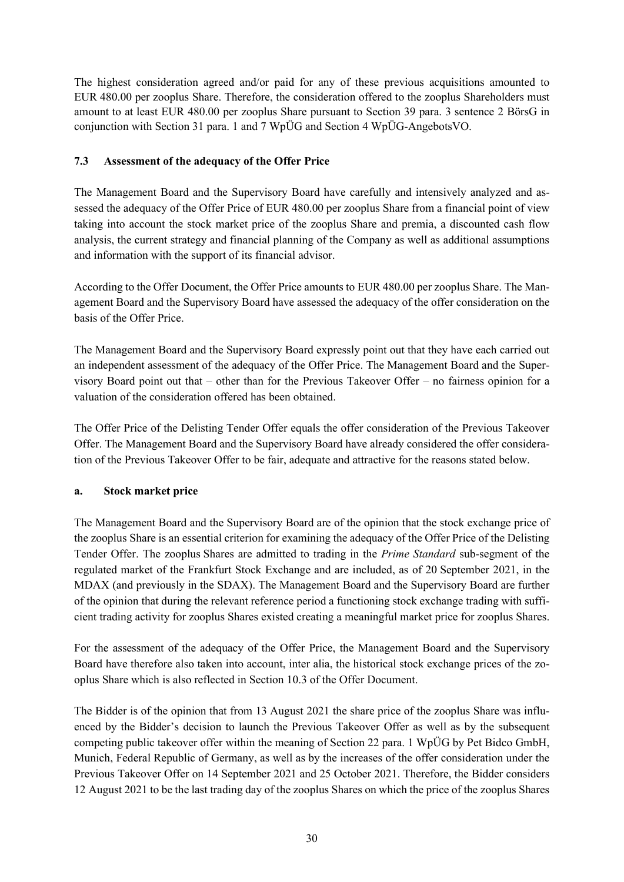The highest consideration agreed and/or paid for any of these previous acquisitions amounted to EUR 480.00 per zooplus Share. Therefore, the consideration offered to the zooplus Shareholders must amount to at least EUR 480.00 per zooplus Share pursuant to Section 39 para. 3 sentence 2 BörsG in conjunction with Section 31 para. 1 and 7 WpÜG and Section 4 WpÜG-AngebotsVO.

## **7.3 Assessment of the adequacy of the Offer Price**

The Management Board and the Supervisory Board have carefully and intensively analyzed and assessed the adequacy of the Offer Price of EUR 480.00 per zooplus Share from a financial point of view taking into account the stock market price of the zooplus Share and premia, a discounted cash flow analysis, the current strategy and financial planning of the Company as well as additional assumptions and information with the support of its financial advisor.

According to the Offer Document, the Offer Price amounts to EUR 480.00 per zooplus Share. The Management Board and the Supervisory Board have assessed the adequacy of the offer consideration on the basis of the Offer Price.

The Management Board and the Supervisory Board expressly point out that they have each carried out an independent assessment of the adequacy of the Offer Price. The Management Board and the Supervisory Board point out that – other than for the Previous Takeover Offer – no fairness opinion for a valuation of the consideration offered has been obtained.

The Offer Price of the Delisting Tender Offer equals the offer consideration of the Previous Takeover Offer. The Management Board and the Supervisory Board have already considered the offer consideration of the Previous Takeover Offer to be fair, adequate and attractive for the reasons stated below.

#### **a. Stock market price**

The Management Board and the Supervisory Board are of the opinion that the stock exchange price of the zooplus Share is an essential criterion for examining the adequacy of the Offer Price of the Delisting Tender Offer. The zooplus Shares are admitted to trading in the *Prime Standard* sub-segment of the regulated market of the Frankfurt Stock Exchange and are included, as of 20 September 2021, in the MDAX (and previously in the SDAX). The Management Board and the Supervisory Board are further of the opinion that during the relevant reference period a functioning stock exchange trading with sufficient trading activity for zooplus Shares existed creating a meaningful market price for zooplus Shares.

For the assessment of the adequacy of the Offer Price, the Management Board and the Supervisory Board have therefore also taken into account, inter alia, the historical stock exchange prices of the zooplus Share which is also reflected in Section 10.3 of the Offer Document.

The Bidder is of the opinion that from 13 August 2021 the share price of the zooplus Share was influenced by the Bidder's decision to launch the Previous Takeover Offer as well as by the subsequent competing public takeover offer within the meaning of Section 22 para. 1 WpÜG by Pet Bidco GmbH, Munich, Federal Republic of Germany, as well as by the increases of the offer consideration under the Previous Takeover Offer on 14 September 2021 and 25 October 2021. Therefore, the Bidder considers 12 August 2021 to be the last trading day of the zooplus Shares on which the price of the zooplus Shares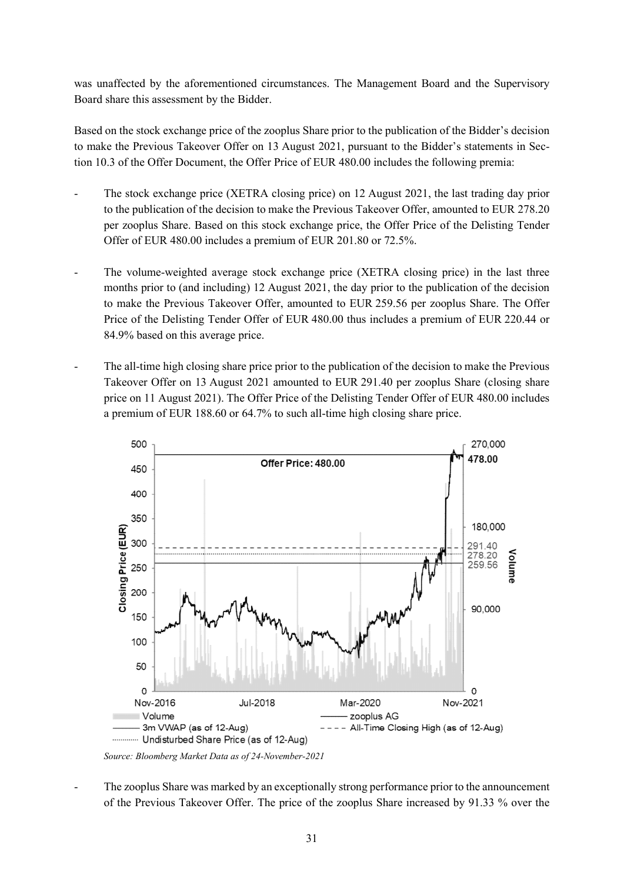was unaffected by the aforementioned circumstances. The Management Board and the Supervisory Board share this assessment by the Bidder.

Based on the stock exchange price of the zooplus Share prior to the publication of the Bidder's decision to make the Previous Takeover Offer on 13 August 2021, pursuant to the Bidder's statements in Section 10.3 of the Offer Document, the Offer Price of EUR 480.00 includes the following premia:

- The stock exchange price (XETRA closing price) on 12 August 2021, the last trading day prior to the publication of the decision to make the Previous Takeover Offer, amounted to EUR 278.20 per zooplus Share. Based on this stock exchange price, the Offer Price of the Delisting Tender Offer of EUR 480.00 includes a premium of EUR 201.80 or 72.5%.
- The volume-weighted average stock exchange price (XETRA closing price) in the last three months prior to (and including) 12 August 2021, the day prior to the publication of the decision to make the Previous Takeover Offer, amounted to EUR 259.56 per zooplus Share. The Offer Price of the Delisting Tender Offer of EUR 480.00 thus includes a premium of EUR 220.44 or 84.9% based on this average price.
- The all-time high closing share price prior to the publication of the decision to make the Previous Takeover Offer on 13 August 2021 amounted to EUR 291.40 per zooplus Share (closing share price on 11 August 2021). The Offer Price of the Delisting Tender Offer of EUR 480.00 includes a premium of EUR 188.60 or 64.7% to such all-time high closing share price.



*Source: Bloomberg Market Data as of 24-November-2021* 

The zooplus Share was marked by an exceptionally strong performance prior to the announcement of the Previous Takeover Offer. The price of the zooplus Share increased by 91.33 % over the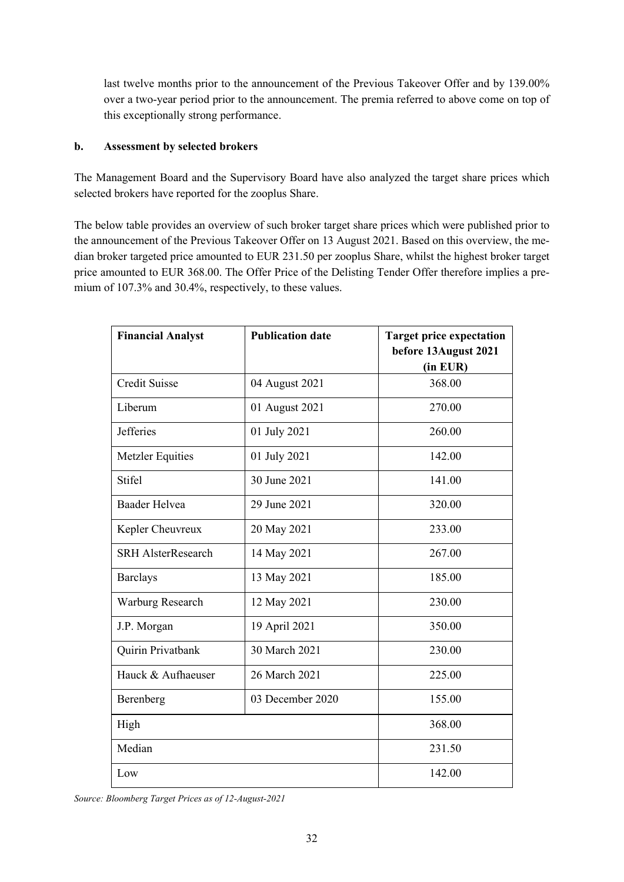last twelve months prior to the announcement of the Previous Takeover Offer and by 139.00% over a two-year period prior to the announcement. The premia referred to above come on top of this exceptionally strong performance.

#### **b. Assessment by selected brokers**

The Management Board and the Supervisory Board have also analyzed the target share prices which selected brokers have reported for the zooplus Share.

The below table provides an overview of such broker target share prices which were published prior to the announcement of the Previous Takeover Offer on 13 August 2021. Based on this overview, the median broker targeted price amounted to EUR 231.50 per zooplus Share, whilst the highest broker target price amounted to EUR 368.00. The Offer Price of the Delisting Tender Offer therefore implies a premium of 107.3% and 30.4%, respectively, to these values.

| <b>Financial Analyst</b>  | <b>Publication date</b> | <b>Target price expectation</b><br>before 13August 2021<br>(in EUR) |
|---------------------------|-------------------------|---------------------------------------------------------------------|
| <b>Credit Suisse</b>      | 04 August 2021          | 368.00                                                              |
| Liberum                   | 01 August 2021          | 270.00                                                              |
| <b>Jefferies</b>          | 01 July 2021            | 260.00                                                              |
| Metzler Equities          | 01 July 2021            | 142.00                                                              |
| <b>Stifel</b>             | 30 June 2021            | 141.00                                                              |
| <b>Baader Helvea</b>      | 29 June 2021            | 320.00                                                              |
| Kepler Cheuvreux          | 20 May 2021             | 233.00                                                              |
| <b>SRH AlsterResearch</b> | 14 May 2021             | 267.00                                                              |
| <b>Barclays</b>           | 13 May 2021             | 185.00                                                              |
| Warburg Research          | 12 May 2021             | 230.00                                                              |
| J.P. Morgan               | 19 April 2021           | 350.00                                                              |
| Quirin Privatbank         | 30 March 2021           | 230.00                                                              |
| Hauck & Aufhaeuser        | 26 March 2021           | 225.00                                                              |
| Berenberg                 | 03 December 2020        | 155.00                                                              |
| High                      |                         | 368.00                                                              |
| Median                    |                         | 231.50                                                              |
| Low                       |                         | 142.00                                                              |

*Source: Bloomberg Target Prices as of 12-August-2021*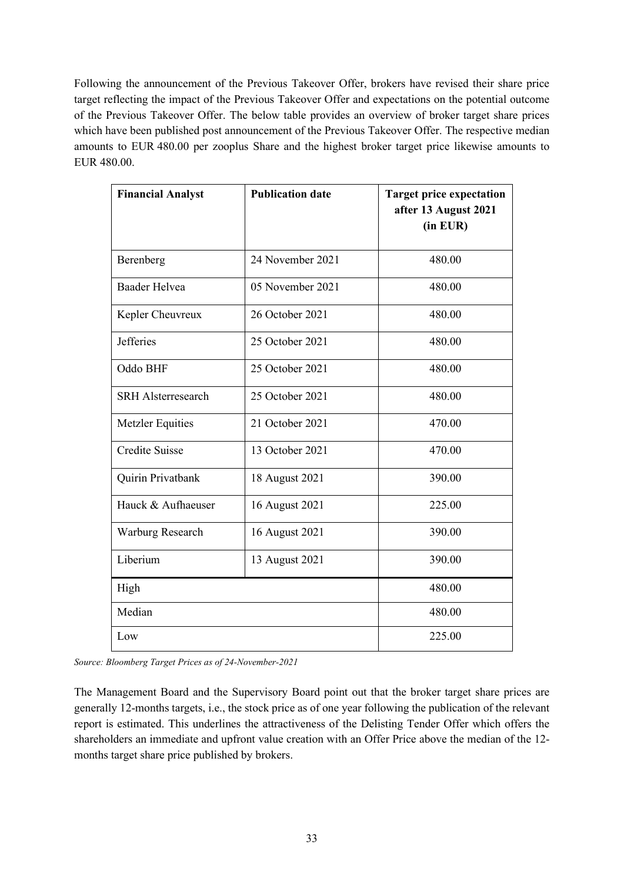Following the announcement of the Previous Takeover Offer, brokers have revised their share price target reflecting the impact of the Previous Takeover Offer and expectations on the potential outcome of the Previous Takeover Offer. The below table provides an overview of broker target share prices which have been published post announcement of the Previous Takeover Offer. The respective median amounts to EUR 480.00 per zooplus Share and the highest broker target price likewise amounts to EUR 480.00.

| <b>Financial Analyst</b>  | <b>Publication date</b> | <b>Target price expectation</b><br>after 13 August 2021<br>(in EUR) |
|---------------------------|-------------------------|---------------------------------------------------------------------|
| Berenberg                 | 24 November 2021        | 480.00                                                              |
| <b>Baader Helvea</b>      | 05 November 2021        | 480.00                                                              |
| Kepler Cheuvreux          | 26 October 2021         | 480.00                                                              |
| <b>Jefferies</b>          | 25 October 2021         | 480.00                                                              |
| Oddo BHF                  | 25 October 2021         | 480.00                                                              |
| <b>SRH</b> Alsterresearch | 25 October 2021         | 480.00                                                              |
| <b>Metzler Equities</b>   | 21 October 2021         | 470.00                                                              |
| <b>Credite Suisse</b>     | 13 October 2021         | 470.00                                                              |
| Quirin Privatbank         | 18 August 2021          | 390.00                                                              |
| Hauck & Aufhaeuser        | 16 August 2021          | 225.00                                                              |
| Warburg Research          | 16 August 2021          | 390.00                                                              |
| Liberium                  | 13 August 2021          | 390.00                                                              |
| High                      | 480.00                  |                                                                     |
| Median                    | 480.00                  |                                                                     |
| Low                       | 225.00                  |                                                                     |

*Source: Bloomberg Target Prices as of 24-November-2021* 

The Management Board and the Supervisory Board point out that the broker target share prices are generally 12-months targets, i.e., the stock price as of one year following the publication of the relevant report is estimated. This underlines the attractiveness of the Delisting Tender Offer which offers the shareholders an immediate and upfront value creation with an Offer Price above the median of the 12 months target share price published by brokers.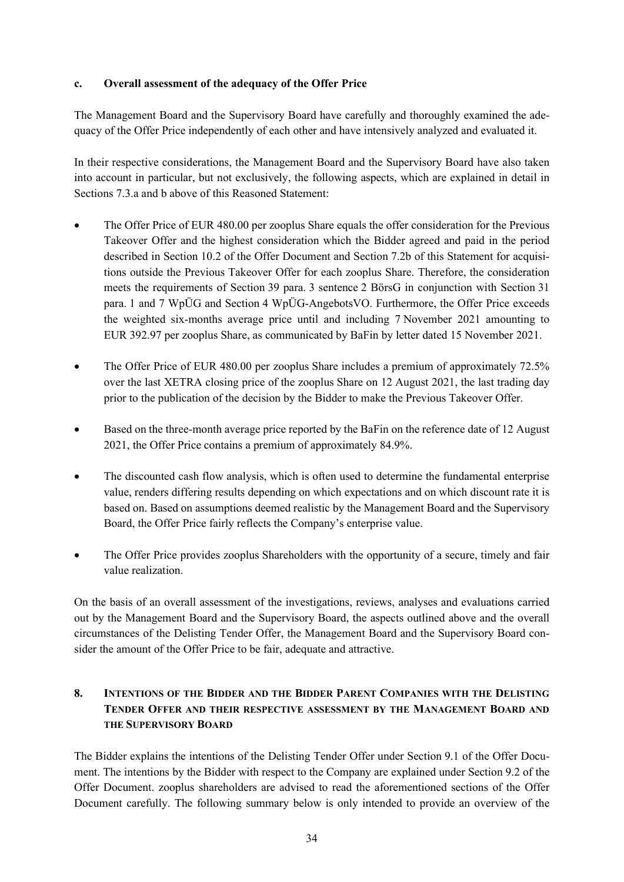#### **c. Overall assessment of the adequacy of the Offer Price**

The Management Board and the Supervisory Board have carefully and thoroughly examined the adequacy of the Offer Price independently of each other and have intensively analyzed and evaluated it.

In their respective considerations, the Management Board and the Supervisory Board have also taken into account in particular, but not exclusively, the following aspects, which are explained in detail in Sections 7.3.a and b above of this Reasoned Statement:

- The Offer Price of EUR 480.00 per zooplus Share equals the offer consideration for the Previous Takeover Offer and the highest consideration which the Bidder agreed and paid in the period described in Section 10.2 of the Offer Document and Section 7.2b of this Statement for acquisitions outside the Previous Takeover Offer for each zooplus Share. Therefore, the consideration meets the requirements of Section 39 para. 3 sentence 2 BörsG in conjunction with Section 31 para. 1 and 7 WpÜG and Section 4 WpÜG-AngebotsVO. Furthermore, the Offer Price exceeds the weighted six-months average price until and including 7 November 2021 amounting to EUR 392.97 per zooplus Share, as communicated by BaFin by letter dated 15 November 2021.
- The Offer Price of EUR 480.00 per zooplus Share includes a premium of approximately 72.5% over the last XETRA closing price of the zooplus Share on 12 August 2021, the last trading day prior to the publication of the decision by the Bidder to make the Previous Takeover Offer.
- Based on the three-month average price reported by the BaFin on the reference date of 12 August 2021, the Offer Price contains a premium of approximately 84.9%.
- The discounted cash flow analysis, which is often used to determine the fundamental enterprise value, renders differing results depending on which expectations and on which discount rate it is based on. Based on assumptions deemed realistic by the Management Board and the Supervisory Board, the Offer Price fairly reflects the Company's enterprise value.
- The Offer Price provides zooplus Shareholders with the opportunity of a secure, timely and fair value realization.

On the basis of an overall assessment of the investigations, reviews, analyses and evaluations carried out by the Management Board and the Supervisory Board, the aspects outlined above and the overall circumstances of the Delisting Tender Offer, the Management Board and the Supervisory Board consider the amount of the Offer Price to be fair, adequate and attractive.

# **8. INTENTIONS OF THE BIDDER AND THE BIDDER PARENT COMPANIES WITH THE DELISTING TENDER OFFER AND THEIR RESPECTIVE ASSESSMENT BY THE MANAGEMENT BOARD AND THE SUPERVISORY BOARD**

The Bidder explains the intentions of the Delisting Tender Offer under Section 9.1 of the Offer Document. The intentions by the Bidder with respect to the Company are explained under Section 9.2 of the Offer Document. zooplus shareholders are advised to read the aforementioned sections of the Offer Document carefully. The following summary below is only intended to provide an overview of the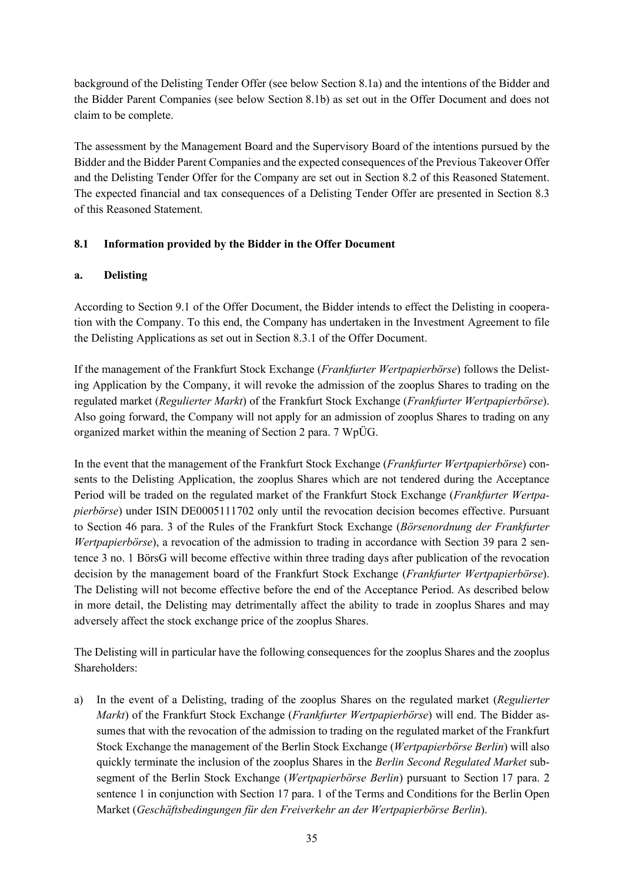background of the Delisting Tender Offer (see below Section 8.1a) and the intentions of the Bidder and the Bidder Parent Companies (see below Section 8.1b) as set out in the Offer Document and does not claim to be complete.

The assessment by the Management Board and the Supervisory Board of the intentions pursued by the Bidder and the Bidder Parent Companies and the expected consequences of the Previous Takeover Offer and the Delisting Tender Offer for the Company are set out in Section 8.2 of this Reasoned Statement. The expected financial and tax consequences of a Delisting Tender Offer are presented in Section 8.3 of this Reasoned Statement.

## **8.1 Information provided by the Bidder in the Offer Document**

#### **a. Delisting**

According to Section 9.1 of the Offer Document, the Bidder intends to effect the Delisting in cooperation with the Company. To this end, the Company has undertaken in the Investment Agreement to file the Delisting Applications as set out in Section 8.3.1 of the Offer Document.

If the management of the Frankfurt Stock Exchange (*Frankfurter Wertpapierbörse*) follows the Delisting Application by the Company, it will revoke the admission of the zooplus Shares to trading on the regulated market (*Regulierter Markt*) of the Frankfurt Stock Exchange (*Frankfurter Wertpapierbörse*). Also going forward, the Company will not apply for an admission of zooplus Shares to trading on any organized market within the meaning of Section 2 para. 7 WpÜG.

In the event that the management of the Frankfurt Stock Exchange (*Frankfurter Wertpapierbörse*) consents to the Delisting Application, the zooplus Shares which are not tendered during the Acceptance Period will be traded on the regulated market of the Frankfurt Stock Exchange (*Frankfurter Wertpapierbörse*) under ISIN DE0005111702 only until the revocation decision becomes effective. Pursuant to Section 46 para. 3 of the Rules of the Frankfurt Stock Exchange (*Börsenordnung der Frankfurter Wertpapierbörse*), a revocation of the admission to trading in accordance with Section 39 para 2 sentence 3 no. 1 BörsG will become effective within three trading days after publication of the revocation decision by the management board of the Frankfurt Stock Exchange (*Frankfurter Wertpapierbörse*). The Delisting will not become effective before the end of the Acceptance Period. As described below in more detail, the Delisting may detrimentally affect the ability to trade in zooplus Shares and may adversely affect the stock exchange price of the zooplus Shares.

The Delisting will in particular have the following consequences for the zooplus Shares and the zooplus Shareholders:

a) In the event of a Delisting, trading of the zooplus Shares on the regulated market (*Regulierter Markt*) of the Frankfurt Stock Exchange (*Frankfurter Wertpapierbörse*) will end. The Bidder assumes that with the revocation of the admission to trading on the regulated market of the Frankfurt Stock Exchange the management of the Berlin Stock Exchange (*Wertpapierbörse Berlin*) will also quickly terminate the inclusion of the zooplus Shares in the *Berlin Second Regulated Market* subsegment of the Berlin Stock Exchange (*Wertpapierbörse Berlin*) pursuant to Section 17 para. 2 sentence 1 in conjunction with Section 17 para. 1 of the Terms and Conditions for the Berlin Open Market (*Geschäftsbedingungen für den Freiverkehr an der Wertpapierbörse Berlin*).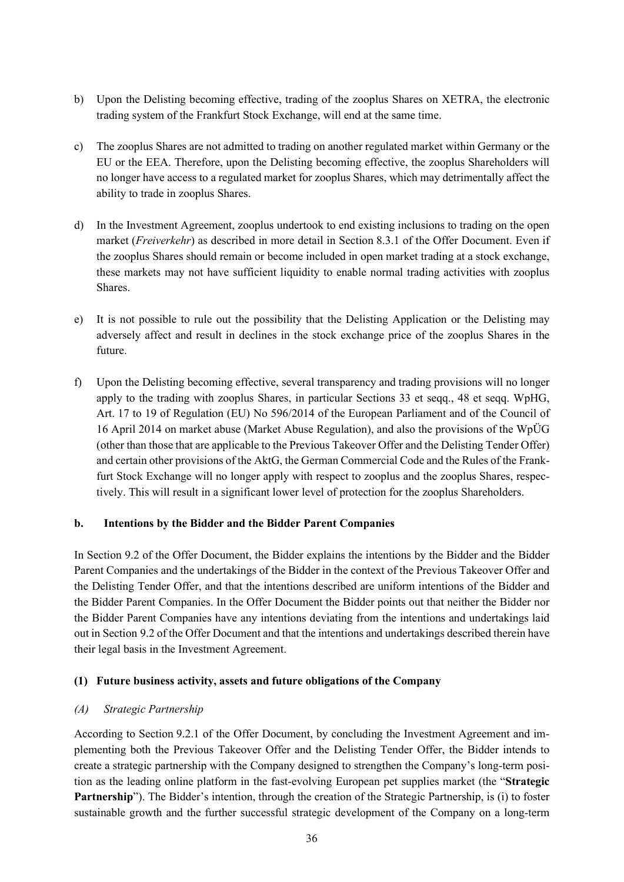- b) Upon the Delisting becoming effective, trading of the zooplus Shares on XETRA, the electronic trading system of the Frankfurt Stock Exchange, will end at the same time.
- c) The zooplus Shares are not admitted to trading on another regulated market within Germany or the EU or the EEA. Therefore, upon the Delisting becoming effective, the zooplus Shareholders will no longer have access to a regulated market for zooplus Shares, which may detrimentally affect the ability to trade in zooplus Shares.
- d) In the Investment Agreement, zooplus undertook to end existing inclusions to trading on the open market (*Freiverkehr*) as described in more detail in Section 8.3.1 of the Offer Document. Even if the zooplus Shares should remain or become included in open market trading at a stock exchange, these markets may not have sufficient liquidity to enable normal trading activities with zooplus Shares.
- e) It is not possible to rule out the possibility that the Delisting Application or the Delisting may adversely affect and result in declines in the stock exchange price of the zooplus Shares in the future.
- f) Upon the Delisting becoming effective, several transparency and trading provisions will no longer apply to the trading with zooplus Shares, in particular Sections 33 et seqq., 48 et seqq. WpHG, Art. 17 to 19 of Regulation (EU) No 596/2014 of the European Parliament and of the Council of 16 April 2014 on market abuse (Market Abuse Regulation), and also the provisions of the WpÜG (other than those that are applicable to the Previous Takeover Offer and the Delisting Tender Offer) and certain other provisions of the AktG, the German Commercial Code and the Rules of the Frankfurt Stock Exchange will no longer apply with respect to zooplus and the zooplus Shares, respectively. This will result in a significant lower level of protection for the zooplus Shareholders.

#### **b. Intentions by the Bidder and the Bidder Parent Companies**

In Section 9.2 of the Offer Document, the Bidder explains the intentions by the Bidder and the Bidder Parent Companies and the undertakings of the Bidder in the context of the Previous Takeover Offer and the Delisting Tender Offer, and that the intentions described are uniform intentions of the Bidder and the Bidder Parent Companies. In the Offer Document the Bidder points out that neither the Bidder nor the Bidder Parent Companies have any intentions deviating from the intentions and undertakings laid out in Section 9.2 of the Offer Document and that the intentions and undertakings described therein have their legal basis in the Investment Agreement.

#### **(1) Future business activity, assets and future obligations of the Company**

#### *(A) Strategic Partnership*

According to Section 9.2.1 of the Offer Document, by concluding the Investment Agreement and implementing both the Previous Takeover Offer and the Delisting Tender Offer, the Bidder intends to create a strategic partnership with the Company designed to strengthen the Company's long-term position as the leading online platform in the fast-evolving European pet supplies market (the "**Strategic Partnership**"). The Bidder's intention, through the creation of the Strategic Partnership, is (i) to foster sustainable growth and the further successful strategic development of the Company on a long-term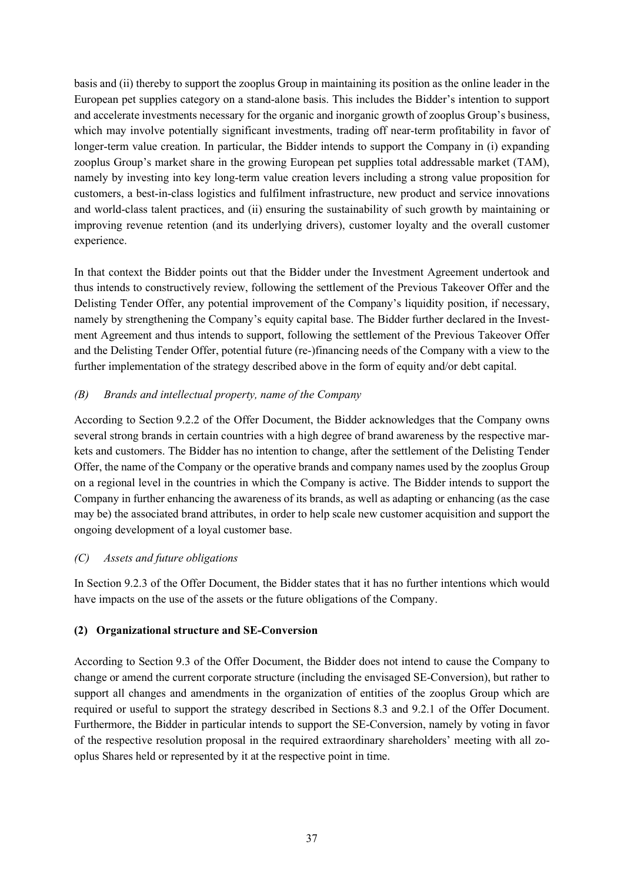basis and (ii) thereby to support the zooplus Group in maintaining its position as the online leader in the European pet supplies category on a stand-alone basis. This includes the Bidder's intention to support and accelerate investments necessary for the organic and inorganic growth of zooplus Group's business, which may involve potentially significant investments, trading off near-term profitability in favor of longer-term value creation. In particular, the Bidder intends to support the Company in (i) expanding zooplus Group's market share in the growing European pet supplies total addressable market (TAM), namely by investing into key long-term value creation levers including a strong value proposition for customers, a best-in-class logistics and fulfilment infrastructure, new product and service innovations and world-class talent practices, and (ii) ensuring the sustainability of such growth by maintaining or improving revenue retention (and its underlying drivers), customer loyalty and the overall customer experience.

In that context the Bidder points out that the Bidder under the Investment Agreement undertook and thus intends to constructively review, following the settlement of the Previous Takeover Offer and the Delisting Tender Offer, any potential improvement of the Company's liquidity position, if necessary, namely by strengthening the Company's equity capital base. The Bidder further declared in the Investment Agreement and thus intends to support, following the settlement of the Previous Takeover Offer and the Delisting Tender Offer, potential future (re-)financing needs of the Company with a view to the further implementation of the strategy described above in the form of equity and/or debt capital.

## *(B) Brands and intellectual property, name of the Company*

According to Section 9.2.2 of the Offer Document, the Bidder acknowledges that the Company owns several strong brands in certain countries with a high degree of brand awareness by the respective markets and customers. The Bidder has no intention to change, after the settlement of the Delisting Tender Offer, the name of the Company or the operative brands and company names used by the zooplus Group on a regional level in the countries in which the Company is active. The Bidder intends to support the Company in further enhancing the awareness of its brands, as well as adapting or enhancing (as the case may be) the associated brand attributes, in order to help scale new customer acquisition and support the ongoing development of a loyal customer base.

#### *(C) Assets and future obligations*

In Section 9.2.3 of the Offer Document, the Bidder states that it has no further intentions which would have impacts on the use of the assets or the future obligations of the Company.

#### **(2) Organizational structure and SE-Conversion**

According to Section 9.3 of the Offer Document, the Bidder does not intend to cause the Company to change or amend the current corporate structure (including the envisaged SE-Conversion), but rather to support all changes and amendments in the organization of entities of the zooplus Group which are required or useful to support the strategy described in Sections 8.3 and 9.2.1 of the Offer Document. Furthermore, the Bidder in particular intends to support the SE-Conversion, namely by voting in favor of the respective resolution proposal in the required extraordinary shareholders' meeting with all zooplus Shares held or represented by it at the respective point in time.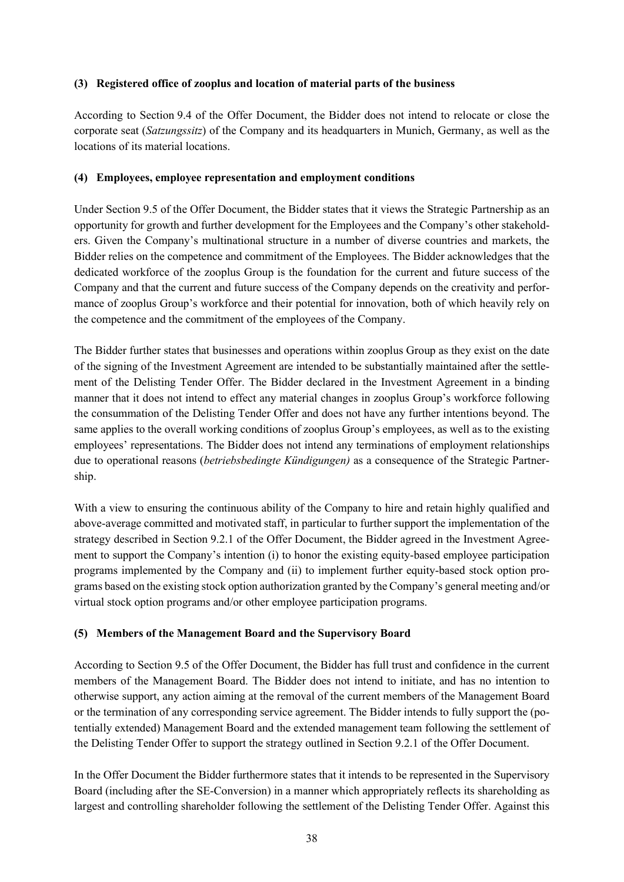#### **(3) Registered office of zooplus and location of material parts of the business**

According to Section 9.4 of the Offer Document, the Bidder does not intend to relocate or close the corporate seat (*Satzungssitz*) of the Company and its headquarters in Munich, Germany, as well as the locations of its material locations.

## **(4) Employees, employee representation and employment conditions**

Under Section 9.5 of the Offer Document, the Bidder states that it views the Strategic Partnership as an opportunity for growth and further development for the Employees and the Company's other stakeholders. Given the Company's multinational structure in a number of diverse countries and markets, the Bidder relies on the competence and commitment of the Employees. The Bidder acknowledges that the dedicated workforce of the zooplus Group is the foundation for the current and future success of the Company and that the current and future success of the Company depends on the creativity and performance of zooplus Group's workforce and their potential for innovation, both of which heavily rely on the competence and the commitment of the employees of the Company.

The Bidder further states that businesses and operations within zooplus Group as they exist on the date of the signing of the Investment Agreement are intended to be substantially maintained after the settlement of the Delisting Tender Offer. The Bidder declared in the Investment Agreement in a binding manner that it does not intend to effect any material changes in zooplus Group's workforce following the consummation of the Delisting Tender Offer and does not have any further intentions beyond. The same applies to the overall working conditions of zooplus Group's employees, as well as to the existing employees' representations. The Bidder does not intend any terminations of employment relationships due to operational reasons (*betriebsbedingte Kündigungen)* as a consequence of the Strategic Partnership.

With a view to ensuring the continuous ability of the Company to hire and retain highly qualified and above-average committed and motivated staff, in particular to further support the implementation of the strategy described in Section 9.2.1 of the Offer Document, the Bidder agreed in the Investment Agreement to support the Company's intention (i) to honor the existing equity-based employee participation programs implemented by the Company and (ii) to implement further equity-based stock option programs based on the existing stock option authorization granted by the Company's general meeting and/or virtual stock option programs and/or other employee participation programs.

# **(5) Members of the Management Board and the Supervisory Board**

According to Section 9.5 of the Offer Document, the Bidder has full trust and confidence in the current members of the Management Board. The Bidder does not intend to initiate, and has no intention to otherwise support, any action aiming at the removal of the current members of the Management Board or the termination of any corresponding service agreement. The Bidder intends to fully support the (potentially extended) Management Board and the extended management team following the settlement of the Delisting Tender Offer to support the strategy outlined in Section 9.2.1 of the Offer Document.

In the Offer Document the Bidder furthermore states that it intends to be represented in the Supervisory Board (including after the SE-Conversion) in a manner which appropriately reflects its shareholding as largest and controlling shareholder following the settlement of the Delisting Tender Offer. Against this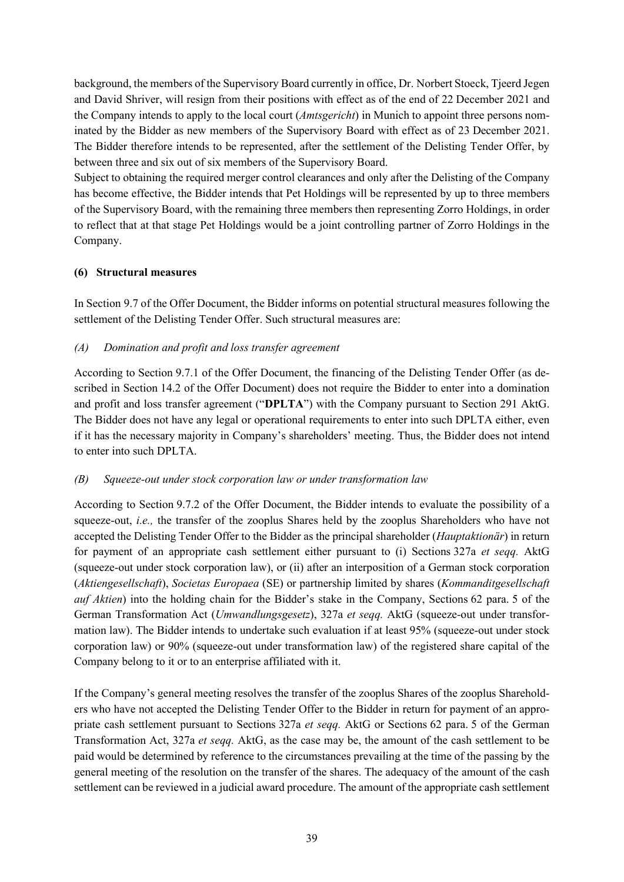background, the members of the Supervisory Board currently in office, Dr. Norbert Stoeck, Tjeerd Jegen and David Shriver, will resign from their positions with effect as of the end of 22 December 2021 and the Company intends to apply to the local court (*Amtsgericht*) in Munich to appoint three persons nominated by the Bidder as new members of the Supervisory Board with effect as of 23 December 2021. The Bidder therefore intends to be represented, after the settlement of the Delisting Tender Offer, by between three and six out of six members of the Supervisory Board.

Subject to obtaining the required merger control clearances and only after the Delisting of the Company has become effective, the Bidder intends that Pet Holdings will be represented by up to three members of the Supervisory Board, with the remaining three members then representing Zorro Holdings, in order to reflect that at that stage Pet Holdings would be a joint controlling partner of Zorro Holdings in the Company.

#### **(6) Structural measures**

In Section 9.7 of the Offer Document, the Bidder informs on potential structural measures following the settlement of the Delisting Tender Offer. Such structural measures are:

## *(A) Domination and profit and loss transfer agreement*

According to Section 9.7.1 of the Offer Document, the financing of the Delisting Tender Offer (as described in Section 14.2 of the Offer Document) does not require the Bidder to enter into a domination and profit and loss transfer agreement ("**DPLTA**") with the Company pursuant to Section 291 AktG. The Bidder does not have any legal or operational requirements to enter into such DPLTA either, even if it has the necessary majority in Company's shareholders' meeting. Thus, the Bidder does not intend to enter into such DPLTA.

#### *(B) Squeeze-out under stock corporation law or under transformation law*

According to Section 9.7.2 of the Offer Document, the Bidder intends to evaluate the possibility of a squeeze-out, *i.e.,* the transfer of the zooplus Shares held by the zooplus Shareholders who have not accepted the Delisting Tender Offer to the Bidder as the principal shareholder (*Hauptaktionär*) in return for payment of an appropriate cash settlement either pursuant to (i) Sections 327a *et seqq.* AktG (squeeze-out under stock corporation law), or (ii) after an interposition of a German stock corporation (*Aktiengesellschaft*), *Societas Europaea* (SE) or partnership limited by shares (*Kommanditgesellschaft auf Aktien*) into the holding chain for the Bidder's stake in the Company, Sections 62 para. 5 of the German Transformation Act (*Umwandlungsgesetz*), 327a *et seqq.* AktG (squeeze-out under transformation law). The Bidder intends to undertake such evaluation if at least 95% (squeeze-out under stock corporation law) or 90% (squeeze-out under transformation law) of the registered share capital of the Company belong to it or to an enterprise affiliated with it.

If the Company's general meeting resolves the transfer of the zooplus Shares of the zooplus Shareholders who have not accepted the Delisting Tender Offer to the Bidder in return for payment of an appropriate cash settlement pursuant to Sections 327a *et seqq.* AktG or Sections 62 para. 5 of the German Transformation Act, 327a *et seqq.* AktG, as the case may be, the amount of the cash settlement to be paid would be determined by reference to the circumstances prevailing at the time of the passing by the general meeting of the resolution on the transfer of the shares. The adequacy of the amount of the cash settlement can be reviewed in a judicial award procedure. The amount of the appropriate cash settlement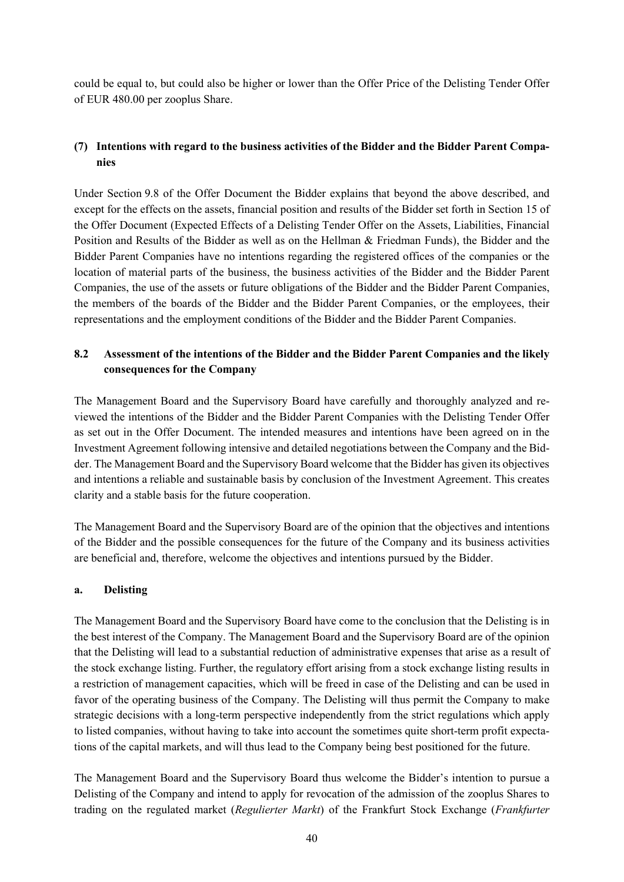could be equal to, but could also be higher or lower than the Offer Price of the Delisting Tender Offer of EUR 480.00 per zooplus Share.

## **(7) Intentions with regard to the business activities of the Bidder and the Bidder Parent Companies**

Under Section 9.8 of the Offer Document the Bidder explains that beyond the above described, and except for the effects on the assets, financial position and results of the Bidder set forth in Section 15 of the Offer Document (Expected Effects of a Delisting Tender Offer on the Assets, Liabilities, Financial Position and Results of the Bidder as well as on the Hellman & Friedman Funds), the Bidder and the Bidder Parent Companies have no intentions regarding the registered offices of the companies or the location of material parts of the business, the business activities of the Bidder and the Bidder Parent Companies, the use of the assets or future obligations of the Bidder and the Bidder Parent Companies, the members of the boards of the Bidder and the Bidder Parent Companies, or the employees, their representations and the employment conditions of the Bidder and the Bidder Parent Companies.

# **8.2 Assessment of the intentions of the Bidder and the Bidder Parent Companies and the likely consequences for the Company**

The Management Board and the Supervisory Board have carefully and thoroughly analyzed and reviewed the intentions of the Bidder and the Bidder Parent Companies with the Delisting Tender Offer as set out in the Offer Document. The intended measures and intentions have been agreed on in the Investment Agreement following intensive and detailed negotiations between the Company and the Bidder. The Management Board and the Supervisory Board welcome that the Bidder has given its objectives and intentions a reliable and sustainable basis by conclusion of the Investment Agreement. This creates clarity and a stable basis for the future cooperation.

The Management Board and the Supervisory Board are of the opinion that the objectives and intentions of the Bidder and the possible consequences for the future of the Company and its business activities are beneficial and, therefore, welcome the objectives and intentions pursued by the Bidder.

#### **a. Delisting**

The Management Board and the Supervisory Board have come to the conclusion that the Delisting is in the best interest of the Company. The Management Board and the Supervisory Board are of the opinion that the Delisting will lead to a substantial reduction of administrative expenses that arise as a result of the stock exchange listing. Further, the regulatory effort arising from a stock exchange listing results in a restriction of management capacities, which will be freed in case of the Delisting and can be used in favor of the operating business of the Company. The Delisting will thus permit the Company to make strategic decisions with a long-term perspective independently from the strict regulations which apply to listed companies, without having to take into account the sometimes quite short-term profit expectations of the capital markets, and will thus lead to the Company being best positioned for the future.

The Management Board and the Supervisory Board thus welcome the Bidder's intention to pursue a Delisting of the Company and intend to apply for revocation of the admission of the zooplus Shares to trading on the regulated market (*Regulierter Markt*) of the Frankfurt Stock Exchange (*Frankfurter*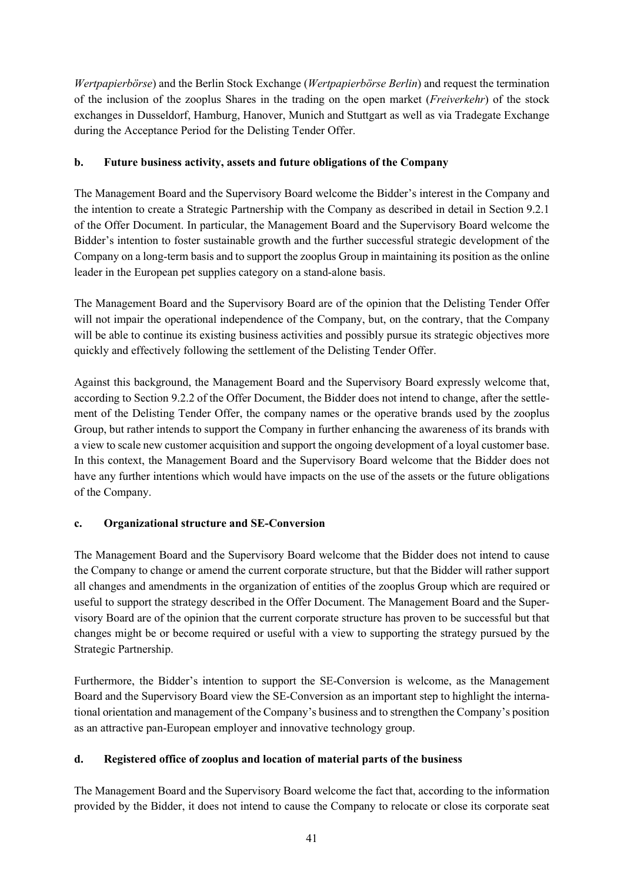*Wertpapierbörse*) and the Berlin Stock Exchange (*Wertpapierbörse Berlin*) and request the termination of the inclusion of the zooplus Shares in the trading on the open market (*Freiverkehr*) of the stock exchanges in Dusseldorf, Hamburg, Hanover, Munich and Stuttgart as well as via Tradegate Exchange during the Acceptance Period for the Delisting Tender Offer.

# **b. Future business activity, assets and future obligations of the Company**

The Management Board and the Supervisory Board welcome the Bidder's interest in the Company and the intention to create a Strategic Partnership with the Company as described in detail in Section 9.2.1 of the Offer Document. In particular, the Management Board and the Supervisory Board welcome the Bidder's intention to foster sustainable growth and the further successful strategic development of the Company on a long-term basis and to support the zooplus Group in maintaining its position as the online leader in the European pet supplies category on a stand-alone basis.

The Management Board and the Supervisory Board are of the opinion that the Delisting Tender Offer will not impair the operational independence of the Company, but, on the contrary, that the Company will be able to continue its existing business activities and possibly pursue its strategic objectives more quickly and effectively following the settlement of the Delisting Tender Offer.

Against this background, the Management Board and the Supervisory Board expressly welcome that, according to Section 9.2.2 of the Offer Document, the Bidder does not intend to change, after the settlement of the Delisting Tender Offer, the company names or the operative brands used by the zooplus Group, but rather intends to support the Company in further enhancing the awareness of its brands with a view to scale new customer acquisition and support the ongoing development of a loyal customer base. In this context, the Management Board and the Supervisory Board welcome that the Bidder does not have any further intentions which would have impacts on the use of the assets or the future obligations of the Company.

# **c. Organizational structure and SE-Conversion**

The Management Board and the Supervisory Board welcome that the Bidder does not intend to cause the Company to change or amend the current corporate structure, but that the Bidder will rather support all changes and amendments in the organization of entities of the zooplus Group which are required or useful to support the strategy described in the Offer Document. The Management Board and the Supervisory Board are of the opinion that the current corporate structure has proven to be successful but that changes might be or become required or useful with a view to supporting the strategy pursued by the Strategic Partnership.

Furthermore, the Bidder's intention to support the SE-Conversion is welcome, as the Management Board and the Supervisory Board view the SE-Conversion as an important step to highlight the international orientation and management of the Company's business and to strengthen the Company's position as an attractive pan-European employer and innovative technology group.

# **d. Registered office of zooplus and location of material parts of the business**

The Management Board and the Supervisory Board welcome the fact that, according to the information provided by the Bidder, it does not intend to cause the Company to relocate or close its corporate seat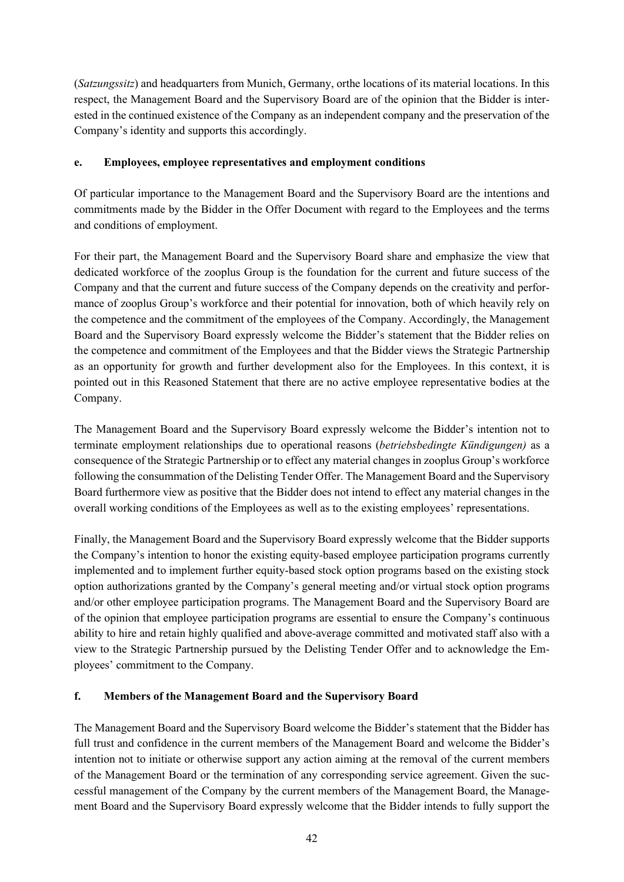(*Satzungssitz*) and headquarters from Munich, Germany, orthe locations of its material locations. In this respect, the Management Board and the Supervisory Board are of the opinion that the Bidder is interested in the continued existence of the Company as an independent company and the preservation of the Company's identity and supports this accordingly.

## **e. Employees, employee representatives and employment conditions**

Of particular importance to the Management Board and the Supervisory Board are the intentions and commitments made by the Bidder in the Offer Document with regard to the Employees and the terms and conditions of employment.

For their part, the Management Board and the Supervisory Board share and emphasize the view that dedicated workforce of the zooplus Group is the foundation for the current and future success of the Company and that the current and future success of the Company depends on the creativity and performance of zooplus Group's workforce and their potential for innovation, both of which heavily rely on the competence and the commitment of the employees of the Company. Accordingly, the Management Board and the Supervisory Board expressly welcome the Bidder's statement that the Bidder relies on the competence and commitment of the Employees and that the Bidder views the Strategic Partnership as an opportunity for growth and further development also for the Employees. In this context, it is pointed out in this Reasoned Statement that there are no active employee representative bodies at the Company.

The Management Board and the Supervisory Board expressly welcome the Bidder's intention not to terminate employment relationships due to operational reasons (*betriebsbedingte Kündigungen)* as a consequence of the Strategic Partnership or to effect any material changes in zooplus Group's workforce following the consummation of the Delisting Tender Offer. The Management Board and the Supervisory Board furthermore view as positive that the Bidder does not intend to effect any material changes in the overall working conditions of the Employees as well as to the existing employees' representations.

Finally, the Management Board and the Supervisory Board expressly welcome that the Bidder supports the Company's intention to honor the existing equity-based employee participation programs currently implemented and to implement further equity-based stock option programs based on the existing stock option authorizations granted by the Company's general meeting and/or virtual stock option programs and/or other employee participation programs. The Management Board and the Supervisory Board are of the opinion that employee participation programs are essential to ensure the Company's continuous ability to hire and retain highly qualified and above-average committed and motivated staff also with a view to the Strategic Partnership pursued by the Delisting Tender Offer and to acknowledge the Employees' commitment to the Company.

# **f. Members of the Management Board and the Supervisory Board**

The Management Board and the Supervisory Board welcome the Bidder's statement that the Bidder has full trust and confidence in the current members of the Management Board and welcome the Bidder's intention not to initiate or otherwise support any action aiming at the removal of the current members of the Management Board or the termination of any corresponding service agreement. Given the successful management of the Company by the current members of the Management Board, the Management Board and the Supervisory Board expressly welcome that the Bidder intends to fully support the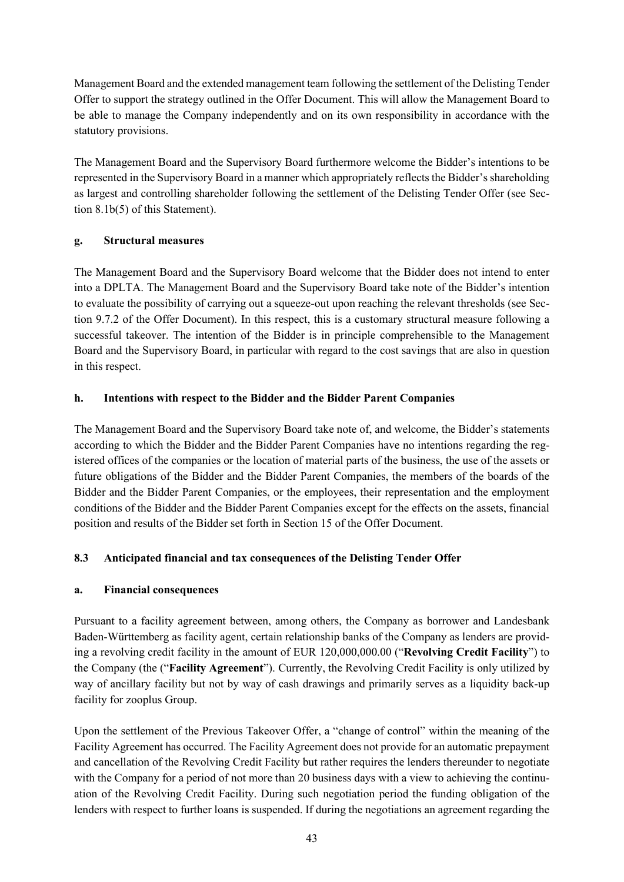Management Board and the extended management team following the settlement of the Delisting Tender Offer to support the strategy outlined in the Offer Document. This will allow the Management Board to be able to manage the Company independently and on its own responsibility in accordance with the statutory provisions.

The Management Board and the Supervisory Board furthermore welcome the Bidder's intentions to be represented in the Supervisory Board in a manner which appropriately reflects the Bidder's shareholding as largest and controlling shareholder following the settlement of the Delisting Tender Offer (see Section 8.1b(5) of this Statement).

## **g. Structural measures**

The Management Board and the Supervisory Board welcome that the Bidder does not intend to enter into a DPLTA. The Management Board and the Supervisory Board take note of the Bidder's intention to evaluate the possibility of carrying out a squeeze-out upon reaching the relevant thresholds (see Section 9.7.2 of the Offer Document). In this respect, this is a customary structural measure following a successful takeover. The intention of the Bidder is in principle comprehensible to the Management Board and the Supervisory Board, in particular with regard to the cost savings that are also in question in this respect.

## **h. Intentions with respect to the Bidder and the Bidder Parent Companies**

The Management Board and the Supervisory Board take note of, and welcome, the Bidder's statements according to which the Bidder and the Bidder Parent Companies have no intentions regarding the registered offices of the companies or the location of material parts of the business, the use of the assets or future obligations of the Bidder and the Bidder Parent Companies, the members of the boards of the Bidder and the Bidder Parent Companies, or the employees, their representation and the employment conditions of the Bidder and the Bidder Parent Companies except for the effects on the assets, financial position and results of the Bidder set forth in Section 15 of the Offer Document.

# **8.3 Anticipated financial and tax consequences of the Delisting Tender Offer**

#### **a. Financial consequences**

Pursuant to a facility agreement between, among others, the Company as borrower and Landesbank Baden-Württemberg as facility agent, certain relationship banks of the Company as lenders are providing a revolving credit facility in the amount of EUR 120,000,000.00 ("**Revolving Credit Facility**") to the Company (the ("**Facility Agreement**"). Currently, the Revolving Credit Facility is only utilized by way of ancillary facility but not by way of cash drawings and primarily serves as a liquidity back-up facility for zooplus Group.

Upon the settlement of the Previous Takeover Offer, a "change of control" within the meaning of the Facility Agreement has occurred. The Facility Agreement does not provide for an automatic prepayment and cancellation of the Revolving Credit Facility but rather requires the lenders thereunder to negotiate with the Company for a period of not more than 20 business days with a view to achieving the continuation of the Revolving Credit Facility. During such negotiation period the funding obligation of the lenders with respect to further loans is suspended. If during the negotiations an agreement regarding the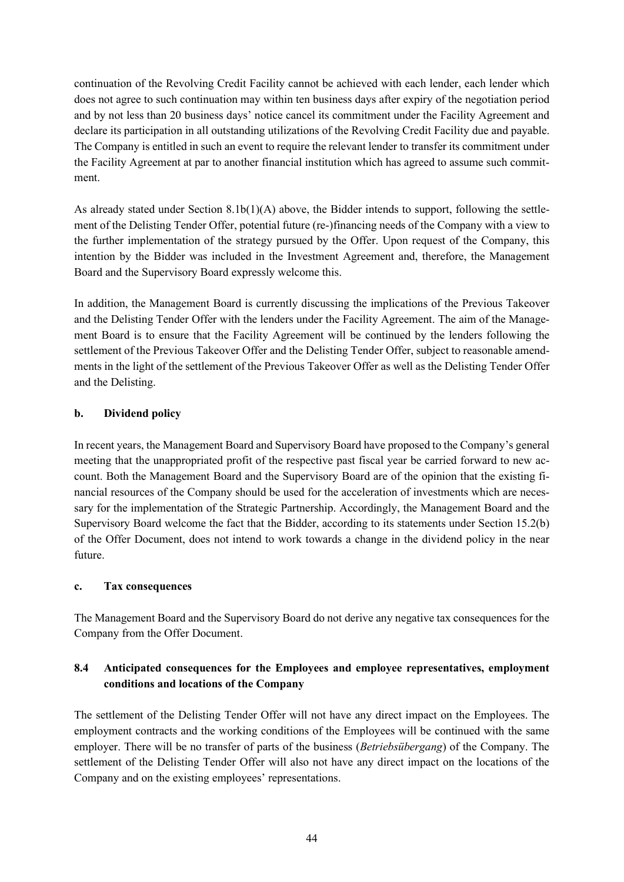continuation of the Revolving Credit Facility cannot be achieved with each lender, each lender which does not agree to such continuation may within ten business days after expiry of the negotiation period and by not less than 20 business days' notice cancel its commitment under the Facility Agreement and declare its participation in all outstanding utilizations of the Revolving Credit Facility due and payable. The Company is entitled in such an event to require the relevant lender to transfer its commitment under the Facility Agreement at par to another financial institution which has agreed to assume such commitment.

As already stated under Section  $8.1b(1)(A)$  above, the Bidder intends to support, following the settlement of the Delisting Tender Offer, potential future (re-)financing needs of the Company with a view to the further implementation of the strategy pursued by the Offer. Upon request of the Company, this intention by the Bidder was included in the Investment Agreement and, therefore, the Management Board and the Supervisory Board expressly welcome this.

In addition, the Management Board is currently discussing the implications of the Previous Takeover and the Delisting Tender Offer with the lenders under the Facility Agreement. The aim of the Management Board is to ensure that the Facility Agreement will be continued by the lenders following the settlement of the Previous Takeover Offer and the Delisting Tender Offer, subject to reasonable amendments in the light of the settlement of the Previous Takeover Offer as well as the Delisting Tender Offer and the Delisting.

## **b. Dividend policy**

In recent years, the Management Board and Supervisory Board have proposed to the Company's general meeting that the unappropriated profit of the respective past fiscal year be carried forward to new account. Both the Management Board and the Supervisory Board are of the opinion that the existing financial resources of the Company should be used for the acceleration of investments which are necessary for the implementation of the Strategic Partnership. Accordingly, the Management Board and the Supervisory Board welcome the fact that the Bidder, according to its statements under Section 15.2(b) of the Offer Document, does not intend to work towards a change in the dividend policy in the near future.

#### **c. Tax consequences**

The Management Board and the Supervisory Board do not derive any negative tax consequences for the Company from the Offer Document.

# **8.4 Anticipated consequences for the Employees and employee representatives, employment conditions and locations of the Company**

The settlement of the Delisting Tender Offer will not have any direct impact on the Employees. The employment contracts and the working conditions of the Employees will be continued with the same employer. There will be no transfer of parts of the business (*Betriebsübergang*) of the Company. The settlement of the Delisting Tender Offer will also not have any direct impact on the locations of the Company and on the existing employees' representations.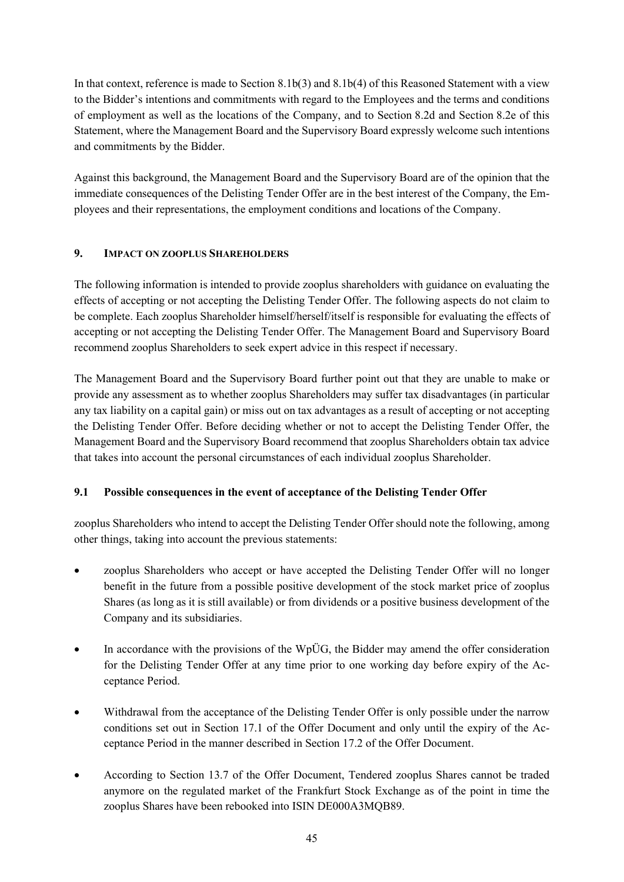In that context, reference is made to Section 8.1b(3) and 8.1b(4) of this Reasoned Statement with a view to the Bidder's intentions and commitments with regard to the Employees and the terms and conditions of employment as well as the locations of the Company, and to Section 8.2d and Section 8.2e of this Statement, where the Management Board and the Supervisory Board expressly welcome such intentions and commitments by the Bidder.

Against this background, the Management Board and the Supervisory Board are of the opinion that the immediate consequences of the Delisting Tender Offer are in the best interest of the Company, the Employees and their representations, the employment conditions and locations of the Company.

# **9. IMPACT ON ZOOPLUS SHAREHOLDERS**

The following information is intended to provide zooplus shareholders with guidance on evaluating the effects of accepting or not accepting the Delisting Tender Offer. The following aspects do not claim to be complete. Each zooplus Shareholder himself/herself/itself is responsible for evaluating the effects of accepting or not accepting the Delisting Tender Offer. The Management Board and Supervisory Board recommend zooplus Shareholders to seek expert advice in this respect if necessary.

The Management Board and the Supervisory Board further point out that they are unable to make or provide any assessment as to whether zooplus Shareholders may suffer tax disadvantages (in particular any tax liability on a capital gain) or miss out on tax advantages as a result of accepting or not accepting the Delisting Tender Offer. Before deciding whether or not to accept the Delisting Tender Offer, the Management Board and the Supervisory Board recommend that zooplus Shareholders obtain tax advice that takes into account the personal circumstances of each individual zooplus Shareholder.

# **9.1 Possible consequences in the event of acceptance of the Delisting Tender Offer**

zooplus Shareholders who intend to accept the Delisting Tender Offer should note the following, among other things, taking into account the previous statements:

- zooplus Shareholders who accept or have accepted the Delisting Tender Offer will no longer benefit in the future from a possible positive development of the stock market price of zooplus Shares (as long as it is still available) or from dividends or a positive business development of the Company and its subsidiaries.
- $\bullet$  In accordance with the provisions of the WpÜG, the Bidder may amend the offer consideration for the Delisting Tender Offer at any time prior to one working day before expiry of the Acceptance Period.
- Withdrawal from the acceptance of the Delisting Tender Offer is only possible under the narrow conditions set out in Section 17.1 of the Offer Document and only until the expiry of the Acceptance Period in the manner described in Section 17.2 of the Offer Document.
- According to Section 13.7 of the Offer Document, Tendered zooplus Shares cannot be traded anymore on the regulated market of the Frankfurt Stock Exchange as of the point in time the zooplus Shares have been rebooked into ISIN DE000A3MQB89.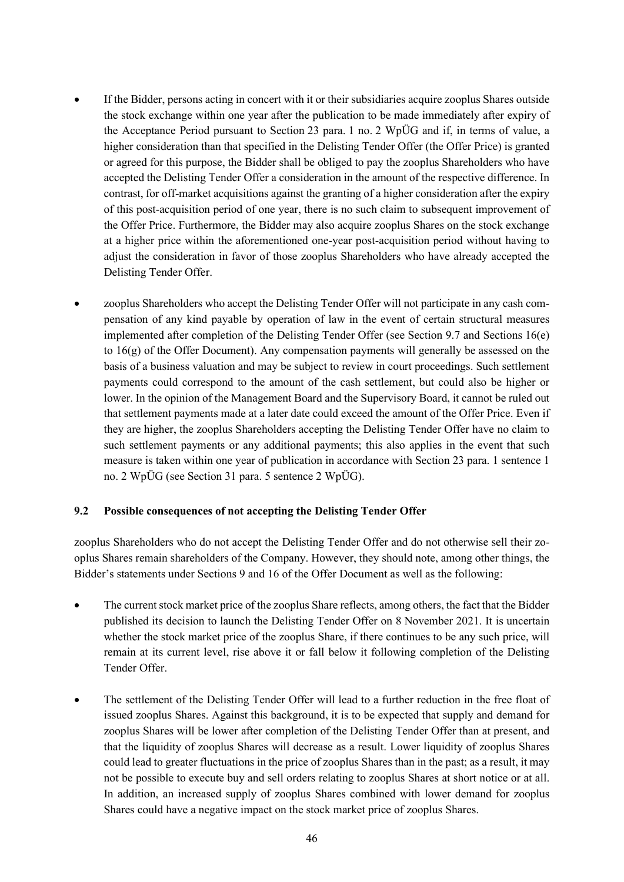- If the Bidder, persons acting in concert with it or their subsidiaries acquire zooplus Shares outside the stock exchange within one year after the publication to be made immediately after expiry of the Acceptance Period pursuant to Section 23 para. 1 no. 2 WpÜG and if, in terms of value, a higher consideration than that specified in the Delisting Tender Offer (the Offer Price) is granted or agreed for this purpose, the Bidder shall be obliged to pay the zooplus Shareholders who have accepted the Delisting Tender Offer a consideration in the amount of the respective difference. In contrast, for off-market acquisitions against the granting of a higher consideration after the expiry of this post-acquisition period of one year, there is no such claim to subsequent improvement of the Offer Price. Furthermore, the Bidder may also acquire zooplus Shares on the stock exchange at a higher price within the aforementioned one-year post-acquisition period without having to adjust the consideration in favor of those zooplus Shareholders who have already accepted the Delisting Tender Offer.
- zooplus Shareholders who accept the Delisting Tender Offer will not participate in any cash compensation of any kind payable by operation of law in the event of certain structural measures implemented after completion of the Delisting Tender Offer (see Section 9.7 and Sections 16(e) to  $16(g)$  of the Offer Document). Any compensation payments will generally be assessed on the basis of a business valuation and may be subject to review in court proceedings. Such settlement payments could correspond to the amount of the cash settlement, but could also be higher or lower. In the opinion of the Management Board and the Supervisory Board, it cannot be ruled out that settlement payments made at a later date could exceed the amount of the Offer Price. Even if they are higher, the zooplus Shareholders accepting the Delisting Tender Offer have no claim to such settlement payments or any additional payments; this also applies in the event that such measure is taken within one year of publication in accordance with Section 23 para. 1 sentence 1 no. 2 WpÜG (see Section 31 para. 5 sentence 2 WpÜG).

#### **9.2 Possible consequences of not accepting the Delisting Tender Offer**

zooplus Shareholders who do not accept the Delisting Tender Offer and do not otherwise sell their zooplus Shares remain shareholders of the Company. However, they should note, among other things, the Bidder's statements under Sections 9 and 16 of the Offer Document as well as the following:

- The current stock market price of the zooplus Share reflects, among others, the fact that the Bidder published its decision to launch the Delisting Tender Offer on 8 November 2021. It is uncertain whether the stock market price of the zooplus Share, if there continues to be any such price, will remain at its current level, rise above it or fall below it following completion of the Delisting Tender Offer.
- The settlement of the Delisting Tender Offer will lead to a further reduction in the free float of issued zooplus Shares. Against this background, it is to be expected that supply and demand for zooplus Shares will be lower after completion of the Delisting Tender Offer than at present, and that the liquidity of zooplus Shares will decrease as a result. Lower liquidity of zooplus Shares could lead to greater fluctuations in the price of zooplus Shares than in the past; as a result, it may not be possible to execute buy and sell orders relating to zooplus Shares at short notice or at all. In addition, an increased supply of zooplus Shares combined with lower demand for zooplus Shares could have a negative impact on the stock market price of zooplus Shares.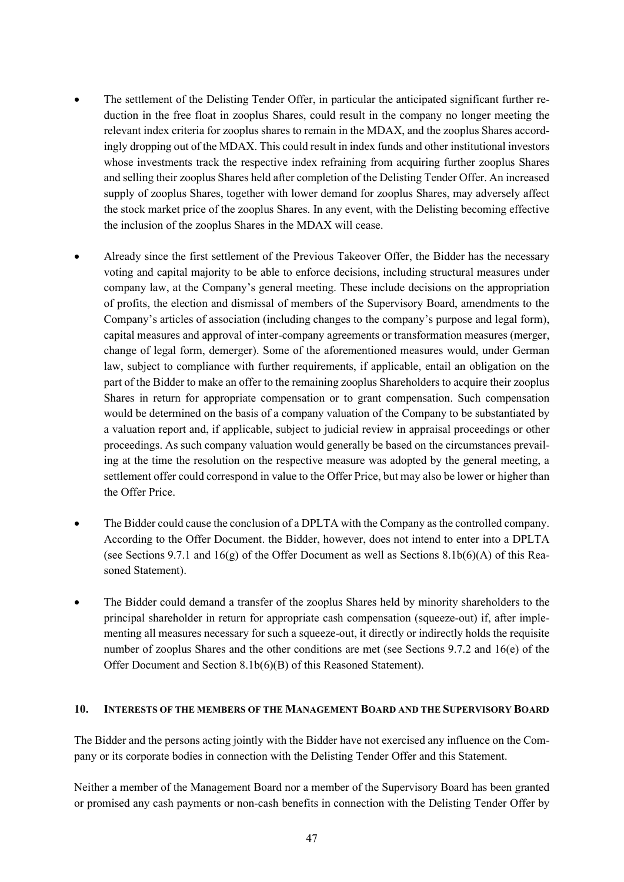- The settlement of the Delisting Tender Offer, in particular the anticipated significant further reduction in the free float in zooplus Shares, could result in the company no longer meeting the relevant index criteria for zooplus shares to remain in the MDAX, and the zooplus Shares accordingly dropping out of the MDAX. This could result in index funds and other institutional investors whose investments track the respective index refraining from acquiring further zooplus Shares and selling their zooplus Shares held after completion of the Delisting Tender Offer. An increased supply of zooplus Shares, together with lower demand for zooplus Shares, may adversely affect the stock market price of the zooplus Shares. In any event, with the Delisting becoming effective the inclusion of the zooplus Shares in the MDAX will cease.
- Already since the first settlement of the Previous Takeover Offer, the Bidder has the necessary voting and capital majority to be able to enforce decisions, including structural measures under company law, at the Company's general meeting. These include decisions on the appropriation of profits, the election and dismissal of members of the Supervisory Board, amendments to the Company's articles of association (including changes to the company's purpose and legal form), capital measures and approval of inter-company agreements or transformation measures (merger, change of legal form, demerger). Some of the aforementioned measures would, under German law, subject to compliance with further requirements, if applicable, entail an obligation on the part of the Bidder to make an offer to the remaining zooplus Shareholders to acquire their zooplus Shares in return for appropriate compensation or to grant compensation. Such compensation would be determined on the basis of a company valuation of the Company to be substantiated by a valuation report and, if applicable, subject to judicial review in appraisal proceedings or other proceedings. As such company valuation would generally be based on the circumstances prevailing at the time the resolution on the respective measure was adopted by the general meeting, a settlement offer could correspond in value to the Offer Price, but may also be lower or higher than the Offer Price.
- The Bidder could cause the conclusion of a DPLTA with the Company as the controlled company. According to the Offer Document. the Bidder, however, does not intend to enter into a DPLTA (see Sections 9.7.1 and  $16(g)$  of the Offer Document as well as Sections 8.1b(6)(A) of this Reasoned Statement).
- The Bidder could demand a transfer of the zooplus Shares held by minority shareholders to the principal shareholder in return for appropriate cash compensation (squeeze-out) if, after implementing all measures necessary for such a squeeze-out, it directly or indirectly holds the requisite number of zooplus Shares and the other conditions are met (see Sections 9.7.2 and 16(e) of the Offer Document and Section 8.1b(6)(B) of this Reasoned Statement).

#### **10. INTERESTS OF THE MEMBERS OF THE MANAGEMENT BOARD AND THE SUPERVISORY BOARD**

The Bidder and the persons acting jointly with the Bidder have not exercised any influence on the Company or its corporate bodies in connection with the Delisting Tender Offer and this Statement.

Neither a member of the Management Board nor a member of the Supervisory Board has been granted or promised any cash payments or non-cash benefits in connection with the Delisting Tender Offer by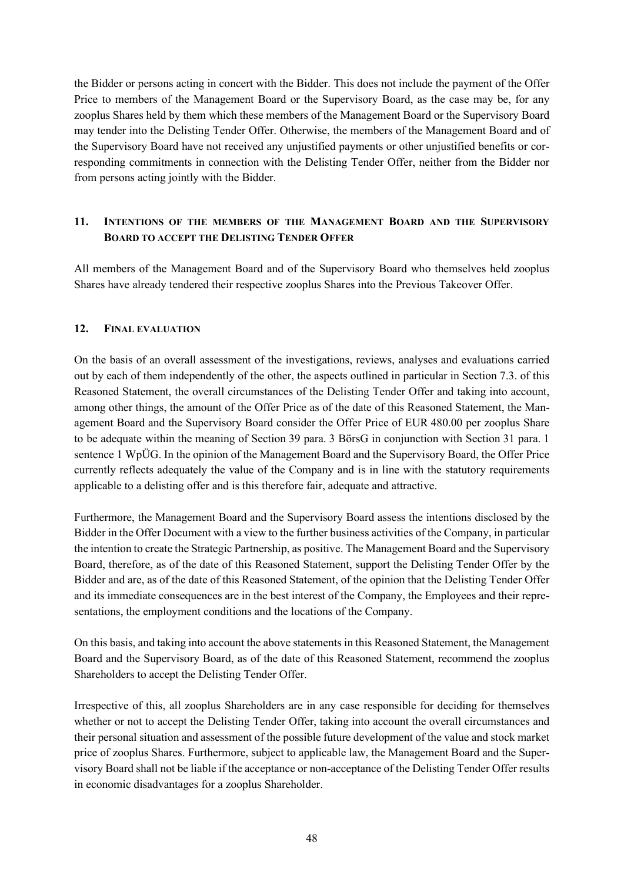the Bidder or persons acting in concert with the Bidder. This does not include the payment of the Offer Price to members of the Management Board or the Supervisory Board, as the case may be, for any zooplus Shares held by them which these members of the Management Board or the Supervisory Board may tender into the Delisting Tender Offer. Otherwise, the members of the Management Board and of the Supervisory Board have not received any unjustified payments or other unjustified benefits or corresponding commitments in connection with the Delisting Tender Offer, neither from the Bidder nor from persons acting jointly with the Bidder.

# **11. INTENTIONS OF THE MEMBERS OF THE MANAGEMENT BOARD AND THE SUPERVISORY BOARD TO ACCEPT THE DELISTING TENDER OFFER**

All members of the Management Board and of the Supervisory Board who themselves held zooplus Shares have already tendered their respective zooplus Shares into the Previous Takeover Offer.

#### **12. FINAL EVALUATION**

On the basis of an overall assessment of the investigations, reviews, analyses and evaluations carried out by each of them independently of the other, the aspects outlined in particular in Section 7.3. of this Reasoned Statement, the overall circumstances of the Delisting Tender Offer and taking into account, among other things, the amount of the Offer Price as of the date of this Reasoned Statement, the Management Board and the Supervisory Board consider the Offer Price of EUR 480.00 per zooplus Share to be adequate within the meaning of Section 39 para. 3 BörsG in conjunction with Section 31 para. 1 sentence 1 WpÜG. In the opinion of the Management Board and the Supervisory Board, the Offer Price currently reflects adequately the value of the Company and is in line with the statutory requirements applicable to a delisting offer and is this therefore fair, adequate and attractive.

Furthermore, the Management Board and the Supervisory Board assess the intentions disclosed by the Bidder in the Offer Document with a view to the further business activities of the Company, in particular the intention to create the Strategic Partnership, as positive. The Management Board and the Supervisory Board, therefore, as of the date of this Reasoned Statement, support the Delisting Tender Offer by the Bidder and are, as of the date of this Reasoned Statement, of the opinion that the Delisting Tender Offer and its immediate consequences are in the best interest of the Company, the Employees and their representations, the employment conditions and the locations of the Company.

On this basis, and taking into account the above statements in this Reasoned Statement, the Management Board and the Supervisory Board, as of the date of this Reasoned Statement, recommend the zooplus Shareholders to accept the Delisting Tender Offer.

Irrespective of this, all zooplus Shareholders are in any case responsible for deciding for themselves whether or not to accept the Delisting Tender Offer, taking into account the overall circumstances and their personal situation and assessment of the possible future development of the value and stock market price of zooplus Shares. Furthermore, subject to applicable law, the Management Board and the Supervisory Board shall not be liable if the acceptance or non-acceptance of the Delisting Tender Offer results in economic disadvantages for a zooplus Shareholder.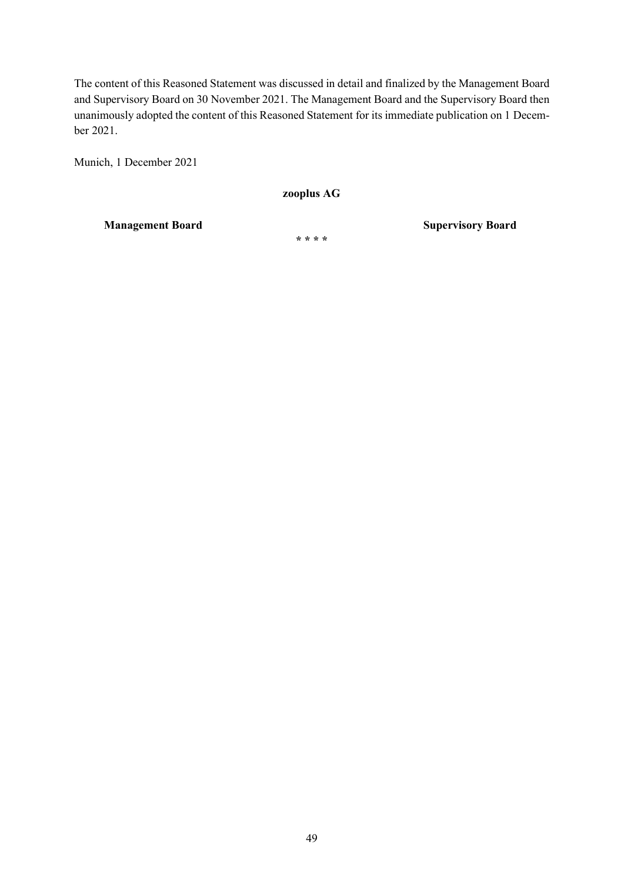The content of this Reasoned Statement was discussed in detail and finalized by the Management Board and Supervisory Board on 30 November 2021. The Management Board and the Supervisory Board then unanimously adopted the content of this Reasoned Statement for its immediate publication on 1 December 2021.

Munich, 1 December 2021

**zooplus AG** 

**Management Board Supervisory Board Supervisory Board** 

**\* \* \* \***